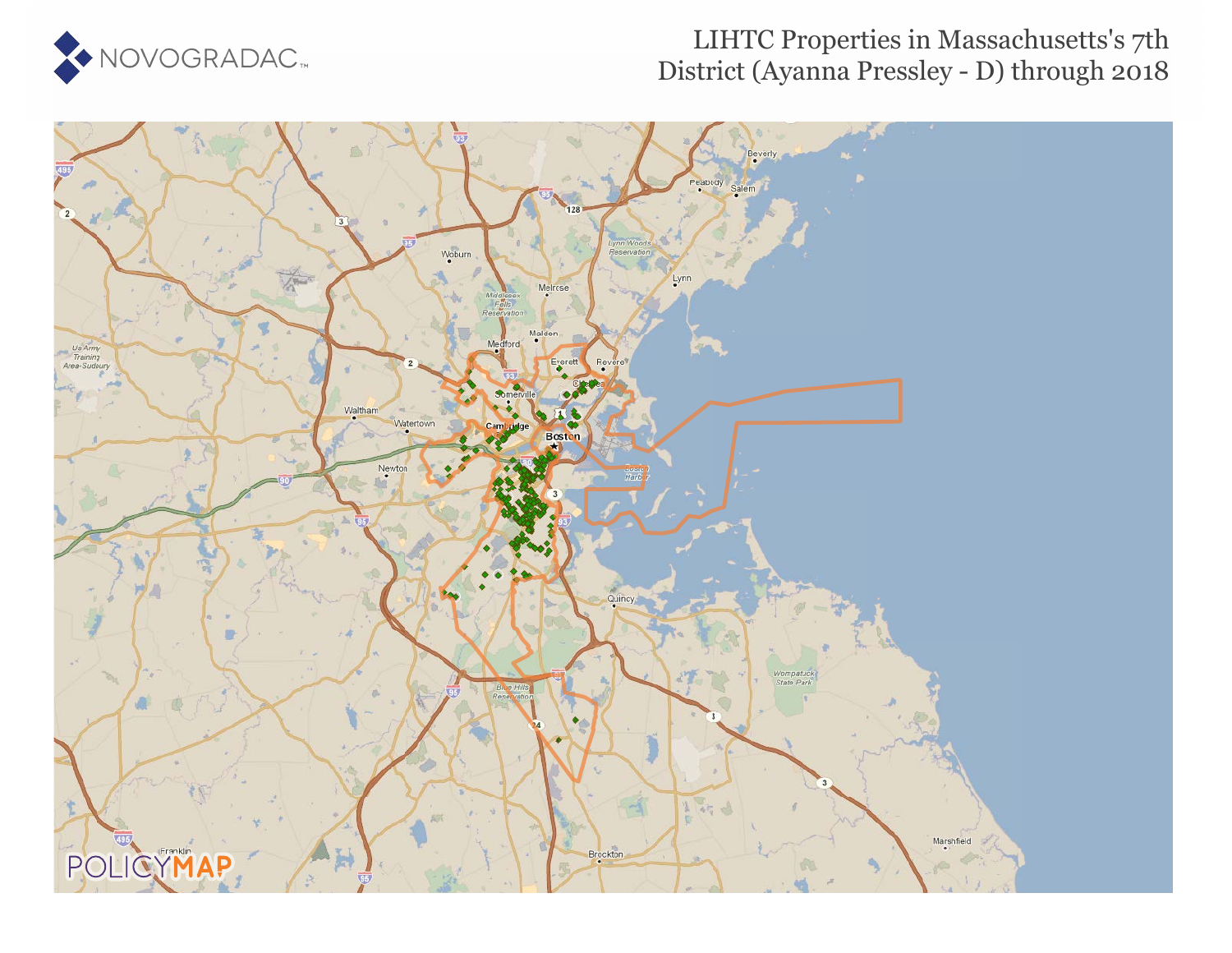

### LIHTC Properties in Massachusetts's 7th District (Ayanna Pressley - D) through 2018

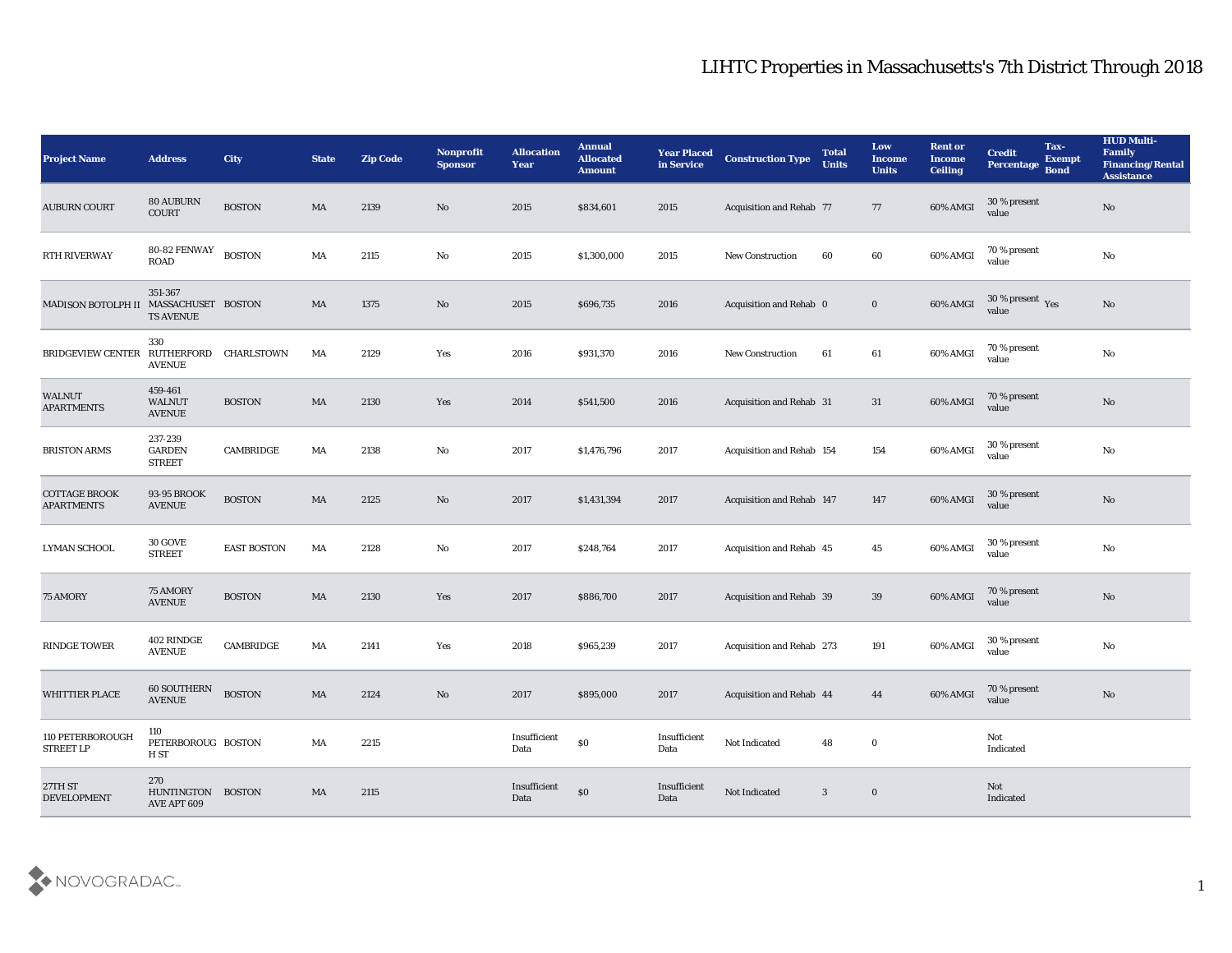| <b>Project Name</b>                       | <b>Address</b>                            | <b>City</b>        | <b>State</b> | <b>Zip Code</b> | Nonprofit<br><b>Sponsor</b> | <b>Allocation</b><br>Year | <b>Annual</b><br><b>Allocated</b><br><b>Amount</b> | <b>Year Placed</b><br>in Service | <b>Construction Type</b>        | <b>Total</b><br><b>Units</b> | Low<br>Income<br><b>Units</b> | <b>Rent or</b><br><b>Income</b><br><b>Ceiling</b> | <b>Credit</b><br>Percentage     | Tax-<br><b>Exempt</b><br><b>Bond</b> | <b>HUD Multi-</b><br>Family<br><b>Financing/Rental</b><br><b>Assistance</b> |
|-------------------------------------------|-------------------------------------------|--------------------|--------------|-----------------|-----------------------------|---------------------------|----------------------------------------------------|----------------------------------|---------------------------------|------------------------------|-------------------------------|---------------------------------------------------|---------------------------------|--------------------------------------|-----------------------------------------------------------------------------|
| <b>AUBURN COURT</b>                       | <b>80 AUBURN</b><br>COURT                 | <b>BOSTON</b>      | MA           | 2139            | No                          | 2015                      | \$834,601                                          | 2015                             | Acquisition and Rehab 77        |                              | 77                            | 60% AMGI                                          | 30 % present<br>value           |                                      | No                                                                          |
| <b>RTH RIVERWAY</b>                       | 80-82 FENWAY<br><b>ROAD</b>               | <b>BOSTON</b>      | MA           | 2115            | No                          | 2015                      | \$1,300,000                                        | 2015                             | <b>New Construction</b>         | 60                           | 60                            | 60% AMGI                                          | 70 % present<br>value           |                                      | $\mathbf{N}\mathbf{o}$                                                      |
| MADISON BOTOLPH II MASSACHUSET BOSTON     | 351-367<br><b>TS AVENUE</b>               |                    | MA           | 1375            | No                          | 2015                      | \$696,735                                          | 2016                             | Acquisition and Rehab 0         |                              | $\bf{0}$                      | 60% AMGI                                          | $30\,\%$ present $\,$ Yes value |                                      | No                                                                          |
| <b>BRIDGEVIEW CENTER</b>                  | 330<br>RUTHERFORD<br><b>AVENUE</b>        | CHARLSTOWN         | MA           | 2129            | Yes                         | 2016                      | \$931,370                                          | 2016                             | <b>New Construction</b>         | 61                           | 61                            | 60% AMGI                                          | 70 % present<br>value           |                                      | $\rm\thinspace No$                                                          |
| <b>WALNUT</b><br><b>APARTMENTS</b>        | 459-461<br><b>WALNUT</b><br><b>AVENUE</b> | <b>BOSTON</b>      | MA           | 2130            | Yes                         | 2014                      | \$541,500                                          | 2016                             | <b>Acquisition and Rehab 31</b> |                              | 31                            | 60% AMGI                                          | 70 % present<br>value           |                                      | $\mathbf{N}\mathbf{o}$                                                      |
| <b>BRISTON ARMS</b>                       | 237-239<br><b>GARDEN</b><br><b>STREET</b> | CAMBRIDGE          | MA           | 2138            | No                          | 2017                      | \$1,476,796                                        | 2017                             | Acquisition and Rehab 154       |                              | 154                           | 60% AMGI                                          | 30 % present<br>value           |                                      | $\mathbf{N}\mathbf{o}$                                                      |
| <b>COTTAGE BROOK</b><br><b>APARTMENTS</b> | 93-95 BROOK<br><b>AVENUE</b>              | <b>BOSTON</b>      | MA           | 2125            | No                          | 2017                      | \$1,431,394                                        | 2017                             | Acquisition and Rehab 147       |                              | 147                           | 60% AMGI                                          | 30 % present<br>value           |                                      | $\mathbf{N}\mathbf{o}$                                                      |
| <b>LYMAN SCHOOL</b>                       | <b>30 GOVE</b><br><b>STREET</b>           | <b>EAST BOSTON</b> | MA           | 2128            | No                          | 2017                      | \$248,764                                          | 2017                             | <b>Acquisition and Rehab 45</b> |                              | 45                            | 60% AMGI                                          | 30 % present<br>value           |                                      | $\mathbf{N}\mathbf{o}$                                                      |
| 75 AMORY                                  | <b>75 AMORY</b><br><b>AVENUE</b>          | <b>BOSTON</b>      | MA           | 2130            | Yes                         | 2017                      | \$886,700                                          | 2017                             | <b>Acquisition and Rehab 39</b> |                              | 39                            | 60% AMGI                                          | 70 % present<br>value           |                                      | $\mathbf{N}\mathbf{o}$                                                      |
| RINDGE TOWER                              | 402 RINDGE<br><b>AVENUE</b>               | CAMBRIDGE          | MA           | 2141            | Yes                         | 2018                      | \$965,239                                          | 2017                             | Acquisition and Rehab 273       |                              | 191                           | 60% AMGI                                          | 30 % present<br>value           |                                      | $\rm\thinspace No$                                                          |
| <b>WHITTIER PLACE</b>                     | <b>60 SOUTHERN</b><br><b>AVENUE</b>       | <b>BOSTON</b>      | MA           | 2124            | No                          | 2017                      | \$895,000                                          | 2017                             | Acquisition and Rehab 44        |                              | 44                            | 60% AMGI                                          | 70 % present<br>value           |                                      | No                                                                          |
| 110 PETERBOROUGH<br><b>STREET LP</b>      | 110<br>PETERBOROUG BOSTON<br>H ST         |                    | MA           | 2215            |                             | Insufficient<br>Data      | $\boldsymbol{\mathsf{S}}\boldsymbol{\mathsf{0}}$   | Insufficient<br>Data             | Not Indicated                   | 48                           | $\bf{0}$                      |                                                   | Not<br>Indicated                |                                      |                                                                             |
| 27TH ST<br><b>DEVELOPMENT</b>             | 270<br>HUNTINGTON BOSTON<br>AVE APT 609   |                    | MA           | 2115            |                             | Insufficient<br>Data      | $\$0$                                              | Insufficient<br>Data             | Not Indicated                   | $3\phantom{.0}$              | $\mathbf 0$                   |                                                   | Not<br>Indicated                |                                      |                                                                             |

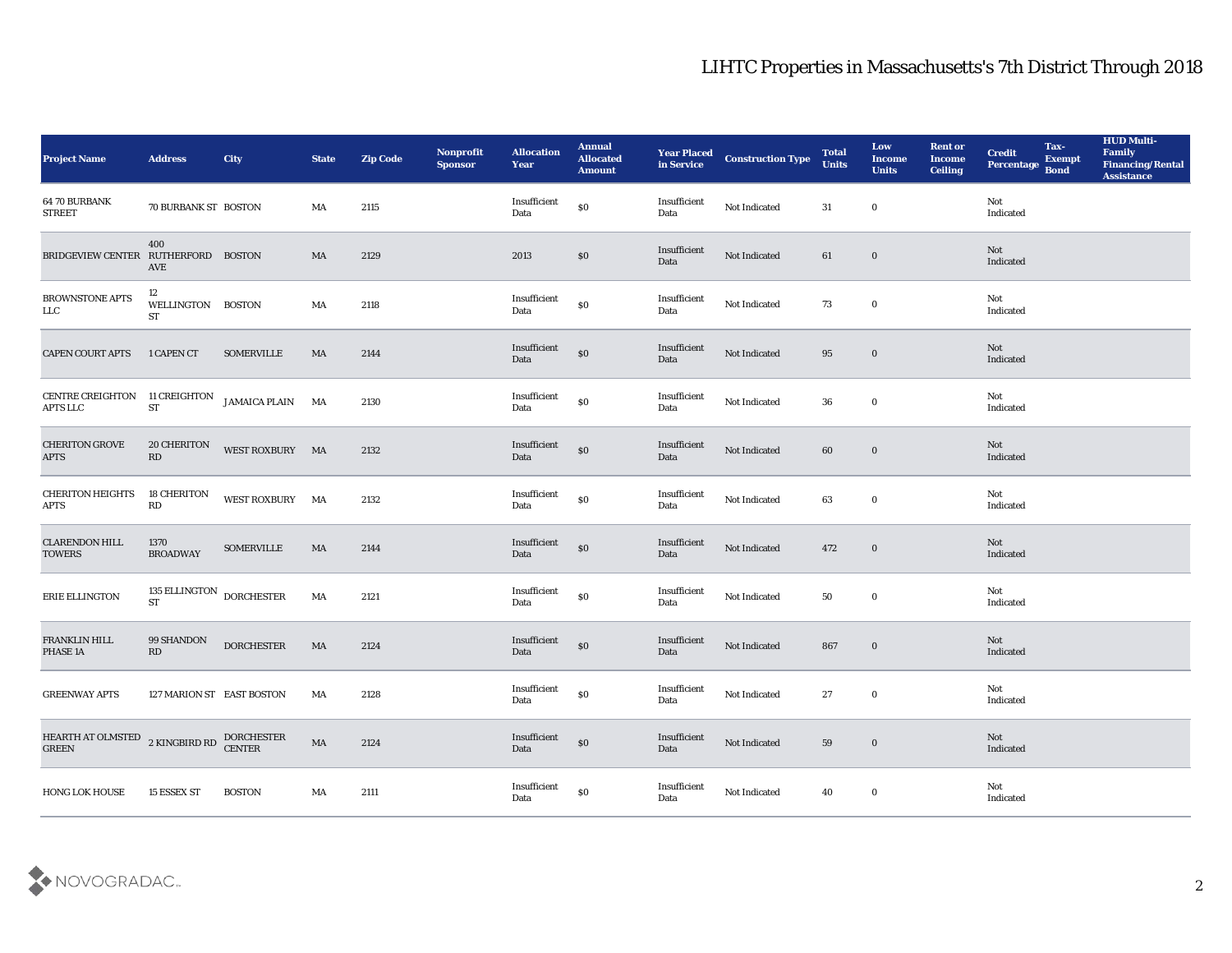| <b>Project Name</b>                                                    | <b>Address</b>                        | City                 | <b>State</b>           | <b>Zip Code</b> | Nonprofit<br><b>Sponsor</b> | <b>Allocation</b><br><b>Year</b>            | <b>Annual</b><br><b>Allocated</b><br><b>Amount</b> | <b>Year Placed</b><br>in Service | <b>Construction Type</b> | <b>Total</b><br><b>Units</b> | Low<br><b>Income</b><br><b>Units</b> | <b>Rent or</b><br><b>Income</b><br><b>Ceiling</b> | <b>Credit</b><br>Percentage Bond  | Tax-<br><b>Exempt</b> | <b>HUD Multi-</b><br>Family<br><b>Financing/Rental</b><br><b>Assistance</b> |
|------------------------------------------------------------------------|---------------------------------------|----------------------|------------------------|-----------------|-----------------------------|---------------------------------------------|----------------------------------------------------|----------------------------------|--------------------------|------------------------------|--------------------------------------|---------------------------------------------------|-----------------------------------|-----------------------|-----------------------------------------------------------------------------|
| <b>64 70 BURBANK</b><br><b>STREET</b>                                  | 70 BURBANK ST BOSTON                  |                      | MA                     | 2115            |                             | Insufficient<br>Data                        | $\$0$                                              | Insufficient<br>Data             | Not Indicated            | 31                           | $\bf{0}$                             |                                                   | Not<br>Indicated                  |                       |                                                                             |
| BRIDGEVIEW CENTER RUTHERFORD BOSTON                                    | 400<br>AVE                            |                      | MA                     | 2129            |                             | 2013                                        | $\$0$                                              | Insufficient<br>Data             | Not Indicated            | 61                           | $\bf{0}$                             |                                                   | Not<br>Indicated                  |                       |                                                                             |
| BROWNSTONE APTS<br>${\rm LLC}$                                         | 12<br>WELLINGTON BOSTON<br><b>ST</b>  |                      | MA                     | 2118            |                             | Insufficient<br>Data                        | $\boldsymbol{\mathsf{S}}\boldsymbol{\mathsf{0}}$   | Insufficient<br>Data             | Not Indicated            | 73                           | $\bf{0}$                             |                                                   | Not<br>Indicated                  |                       |                                                                             |
| <b>CAPEN COURT APTS</b>                                                | 1 CAPEN CT                            | <b>SOMERVILLE</b>    | MA                     | 2144            |                             | Insufficient<br>Data                        | $\boldsymbol{\mathsf{S}}\boldsymbol{\mathsf{0}}$   | Insufficient<br>Data             | Not Indicated            | 95                           | $\bf{0}$                             |                                                   | Not<br>Indicated                  |                       |                                                                             |
| CENTRE CREIGHTON<br>APTS LLC                                           | 11 CREIGHTON<br>$\operatorname{ST}$   | <b>JAMAICA PLAIN</b> | MA                     | 2130            |                             | Insufficient<br>Data                        | $\$0$                                              | Insufficient<br>Data             | Not Indicated            | 36                           | $\bf{0}$                             |                                                   | Not<br>Indicated                  |                       |                                                                             |
| <b>CHERITON GROVE</b><br><b>APTS</b>                                   | 20 CHERITON<br>$\mathbf{R}\mathbf{D}$ | WEST ROXBURY MA      |                        | 2132            |                             | Insufficient<br>Data                        | $\$0$                                              | Insufficient<br>Data             | Not Indicated            | 60                           | $\bf{0}$                             |                                                   | Not<br>Indicated                  |                       |                                                                             |
| <b>CHERITON HEIGHTS</b><br><b>APTS</b>                                 | <b>18 CHERITON</b><br>RD              | <b>WEST ROXBURY</b>  | <b>MA</b>              | 2132            |                             | Insufficient<br>Data                        | $\$0$                                              | Insufficient<br>Data             | Not Indicated            | 63                           | $\bf{0}$                             |                                                   | Not<br>Indicated                  |                       |                                                                             |
| <b>CLARENDON HILL</b><br><b>TOWERS</b>                                 | 1370<br><b>BROADWAY</b>               | <b>SOMERVILLE</b>    | MA                     | 2144            |                             | Insufficient<br>Data                        | $\$0$                                              | Insufficient<br>Data             | Not Indicated            | 472                          | $\bf{0}$                             |                                                   | Not<br>Indicated                  |                       |                                                                             |
| ERIE ELLINGTON                                                         | 135 ELLINGTON DORCHESTER<br><b>ST</b> |                      | MA                     | 2121            |                             | Insufficient<br>Data                        | \$0                                                | Insufficient<br>Data             | Not Indicated            | 50                           | $\bf{0}$                             |                                                   | Not<br>Indicated                  |                       |                                                                             |
| FRANKLIN HILL<br>PHASE 1A                                              | 99 SHANDON<br>RD                      | <b>DORCHESTER</b>    | MA                     | 2124            |                             | Insufficient<br>Data                        | $\boldsymbol{\mathsf{S}}\boldsymbol{\mathsf{O}}$   | Insufficient<br>Data             | Not Indicated            | 867                          | $\bf{0}$                             |                                                   | Not<br>Indicated                  |                       |                                                                             |
| <b>GREENWAY APTS</b>                                                   | 127 MARION ST EAST BOSTON             |                      | MA                     | 2128            |                             | Insufficient<br>Data                        | $\$0$                                              | Insufficient<br>Data             | <b>Not Indicated</b>     | 27                           | $\bf{0}$                             |                                                   | Not<br>Indicated                  |                       |                                                                             |
| HEARTH AT OLMSTED $\,$ 2 KINGBIRD RD $\,$ CENTER GREEN<br><b>GREEN</b> |                                       |                      | $\mathbf{M}\mathbf{A}$ | 2124            |                             | $\label{lem:optimal} In sufficient$<br>Data | $\boldsymbol{\mathsf{S}}\boldsymbol{\mathsf{0}}$   | Insufficient<br>Data             | Not Indicated            | 59                           | $\bf{0}$                             |                                                   | Not<br>Indicated                  |                       |                                                                             |
| HONG LOK HOUSE                                                         | 15 ESSEX ST                           | <b>BOSTON</b>        | MA                     | 2111            |                             | Insufficient<br>Data                        | $\boldsymbol{\mathsf{S}}\boldsymbol{\mathsf{O}}$   | Insufficient<br>Data             | Not Indicated            | 40                           | $\bf{0}$                             |                                                   | Not<br>$\operatorname{Indicated}$ |                       |                                                                             |

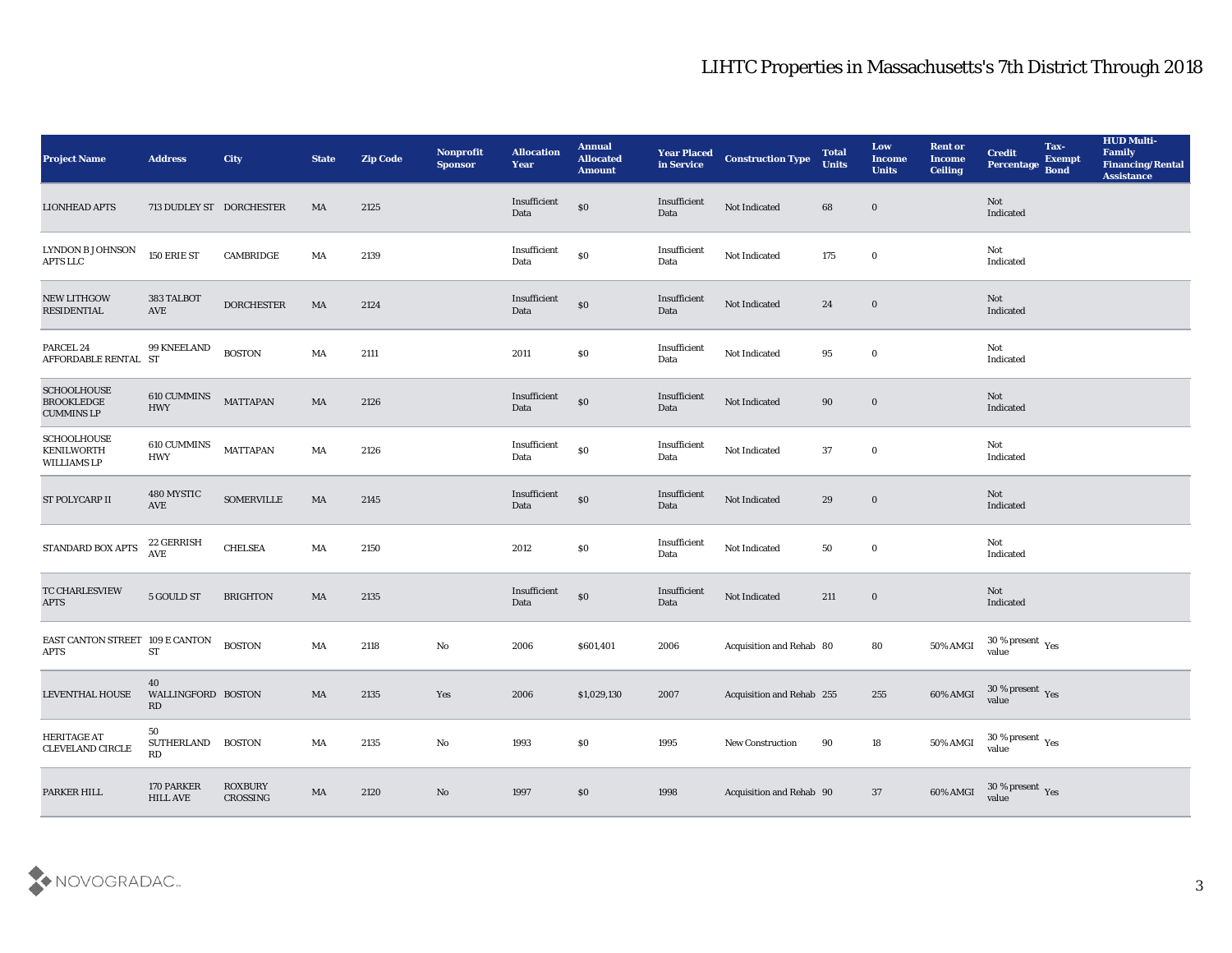| <b>Project Name</b>                                          | <b>Address</b>                             | <b>City</b>           | <b>State</b>           | <b>Zip Code</b> | Nonprofit<br><b>Sponsor</b> | <b>Allocation</b><br><b>Year</b> | <b>Annual</b><br><b>Allocated</b><br><b>Amount</b> | <b>Year Placed</b><br>in Service | <b>Construction Type</b>  | <b>Total</b><br><b>Units</b> | Low<br><b>Income</b><br><b>Units</b> | <b>Rent or</b><br><b>Income</b><br><b>Ceiling</b> | <b>Credit</b><br>Percentage Bond       | Tax-<br><b>Exempt</b> | <b>HUD Multi-</b><br>Family<br><b>Financing/Rental</b><br><b>Assistance</b> |
|--------------------------------------------------------------|--------------------------------------------|-----------------------|------------------------|-----------------|-----------------------------|----------------------------------|----------------------------------------------------|----------------------------------|---------------------------|------------------------------|--------------------------------------|---------------------------------------------------|----------------------------------------|-----------------------|-----------------------------------------------------------------------------|
| <b>LIONHEAD APTS</b>                                         | 713 DUDLEY ST DORCHESTER                   |                       | MA                     | 2125            |                             | Insufficient<br>Data             | $\$0$                                              | Insufficient<br>Data             | Not Indicated             | 68                           | $\bf{0}$                             |                                                   | Not<br>Indicated                       |                       |                                                                             |
| LYNDON B JOHNSON<br>APTS LLC                                 | 150 ERIE ST                                | CAMBRIDGE             | MA                     | 2139            |                             | Insufficient<br>Data             | $\boldsymbol{\mathsf{S}}\boldsymbol{\mathsf{O}}$   | Insufficient<br>Data             | Not Indicated             | 175                          | $\bf{0}$                             |                                                   | Not<br>Indicated                       |                       |                                                                             |
| <b>NEW LITHGOW</b><br><b>RESIDENTIAL</b>                     | 383 TALBOT<br>AVE                          | <b>DORCHESTER</b>     | MA                     | 2124            |                             | Insufficient<br>Data             | \$0                                                | Insufficient<br>Data             | Not Indicated             | 24                           | $\bf{0}$                             |                                                   | Not<br>Indicated                       |                       |                                                                             |
| PARCEL 24<br>AFFORDABLE RENTAL ST                            | 99 KNEELAND                                | <b>BOSTON</b>         | MA                     | 2111            |                             | 2011                             | \$0                                                | Insufficient<br>Data             | Not Indicated             | 95                           | $\bf{0}$                             |                                                   | Not<br>Indicated                       |                       |                                                                             |
| <b>SCHOOLHOUSE</b><br><b>BROOKLEDGE</b><br><b>CUMMINS LP</b> | 610 CUMMINS<br><b>HWY</b>                  | <b>MATTAPAN</b>       | $\mathbf{M}\mathbf{A}$ | 2126            |                             | Insufficient<br>Data             | $\$0$                                              | Insufficient<br>Data             | Not Indicated             | 90                           | $\bf{0}$                             |                                                   | Not<br>Indicated                       |                       |                                                                             |
| SCHOOLHOUSE<br><b>KENILWORTH</b><br><b>WILLIAMS LP</b>       | $610$ CUMMINS $\,$<br><b>HWY</b>           | <b>MATTAPAN</b>       | MA                     | 2126            |                             | Insufficient<br>Data             | \$0                                                | Insufficient<br>Data             | Not Indicated             | 37                           | $\bf{0}$                             |                                                   | Not<br>Indicated                       |                       |                                                                             |
| ST POLYCARP II                                               | 480 MYSTIC<br>AVE                          | $\textsc{SOMERVILLE}$ | MA                     | 2145            |                             | Insufficient<br>Data             | $\$0$                                              | Insufficient<br>Data             | Not Indicated             | 29                           | $\bf{0}$                             |                                                   | Not<br>Indicated                       |                       |                                                                             |
| STANDARD BOX APTS                                            | 22 GERRISH<br><b>AVE</b>                   | <b>CHELSEA</b>        | MA                     | 2150            |                             | 2012                             | \$0                                                | Insufficient<br>Data             | Not Indicated             | 50                           | $\bf{0}$                             |                                                   | Not<br>Indicated                       |                       |                                                                             |
| TC CHARLESVIEW<br><b>APTS</b>                                | 5 GOULD ST                                 | <b>BRIGHTON</b>       | MA                     | $2135\,$        |                             | Insufficient<br>Data             | \$0                                                | Insufficient<br>Data             | Not Indicated             | 211                          | $\bf{0}$                             |                                                   | Not<br>Indicated                       |                       |                                                                             |
| EAST CANTON STREET 109 E CANTON<br><b>APTS</b>               | <b>ST</b>                                  | <b>BOSTON</b>         | MA                     | 2118            | No                          | 2006                             | \$601,401                                          | 2006                             | Acquisition and Rehab 80  |                              | 80                                   | 50% AMGI                                          | $30\,\%$ present $\,$ Yes value        |                       |                                                                             |
| LEVENTHAL HOUSE                                              | 40<br>WALLINGFORD BOSTON<br>RD             |                       | MA                     | 2135            | Yes                         | 2006                             | \$1,029,130                                        | 2007                             | Acquisition and Rehab 255 |                              | 255                                  | 60% AMGI                                          | 30 % present Yes<br>value              |                       |                                                                             |
| HERITAGE AT<br>CLEVELAND CIRCLE                              | 50<br>SUTHERLAND<br>$\mathbf{R}\mathbf{D}$ | <b>BOSTON</b>         | $\mathbf{M}\mathbf{A}$ | $2135\,$        | $\rm\thinspace No$          | 1993                             | $\$0$                                              | 1995                             | New Construction          | 90                           | 18                                   | 50% AMGI                                          | $30\,\%$ present $\,$ Yes value        |                       |                                                                             |
| PARKER HILL                                                  | 170 PARKER<br><b>HILL AVE</b>              | ROXBURY<br>CROSSING   | $\rm MA$               | 2120            | $\rm\thinspace No$          | 1997                             | \$0                                                | 1998                             | Acquisition and Rehab 90  |                              | 37                                   | 60% AMGI                                          | $30$ % present $\,$ $\rm Yes$<br>value |                       |                                                                             |

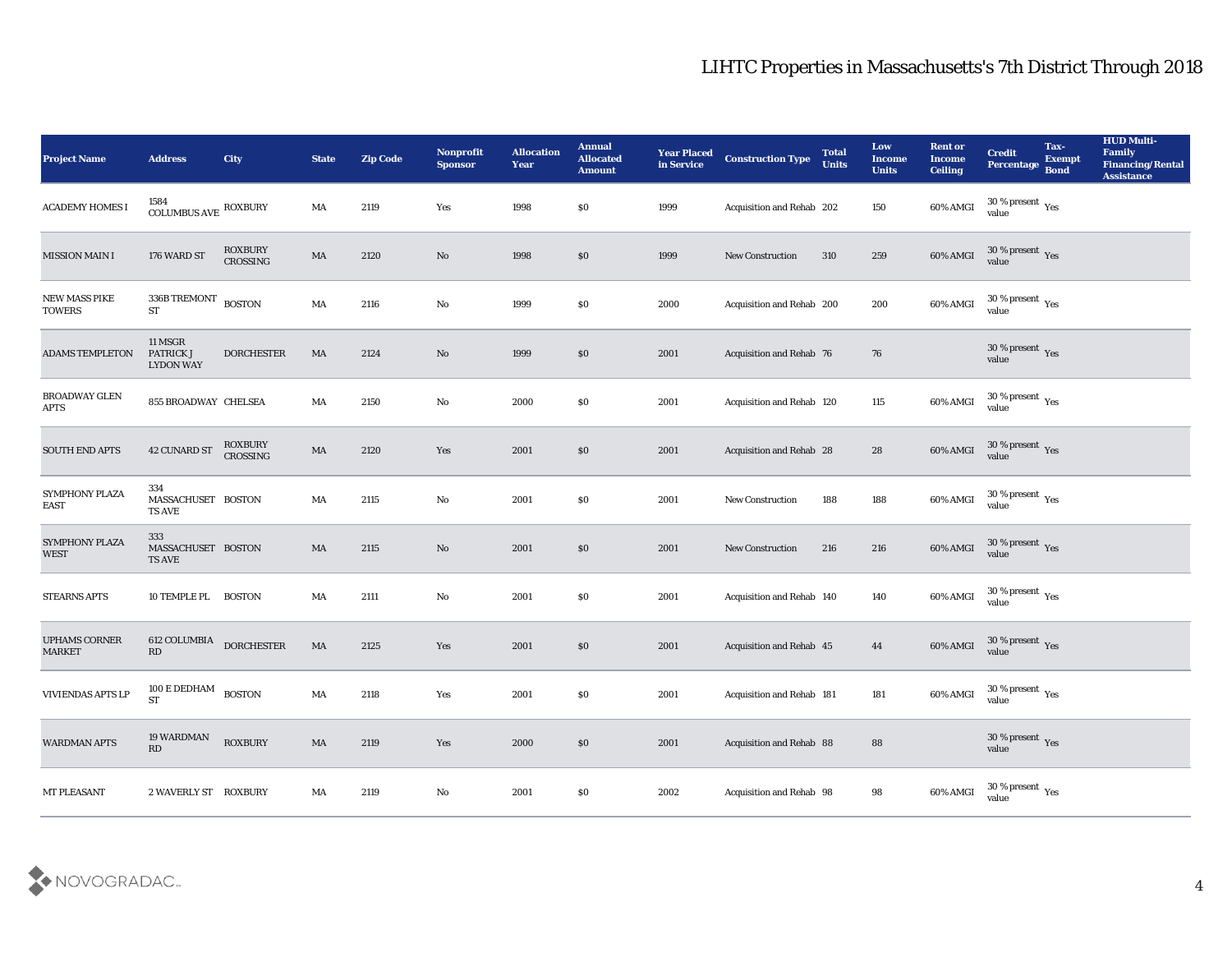| <b>Project Name</b>                   | <b>Address</b>                                                                               | <b>City</b>         | <b>State</b>           | <b>Zip Code</b> | Nonprofit<br><b>Sponsor</b> | <b>Allocation</b><br><b>Year</b> | <b>Annual</b><br><b>Allocated</b><br><b>Amount</b> | <b>Year Placed</b><br>in Service | <b>Construction Type</b>        | <b>Total</b><br><b>Units</b> | Low<br><b>Income</b><br><b>Units</b> | <b>Rent or</b><br><b>Income</b><br><b>Ceiling</b> | <b>Credit</b><br>Percentage                   | Tax-<br><b>Exempt</b><br><b>Bond</b> | <b>HUD Multi-</b><br>Family<br><b>Financing/Rental</b><br><b>Assistance</b> |
|---------------------------------------|----------------------------------------------------------------------------------------------|---------------------|------------------------|-----------------|-----------------------------|----------------------------------|----------------------------------------------------|----------------------------------|---------------------------------|------------------------------|--------------------------------------|---------------------------------------------------|-----------------------------------------------|--------------------------------------|-----------------------------------------------------------------------------|
| <b>ACADEMY HOMES I</b>                | 1584<br>COLUMBUS AVE $\,$ ROXBURY                                                            |                     | MA                     | 2119            | Yes                         | 1998                             | \$0                                                | 1999                             | Acquisition and Rehab 202       |                              | 150                                  | 60% AMGI                                          | $30\,\%$ present $\,\mathrm{Yes}$<br>value    |                                      |                                                                             |
| <b>MISSION MAIN I</b>                 | 176 WARD ST                                                                                  | ROXBURY<br>CROSSING | MA                     | 2120            | No                          | 1998                             | \$0                                                | 1999                             | <b>New Construction</b>         | 310                          | 259                                  | 60% AMGI                                          | $30\,\%$ present $\,$ Yes value               |                                      |                                                                             |
| NEW MASS PIKE<br><b>TOWERS</b>        | 336B TREMONT BOSTON<br><b>ST</b>                                                             |                     | MA                     | 2116            | $\mathbf{N}\mathbf{o}$      | 1999                             | \$0                                                | 2000                             | Acquisition and Rehab 200       |                              | 200                                  | 60% AMGI                                          | $30\,\%$ present $\,$ Yes value               |                                      |                                                                             |
| <b>ADAMS TEMPLETON</b>                | 11 MSGR<br><b>PATRICK J</b><br><b>LYDON WAY</b>                                              | <b>DORCHESTER</b>   | MA                     | 2124            | No                          | 1999                             | $\$0$                                              | 2001                             | Acquisition and Rehab 76        |                              | 76                                   |                                                   | $30\,\%$ present $\,$ Yes value               |                                      |                                                                             |
| <b>BROADWAY GLEN</b><br>APTS          | 855 BROADWAY CHELSEA                                                                         |                     | MA                     | 2150            | No                          | 2000                             | \$0                                                | 2001                             | Acquisition and Rehab 120       |                              | 115                                  | 60% AMGI                                          | $30\,\%$ present $\,$ Yes value               |                                      |                                                                             |
| <b>SOUTH END APTS</b>                 | <b>42 CUNARD ST</b>                                                                          | ROXBURY<br>CROSSING | MA                     | 2120            | Yes                         | 2001                             | \$0                                                | 2001                             | Acquisition and Rehab 28        |                              | 28                                   | 60% AMGI                                          | $30\,\%$ present $\,$ Yes value               |                                      |                                                                             |
| SYMPHONY PLAZA<br>EAST                | 334<br>MASSACHUSET BOSTON<br>TS AVE                                                          |                     | MA                     | 2115            | No                          | 2001                             | $\$0$                                              | 2001                             | <b>New Construction</b>         | 188                          | 188                                  | 60% AMGI                                          | $30\,\%$ present $\,$ Yes value               |                                      |                                                                             |
| SYMPHONY PLAZA<br>WEST                | 333<br>MASSACHUSET BOSTON<br><b>TS AVE</b>                                                   |                     | MA                     | 2115            | No                          | 2001                             | \$0                                                | 2001                             | <b>New Construction</b>         | 216                          | 216                                  | 60% AMGI                                          | $30\,\%$ present $\,$ Yes value               |                                      |                                                                             |
| <b>STEARNS APTS</b>                   | 10 TEMPLE PL BOSTON                                                                          |                     | MA                     | 2111            | No                          | 2001                             | \$0                                                | 2001                             | Acquisition and Rehab 140       |                              | 140                                  | 60% AMGI                                          | $30\,\%$ present $\,$ Yes value               |                                      |                                                                             |
| <b>UPHAMS CORNER</b><br><b>MARKET</b> | 612 COLUMBIA<br>RD                                                                           | <b>DORCHESTER</b>   | MA                     | 2125            | Yes                         | 2001                             | \$0                                                | 2001                             | <b>Acquisition and Rehab 45</b> |                              | 44                                   | 60% AMGI                                          | $30\,\%$ present $\,$ Yes value               |                                      |                                                                             |
| <b>VIVIENDAS APTS LP</b>              | $100\,\mathrm{E}\,\mathrm{DE} \mathrm{D} \mathrm{H}\mathrm{A}\mathrm{M}$ BOSTON<br><b>ST</b> |                     | MA                     | 2118            | Yes                         | 2001                             | $\$0$                                              | 2001                             | Acquisition and Rehab 181       |                              | 181                                  | 60% AMGI                                          | 30 % present $\,\rm \gamma_{\rm es}$<br>value |                                      |                                                                             |
| <b>WARDMAN APTS</b>                   | 19 WARDMAN<br>$\mathbf{R}\mathbf{D}$                                                         | ROXBURY             | $\mathbf{M}\mathbf{A}$ | 2119            | Yes                         | 2000                             | $\$0$                                              | 2001                             | Acquisition and Rehab 88        |                              | ${\bf 88}$                           |                                                   | $30\,\%$ present $\,$ Yes value               |                                      |                                                                             |
| <b>MT PLEASANT</b>                    | 2 WAVERLY ST ROXBURY                                                                         |                     | MA                     | 2119            | $\mathbf {No}$              | 2001                             | $\$0$                                              | 2002                             | Acquisition and Rehab 98        |                              | $\bf{98}$                            | 60% AMGI                                          | 30 % present $\rm\,Yes$<br>value              |                                      |                                                                             |

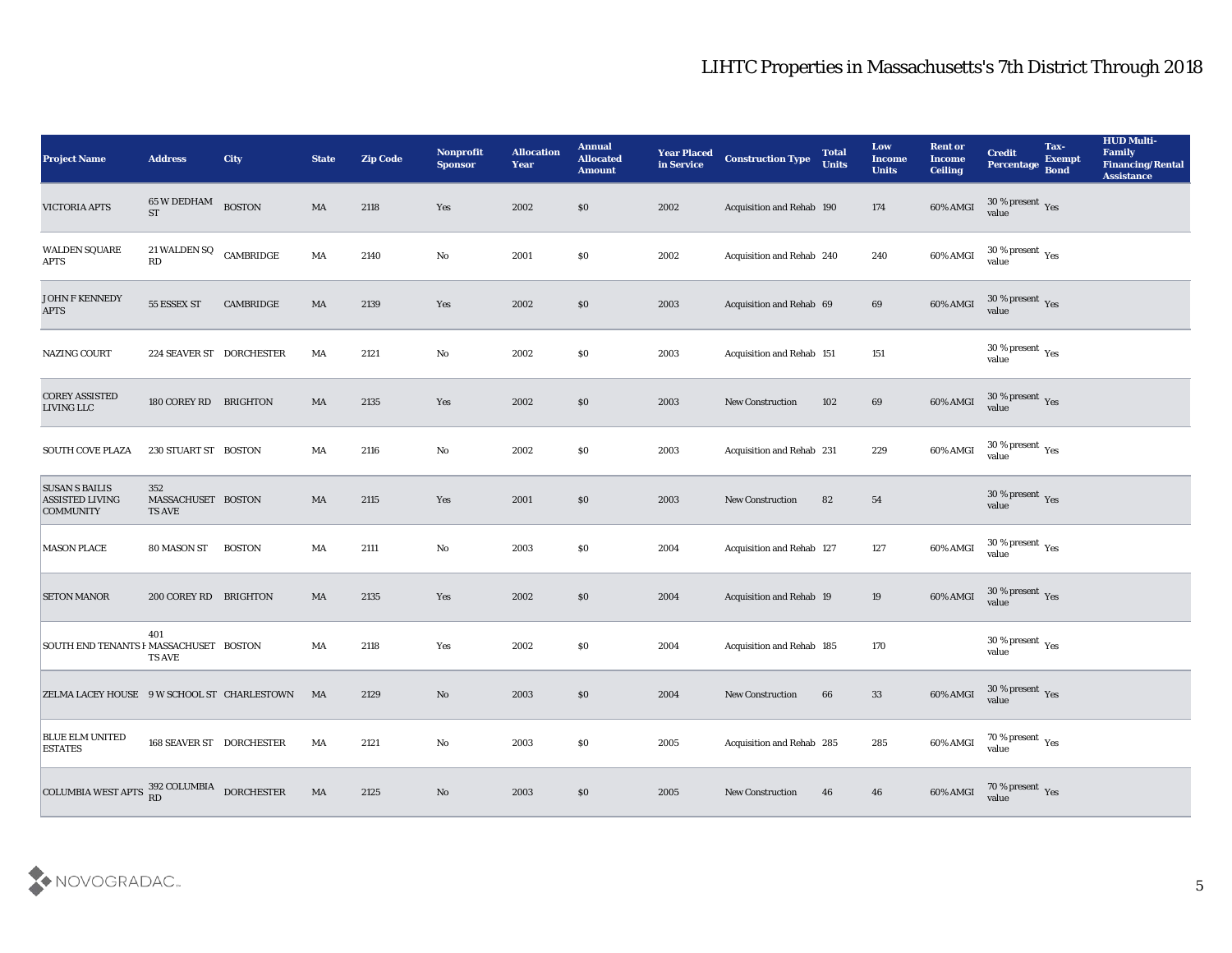| <b>Project Name</b>                                                 | <b>Address</b>                      | City              | <b>State</b> | <b>Zip Code</b> | <b>Nonprofit</b><br><b>Sponsor</b> | <b>Allocation</b><br>Year | <b>Annual</b><br><b>Allocated</b><br><b>Amount</b> | <b>Year Placed</b><br>in Service | <b>Construction Type</b>        | <b>Total</b><br><b>Units</b> | Low<br><b>Income</b><br><b>Units</b> | <b>Rent or</b><br><b>Income</b><br><b>Ceiling</b> | <b>Credit</b><br>Percentage                   | Tax-<br><b>Exempt</b><br><b>Bond</b> | <b>HUD Multi-</b><br>Family<br><b>Financing/Rental</b><br><b>Assistance</b> |
|---------------------------------------------------------------------|-------------------------------------|-------------------|--------------|-----------------|------------------------------------|---------------------------|----------------------------------------------------|----------------------------------|---------------------------------|------------------------------|--------------------------------------|---------------------------------------------------|-----------------------------------------------|--------------------------------------|-----------------------------------------------------------------------------|
| VICTORIA APTS                                                       | 65 W DEDHAM<br><b>ST</b>            | <b>BOSTON</b>     | MA           | 2118            | Yes                                | 2002                      | \$0                                                | 2002                             | Acquisition and Rehab 190       |                              | 174                                  | 60% AMGI                                          | $30\,\%$ present $\,$ Yes value               |                                      |                                                                             |
| WALDEN SQUARE<br><b>APTS</b>                                        | 21 WALDEN SQ<br>RD                  | CAMBRIDGE         | MA           | 2140            | $\mathbf{No}$                      | 2001                      | \$0                                                | 2002                             | Acquisition and Rehab 240       |                              | 240                                  | 60% AMGI                                          | $30\,\%$ present $\,$ Yes value               |                                      |                                                                             |
| JOHN F KENNEDY<br><b>APTS</b>                                       | 55 ESSEX ST                         | CAMBRIDGE         | MA           | 2139            | Yes                                | 2002                      | \$0                                                | 2003                             | Acquisition and Rehab 69        |                              | 69                                   | 60% AMGI                                          | $30\,\%$ present $\,$ Yes value               |                                      |                                                                             |
| <b>NAZING COURT</b>                                                 | 224 SEAVER ST DORCHESTER            |                   | MA           | 2121            | No                                 | 2002                      | \$0\$                                              | 2003                             | Acquisition and Rehab 151       |                              | 151                                  |                                                   | $30\,\%$ present $\,$ Yes value               |                                      |                                                                             |
| <b>COREY ASSISTED</b><br>LIVING LLC                                 | 180 COREY RD BRIGHTON               |                   | MA           | 2135            | Yes                                | 2002                      | \$0                                                | 2003                             | <b>New Construction</b>         | 102                          | $69\,$                               | 60% AMGI                                          | $30\,\%$ present $\,$ Yes value               |                                      |                                                                             |
| <b>SOUTH COVE PLAZA</b>                                             | 230 STUART ST BOSTON                |                   | MA           | 2116            | No                                 | 2002                      | \$0                                                | 2003                             | Acquisition and Rehab 231       |                              | 229                                  | 60% AMGI                                          | $30\,\%$ present $\,$ Yes value               |                                      |                                                                             |
| <b>SUSAN S BAILIS</b><br><b>ASSISTED LIVING</b><br><b>COMMUNITY</b> | 352<br>MASSACHUSET BOSTON<br>TS AVE |                   | MA           | 2115            | Yes                                | 2001                      | \$0                                                | 2003                             | <b>New Construction</b>         | 82                           | 54                                   |                                                   | $30\,\%$ present $\,$ Yes value               |                                      |                                                                             |
| <b>MASON PLACE</b>                                                  | 80 MASON ST                         | <b>BOSTON</b>     | MA           | 2111            | No                                 | 2003                      | \$0                                                | 2004                             | Acquisition and Rehab 127       |                              | 127                                  | 60% AMGI                                          | $30\,\%$ present $\,$ Yes value               |                                      |                                                                             |
| <b>SETON MANOR</b>                                                  | 200 COREY RD BRIGHTON               |                   | MA           | 2135            | Yes                                | 2002                      | \$0                                                | 2004                             | <b>Acquisition and Rehab 19</b> |                              | 19                                   | 60% AMGI                                          | $30\,\%$ present $\,$ Yes value               |                                      |                                                                             |
| SOUTH END TENANTS F MASSACHUSET BOSTON                              | 401<br><b>TS AVE</b>                |                   | MA           | 2118            | Yes                                | 2002                      | \$0                                                | 2004                             | Acquisition and Rehab 185       |                              | 170                                  |                                                   | $30\,\%$ present $\,$ Yes value               |                                      |                                                                             |
| ZELMA LACEY HOUSE 9 W SCHOOL ST CHARLESTOWN MA                      |                                     |                   |              | 2129            | No                                 | 2003                      | $\$0$                                              | 2004                             | <b>New Construction</b>         | 66                           | 33                                   | 60% AMGI                                          | 30 % present $\,\rm \gamma_{\rm es}$<br>value |                                      |                                                                             |
| <b>BLUE ELM UNITED</b><br><b>ESTATES</b>                            | 168 SEAVER ST DORCHESTER            |                   | MA           | 2121            | $\rm\thinspace No$                 | 2003                      | \$0                                                | 2005                             | Acquisition and Rehab 285       |                              | 285                                  | 60% AMGI                                          | $70\,\%$ present $\,$ Yes value               |                                      |                                                                             |
| COLUMBIA WEST APTS 392 COLUMBIA                                     |                                     | <b>DORCHESTER</b> | MA           | 2125            | $\rm\thinspace No$                 | 2003                      | \$0                                                | 2005                             | <b>New Construction</b>         | 46                           | 46                                   | 60% AMGI                                          | $70\,\%$ present $\,\mathrm{Yes}$ value       |                                      |                                                                             |

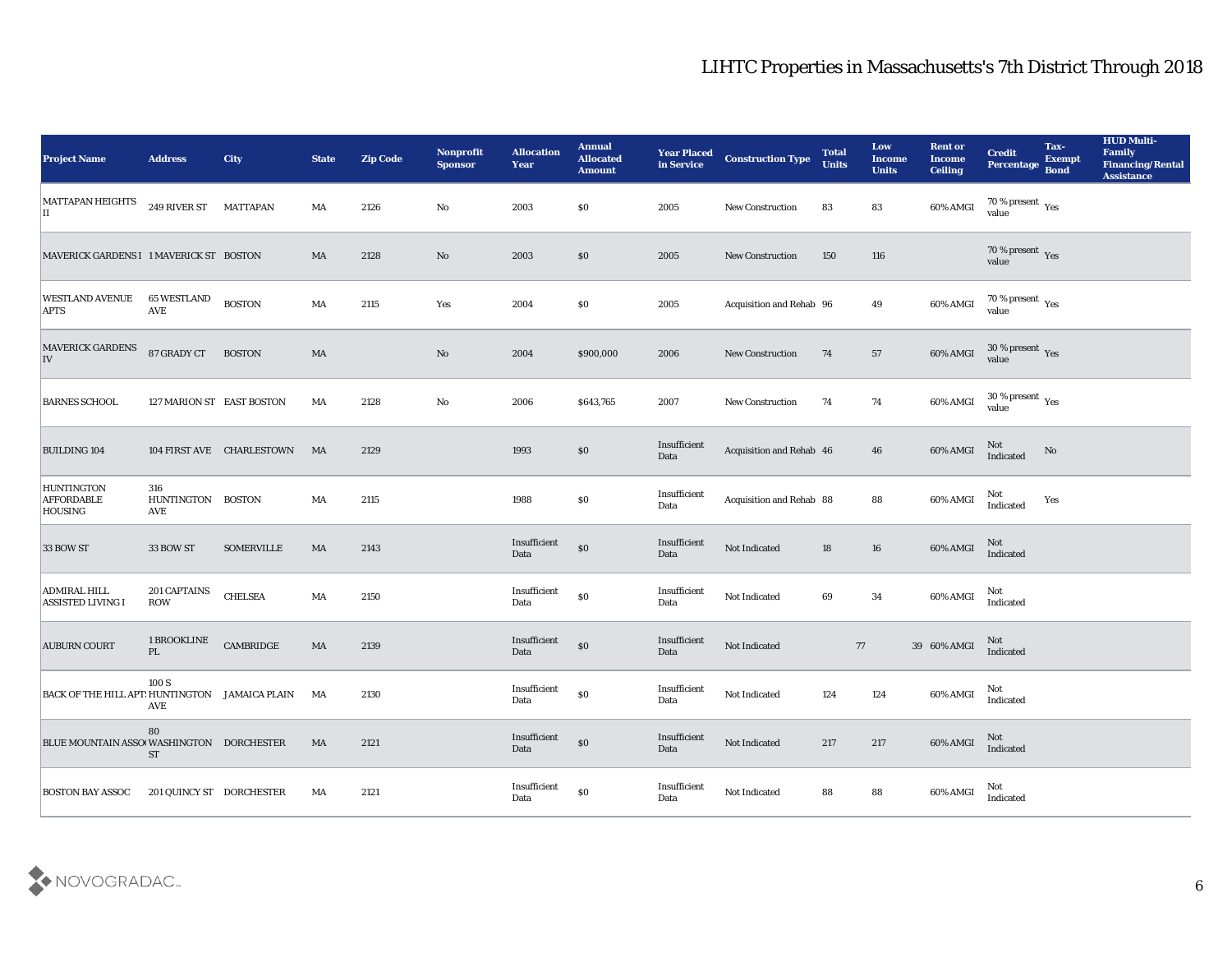| <b>Project Name</b>                                      | <b>Address</b>                   | City                      | <b>State</b> | <b>Zip Code</b> | Nonprofit<br><b>Sponsor</b> | <b>Allocation</b><br><b>Year</b>          | <b>Annual</b><br><b>Allocated</b><br><b>Amount</b> | <b>Year Placed</b><br>in Service            | <b>Construction Type</b> | <b>Total</b><br><b>Units</b> | Low<br><b>Income</b><br><b>Units</b> | <b>Rent or</b><br><b>Income</b><br><b>Ceiling</b> | <b>Credit</b><br>Percentage     | Tax-<br><b>Exempt</b><br><b>Bond</b> | <b>HUD Multi-</b><br>Family<br><b>Financing/Rental</b><br><b>Assistance</b> |
|----------------------------------------------------------|----------------------------------|---------------------------|--------------|-----------------|-----------------------------|-------------------------------------------|----------------------------------------------------|---------------------------------------------|--------------------------|------------------------------|--------------------------------------|---------------------------------------------------|---------------------------------|--------------------------------------|-----------------------------------------------------------------------------|
| MATTAPAN HEIGHTS<br>IІ                                   | 249 RIVER ST                     | <b>MATTAPAN</b>           | MA           | 2126            | No                          | 2003                                      | $\$0$                                              | 2005                                        | New Construction         | 83                           | 83                                   | 60% AMGI                                          | $70\,\%$ present $\,$ Yes value |                                      |                                                                             |
| MAVERICK GARDENS I 1 MAVERICK ST BOSTON                  |                                  |                           | MA           | 2128            | No                          | 2003                                      | $\$0$                                              | 2005                                        | New Construction         | 150                          | 116                                  |                                                   | $70\,\%$ present $\,$ Yes value |                                      |                                                                             |
| <b>WESTLAND AVENUE</b><br><b>APTS</b>                    | <b>65 WESTLAND</b><br><b>AVE</b> | <b>BOSTON</b>             | MA           | 2115            | Yes                         | 2004                                      | \$0                                                | 2005                                        | Acquisition and Rehab 96 |                              | 49                                   | 60% AMGI                                          | $70\,\%$ present $\,$ Yes value |                                      |                                                                             |
| <b>MAVERICK GARDENS</b><br>IV                            | 87 GRADY CT                      | <b>BOSTON</b>             | MA           |                 | $\rm\thinspace No$          | 2004                                      | \$900,000                                          | 2006                                        | <b>New Construction</b>  | 74                           | 57                                   | 60% AMGI                                          | $30\,\%$ present $\,$ Yes value |                                      |                                                                             |
| <b>BARNES SCHOOL</b>                                     | 127 MARION ST EAST BOSTON        |                           | MA           | 2128            | $\mathbf{No}$               | 2006                                      | \$643,765                                          | 2007                                        | New Construction         | 74                           | 74                                   | 60% AMGI                                          | $30\,\%$ present $\,$ Yes value |                                      |                                                                             |
| <b>BUILDING 104</b>                                      |                                  | 104 FIRST AVE CHARLESTOWN | MA           | 2129            |                             | 1993                                      | \$0                                                | Insufficient<br>Data                        | Acquisition and Rehab 46 |                              | 46                                   | 60% AMGI                                          | Not<br>Indicated                | No                                   |                                                                             |
| <b>HUNTINGTON</b><br><b>AFFORDABLE</b><br><b>HOUSING</b> | 316<br>HUNTINGTON<br>AVE         | <b>BOSTON</b>             | MA           | 2115            |                             | 1988                                      | \$0                                                | Insufficient<br>Data                        | Acquisition and Rehab 88 |                              | 88                                   | 60% AMGI                                          | Not<br>Indicated                | Yes                                  |                                                                             |
| 33 BOW ST                                                | 33 BOW ST                        | <b>SOMERVILLE</b>         | MA           | 2143            |                             | Insufficient<br>Data                      | $\$0$                                              | Insufficient<br>Data                        | Not Indicated            | 18                           | 16                                   | 60% AMGI                                          | Not<br>Indicated                |                                      |                                                                             |
| ADMIRAL HILL<br><b>ASSISTED LIVING I</b>                 | 201 CAPTAINS<br>ROW              | <b>CHELSEA</b>            | MA           | 2150            |                             | Insufficient<br>Data                      | $\$0$                                              | Insufficient<br>Data                        | Not Indicated            | 69                           | 34                                   | 60% AMGI                                          | Not<br>Indicated                |                                      |                                                                             |
| <b>AUBURN COURT</b>                                      | 1 BROOKLINE<br>PL                | CAMBRIDGE                 | MA           | 2139            |                             | Insufficient<br>Data                      | $\$0$                                              | Insufficient<br>Data                        | Not Indicated            |                              | 77                                   | 39 60% AMGI                                       | Not<br>Indicated                |                                      |                                                                             |
| BACK OF THE HILL APT: HUNTINGTON JAMAICA PLAIN           | 100S<br>AVE                      |                           | MA           | 2130            |                             | Insufficient<br>Data                      | $\$0$                                              | Insufficient<br>Data                        | Not Indicated            | 124                          | 124                                  | 60% AMGI                                          | Not<br>Indicated                |                                      |                                                                             |
| BLUE MOUNTAIN ASSO WASHINGTON DORCHESTER                 | 80<br><b>ST</b>                  |                           | MA           | 2121            |                             | Insufficient<br>Data                      | $\boldsymbol{\mathsf{S}}\boldsymbol{\mathsf{0}}$   | $\label{lem:optimal} In sufficient$<br>Data | Not Indicated            | 217                          | $217\,$                              | 60% AMGI                                          | Not<br>Indicated                |                                      |                                                                             |
| <b>BOSTON BAY ASSOC</b>                                  | 201 QUINCY ST DORCHESTER         |                           | MA           | 2121            |                             | $\label{lem:inert} In sufficient$<br>Data | $\$0$                                              | Insufficient<br>Data                        | Not Indicated            | 88                           | ${\bf 88}$                           | 60% AMGI                                          | Not<br>Indicated                |                                      |                                                                             |

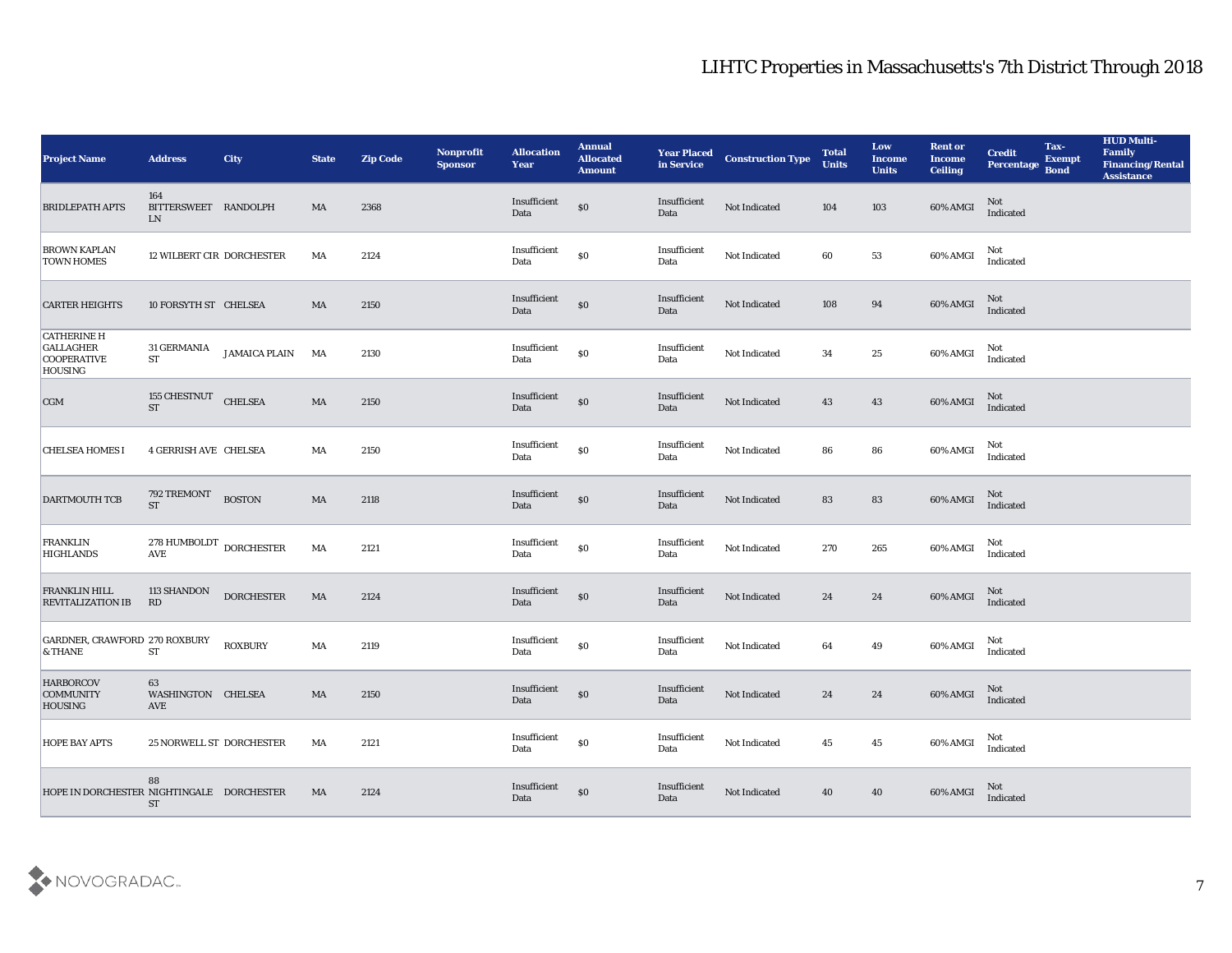| <b>Project Name</b>                                                     | <b>Address</b>                                    | City                 | <b>State</b>           | <b>Zip Code</b> | Nonprofit<br><b>Sponsor</b> | <b>Allocation</b><br>Year                 | <b>Annual</b><br><b>Allocated</b><br><b>Amount</b> | <b>Year Placed<br/>in Service</b> | <b>Construction Type</b> | <b>Total</b><br><b>Units</b> | Low<br><b>Income</b><br><b>Units</b> | <b>Rent or</b><br><b>Income</b><br><b>Ceiling</b> | <b>Credit</b><br>Percentage | Tax-<br><b>Exempt</b><br><b>Bond</b> | <b>HUD Multi-</b><br>Family<br><b>Financing/Rental</b><br><b>Assistance</b> |
|-------------------------------------------------------------------------|---------------------------------------------------|----------------------|------------------------|-----------------|-----------------------------|-------------------------------------------|----------------------------------------------------|-----------------------------------|--------------------------|------------------------------|--------------------------------------|---------------------------------------------------|-----------------------------|--------------------------------------|-----------------------------------------------------------------------------|
| <b>BRIDLEPATH APTS</b>                                                  | 164<br>BITTERSWEET RANDOLPH<br>LN                 |                      | MA                     | 2368            |                             | Insufficient<br>Data                      | $\boldsymbol{\mathsf{S}}\boldsymbol{\mathsf{O}}$   | Insufficient<br>Data              | Not Indicated            | 104                          | 103                                  | 60% AMGI                                          | Not<br>Indicated            |                                      |                                                                             |
| <b>BROWN KAPLAN</b><br><b>TOWN HOMES</b>                                | 12 WILBERT CIR DORCHESTER                         |                      | MA                     | 2124            |                             | Insufficient<br>Data                      | $\$0$                                              | Insufficient<br>Data              | Not Indicated            | 60                           | $53\,$                               | 60% AMGI                                          | Not<br>Indicated            |                                      |                                                                             |
| <b>CARTER HEIGHTS</b>                                                   | 10 FORSYTH ST CHELSEA                             |                      | MA                     | 2150            |                             | Insufficient<br>Data                      | $\$0$                                              | Insufficient<br>Data              | Not Indicated            | 108                          | $\bf{94}$                            | $60\%$ AMGI                                       | Not<br>Indicated            |                                      |                                                                             |
| <b>CATHERINE H</b><br><b>GALLAGHER</b><br><b>COOPERATIVE</b><br>HOUSING | 31 GERMANIA<br><b>ST</b>                          | <b>JAMAICA PLAIN</b> | MA                     | 2130            |                             | $\label{lem:inert} In sufficient$<br>Data | $\$0$                                              | Insufficient<br>Data              | Not Indicated            | 34                           | $25\,$                               | 60% AMGI                                          | Not<br>Indicated            |                                      |                                                                             |
| <b>CGM</b>                                                              | 155 CHESTNUT<br>ST                                | <b>CHELSEA</b>       | MA                     | 2150            |                             | Insufficient<br>Data                      | $\$0$                                              | Insufficient<br>Data              | Not Indicated            | 43                           | 43                                   | 60% AMGI                                          | Not<br>Indicated            |                                      |                                                                             |
| <b>CHELSEA HOMES I</b>                                                  | <b>4 GERRISH AVE CHELSEA</b>                      |                      | MA                     | 2150            |                             | Insufficient<br>Data                      | $\boldsymbol{\mathsf{S}}\boldsymbol{\mathsf{O}}$   | Insufficient<br>Data              | Not Indicated            | 86                           | 86                                   | 60% AMGI                                          | Not<br>Indicated            |                                      |                                                                             |
| <b>DARTMOUTH TCB</b>                                                    | 792 TREMONT<br>$\operatorname{\mathbf{ST}}$       | <b>BOSTON</b>        | $\mathbf{M}\mathbf{A}$ | 2118            |                             | Insufficient<br>Data                      | $\$0$                                              | Insufficient<br>Data              | Not Indicated            | 83                           | ${\bf 83}$                           | 60% AMGI                                          | Not<br>Indicated            |                                      |                                                                             |
| FRANKLIN<br><b>HIGHLANDS</b>                                            | $278$ HUMBOLDT $_{\rm{DORCHESTER}}$<br><b>AVE</b> |                      | MA                     | 2121            |                             | Insufficient<br>Data                      | $\$0$                                              | Insufficient<br>Data              | Not Indicated            | 270                          | ${\bf 265}$                          | 60% AMGI                                          | Not<br>Indicated            |                                      |                                                                             |
| FRANKLIN HILL<br><b>REVITALIZATION IB</b>                               | 113 SHANDON<br>$\mathbf{R}\mathbf{D}$             | <b>DORCHESTER</b>    | MA                     | 2124            |                             | Insufficient<br>Data                      | $\$0$                                              | Insufficient<br>Data              | Not Indicated            | 24                           | 24                                   | 60% AMGI                                          | Not<br>Indicated            |                                      |                                                                             |
| GARDNER, CRAWFORD 270 ROXBURY<br>$\&$ THANE                             | $\operatorname{ST}$                               | <b>ROXBURY</b>       | MA                     | 2119            |                             | Insufficient<br>Data                      | $\$0$                                              | Insufficient<br>Data              | Not Indicated            | 64                           | 49                                   | 60% AMGI                                          | Not<br>Indicated            |                                      |                                                                             |
| <b>HARBORCOV</b><br><b>COMMUNITY</b><br>HOUSING                         | 63<br>WASHINGTON CHELSEA<br>AVE                   |                      | MA                     | 2150            |                             | Insufficient<br>Data                      | $\$0$                                              | Insufficient<br>Data              | Not Indicated            | 24                           | 24                                   | 60% AMGI                                          | Not<br>Indicated            |                                      |                                                                             |
| <b>HOPE BAY APTS</b>                                                    | 25 NORWELL ST DORCHESTER                          |                      | MA                     | 2121            |                             | Insufficient<br>Data                      | $\boldsymbol{\mathsf{S}}\boldsymbol{\mathsf{O}}$   | Insufficient<br>Data              | Not Indicated            | 45                           | 45                                   | 60% AMGI                                          | Not<br>Indicated            |                                      |                                                                             |
| HOPE IN DORCHESTER NIGHTINGALE DORCHESTER                               | 88<br><b>ST</b>                                   |                      | MA                     | 2124            |                             | $\label{lem:inert} In sufficient$<br>Data | $\$0$                                              | Insufficient<br>Data              | Not Indicated            | 40                           | 40                                   | 60% AMGI                                          | Not<br>Indicated            |                                      |                                                                             |

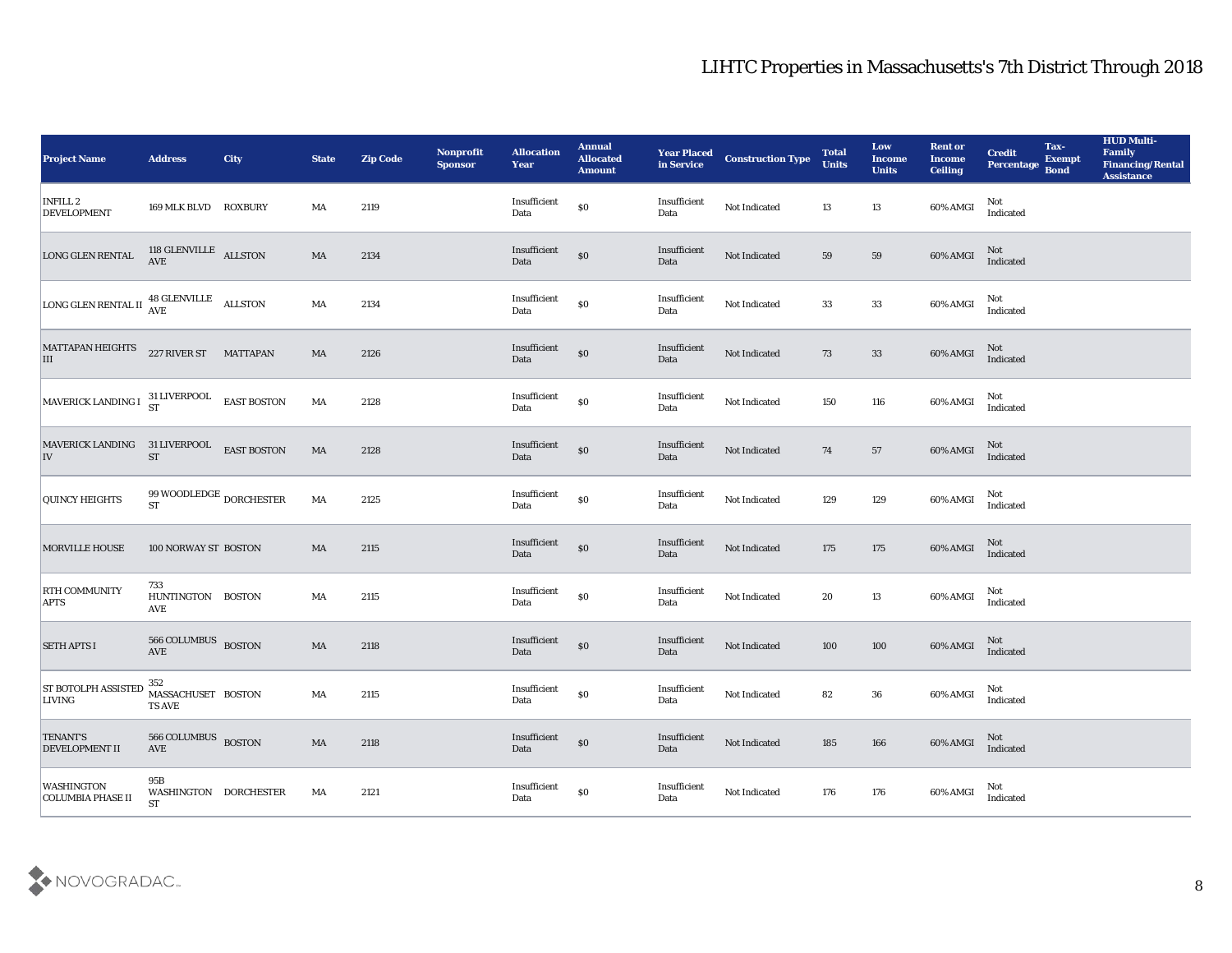| <b>Project Name</b>                                                                                                    | <b>Address</b>                                       | City            | <b>State</b>           | <b>Zip Code</b> | Nonprofit<br><b>Sponsor</b> | <b>Allocation</b><br><b>Year</b> | <b>Annual</b><br><b>Allocated</b><br><b>Amount</b> | <b>Year Placed<br/>in Service</b> | <b>Construction Type</b> | <b>Total</b><br><b>Units</b> | Low<br><b>Income</b><br><b>Units</b> | <b>Rent or</b><br><b>Income</b><br><b>Ceiling</b> | <b>Credit</b><br>Percentage | Tax-<br><b>Exempt</b><br><b>Bond</b> | <b>HUD Multi-</b><br>Family<br><b>Financing/Rental</b><br><b>Assistance</b> |
|------------------------------------------------------------------------------------------------------------------------|------------------------------------------------------|-----------------|------------------------|-----------------|-----------------------------|----------------------------------|----------------------------------------------------|-----------------------------------|--------------------------|------------------------------|--------------------------------------|---------------------------------------------------|-----------------------------|--------------------------------------|-----------------------------------------------------------------------------|
| INFILL 2<br><b>DEVELOPMENT</b>                                                                                         | 169 MLK BLVD ROXBURY                                 |                 | MA                     | 2119            |                             | Insufficient<br>Data             | \$0                                                | Insufficient<br>Data              | Not Indicated            | 13                           | 13                                   | 60% AMGI                                          | Not<br>Indicated            |                                      |                                                                             |
| LONG GLEN RENTAL                                                                                                       | 118 GLENVILLE ALLSTON                                |                 | MA                     | 2134            |                             | Insufficient<br>Data             | $\$0$                                              | Insufficient<br>Data              | Not Indicated            | 59                           | 59                                   | 60% AMGI                                          | Not<br>Indicated            |                                      |                                                                             |
| LONG GLEN RENTAL II 48 GLENVILLE ALLSTON                                                                               |                                                      |                 | MA                     | 2134            |                             | Insufficient<br>Data             | $\$0$                                              | Insufficient<br>Data              | Not Indicated            | 33                           | 33                                   | $60\%$ AMGI                                       | Not<br>Indicated            |                                      |                                                                             |
| <b>MATTAPAN HEIGHTS</b><br>III                                                                                         | 227 RIVER ST                                         | <b>MATTAPAN</b> | MA                     | 2126            |                             | Insufficient<br>Data             | $\boldsymbol{\mathsf{S}}\boldsymbol{\mathsf{0}}$   | Insufficient<br>Data              | Not Indicated            | 73                           | 33                                   | 60% AMGI                                          | Not<br>Indicated            |                                      |                                                                             |
| MAVERICK LANDING I 31 LIVERPOOL EAST BOSTON                                                                            |                                                      |                 | MA                     | 2128            |                             | Insufficient<br>Data             | $\$0$                                              | Insufficient<br>Data              | Not Indicated            | 150                          | $116\,$                              | 60% AMGI                                          | Not<br>Indicated            |                                      |                                                                             |
| $\begin{tabular}{ll} \bf MAVERICK LANDING & \tt 31 LIVERPOOL & \tt East \,BOST ON \\ \bf IV & \tt ST \\ \end{tabular}$ |                                                      |                 | MA                     | 2128            |                             | Insufficient<br>Data             | $\$0$                                              | Insufficient<br>Data              | Not Indicated            | 74                           | 57                                   | 60% AMGI                                          | Not<br>Indicated            |                                      |                                                                             |
| QUINCY HEIGHTS                                                                                                         | 99 WOODLEDGE $_{\rm{DORCHESTER}}$                    |                 | MA                     | 2125            |                             | Insufficient<br>Data             | $\$0$                                              | Insufficient<br>Data              | Not Indicated            | 129                          | 129                                  | 60% AMGI                                          | Not<br>Indicated            |                                      |                                                                             |
| MORVILLE HOUSE                                                                                                         | 100 NORWAY ST BOSTON                                 |                 | MA                     | 2115            |                             | Insufficient<br>Data             | $\$0$                                              | Insufficient<br>Data              | Not Indicated            | 175                          | $175\,$                              | $60\%$ AMGI                                       | Not<br>Indicated            |                                      |                                                                             |
| <b>RTH COMMUNITY</b><br><b>APTS</b>                                                                                    | 733<br>HUNTINGTON BOSTON<br>AVE                      |                 | MA                     | 2115            |                             | Insufficient<br>Data             | $\$0$                                              | Insufficient<br>Data              | Not Indicated            | 20                           | 13                                   | 60% AMGI                                          | Not<br>Indicated            |                                      |                                                                             |
| <b>SETH APTS I</b>                                                                                                     | $566$ COLUMBUS $\,$ BOSTON AVE                       |                 | MA                     | 2118            |                             | Insufficient<br>Data             | $\$0$                                              | Insufficient<br>Data              | Not Indicated            | 100                          | 100                                  | 60% AMGI                                          | Not<br>Indicated            |                                      |                                                                             |
| <b>ST BOTOLPH ASSISTED</b><br><b>LIVING</b>                                                                            | 352<br>MASSACHUSET BOSTON<br>TS AVE                  |                 | MA                     | 2115            |                             | Insufficient<br>Data             | $\$0$                                              | Insufficient<br>Data              | Not Indicated            | 82                           | 36                                   | 60% AMGI                                          | Not<br>Indicated            |                                      |                                                                             |
| TENANT'S<br><b>DEVELOPMENT II</b>                                                                                      | 566 COLUMBUS BOSTON<br>AVE                           |                 | $\mathbf{M}\mathbf{A}$ | 2118            |                             | Insufficient<br>Data             | $\boldsymbol{\mathsf{S}}\boldsymbol{\mathsf{0}}$   | Insufficient<br>Data              | Not Indicated            | 185                          | 166                                  | 60% AMGI                                          | Not<br>Indicated            |                                      |                                                                             |
| <b>WASHINGTON</b><br>COLUMBIA PHASE II                                                                                 | $95\mathrm{B}$<br>WASHINGTON DORCHESTER<br><b>ST</b> |                 | MA                     | 2121            |                             | Insufficient<br>Data             | $\$0$                                              | Insufficient<br>Data              | Not Indicated            | 176                          | 176                                  | 60% AMGI                                          | Not<br>Indicated            |                                      |                                                                             |

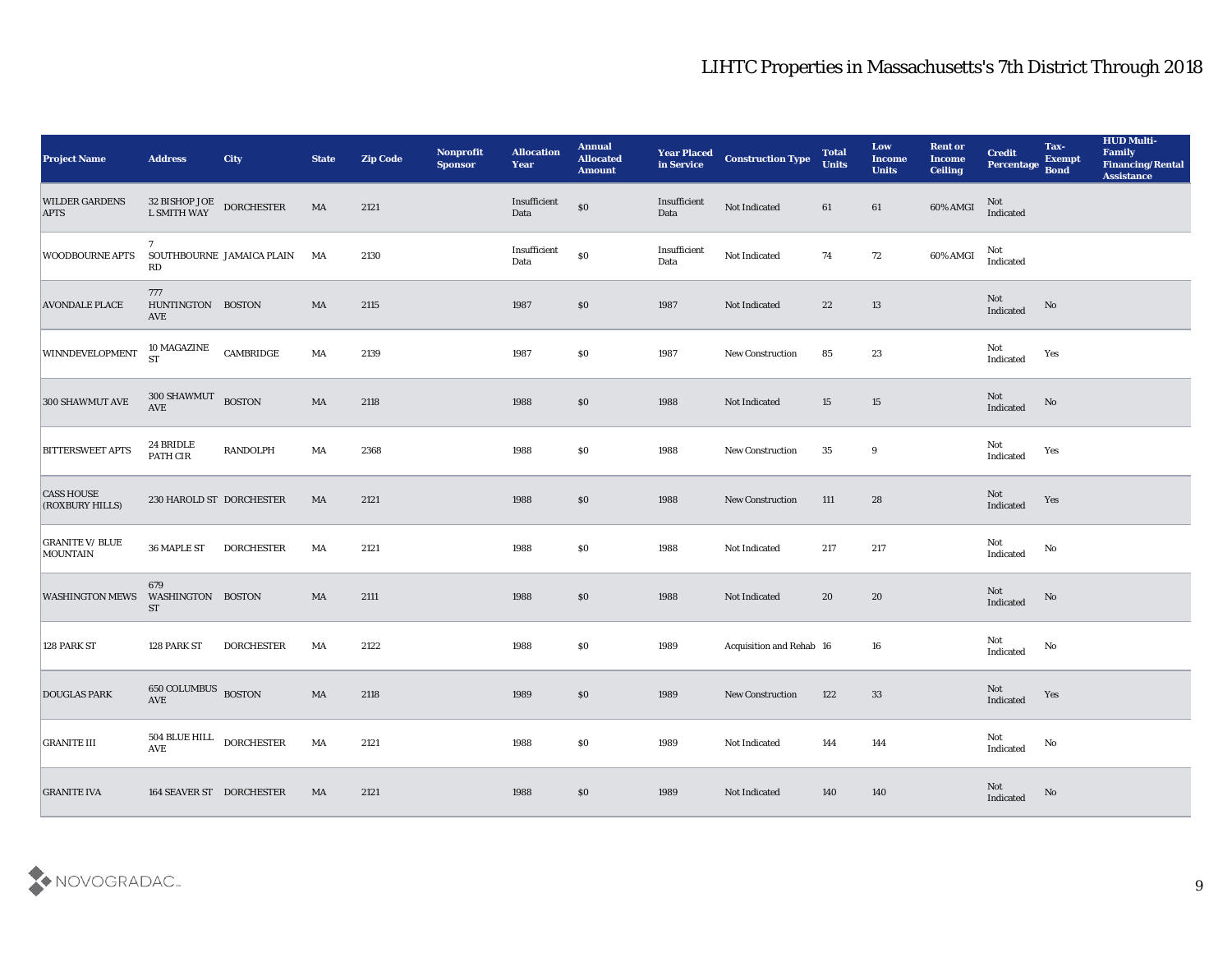| <b>Project Name</b>                       | <b>Address</b>                                   | <b>City</b>               | <b>State</b> | <b>Zip Code</b> | Nonprofit<br><b>Sponsor</b> | <b>Allocation</b><br><b>Year</b> | <b>Annual</b><br><b>Allocated</b><br><b>Amount</b> | <b>Year Placed</b><br>in Service | <b>Construction Type</b> | <b>Total</b><br><b>Units</b> | Low<br><b>Income</b><br><b>Units</b> | <b>Rent or</b><br><b>Income</b><br><b>Ceiling</b> | <b>Credit</b><br>Percentage Bond  | Tax-<br><b>Exempt</b>  | <b>HUD Multi-</b><br>Family<br><b>Financing/Rental</b><br><b>Assistance</b> |
|-------------------------------------------|--------------------------------------------------|---------------------------|--------------|-----------------|-----------------------------|----------------------------------|----------------------------------------------------|----------------------------------|--------------------------|------------------------------|--------------------------------------|---------------------------------------------------|-----------------------------------|------------------------|-----------------------------------------------------------------------------|
| <b>WILDER GARDENS</b><br><b>APTS</b>      | $32$ BISHOP JOE $\;$ DORCHESTER $\;$ L SMITH WAY |                           | MA           | 2121            |                             | Insufficient<br>Data             | $\$0$                                              | Insufficient<br>Data             | Not Indicated            | 61                           | 61                                   | 60% AMGI                                          | Not<br>Indicated                  |                        |                                                                             |
| <b>WOODBOURNE APTS</b>                    | $\mathbf{7}$<br><b>RD</b>                        | SOUTHBOURNE JAMAICA PLAIN | MA           | 2130            |                             | Insufficient<br>Data             | $\$0$                                              | Insufficient<br>Data             | Not Indicated            | 74                           | 72                                   | 60% AMGI                                          | Not<br>Indicated                  |                        |                                                                             |
| <b>AVONDALE PLACE</b>                     | 777<br>HUNTINGTON BOSTON<br>AVE                  |                           | MA           | 2115            |                             | 1987                             | $\$0$                                              | 1987                             | Not Indicated            | 22                           | 13                                   |                                                   | Not<br>Indicated                  | No                     |                                                                             |
| WINNDEVELOPMENT                           | 10 MAGAZINE<br><b>ST</b>                         | CAMBRIDGE                 | MA           | 2139            |                             | 1987                             | $\$0$                                              | 1987                             | New Construction         | 85                           | 23                                   |                                                   | Not<br>$\operatorname{Indicated}$ | Yes                    |                                                                             |
| 300 SHAWMUT AVE                           | 300 SHAWMUT<br>$\operatorname{AVE}$              | <b>BOSTON</b>             | MA           | 2118            |                             | 1988                             | $\$0$                                              | 1988                             | Not Indicated            | 15                           | 15                                   |                                                   | Not<br>Indicated                  | No                     |                                                                             |
| <b>BITTERSWEET APTS</b>                   | 24 BRIDLE<br>PATH CIR                            | <b>RANDOLPH</b>           | MA           | 2368            |                             | 1988                             | $\$0$                                              | 1988                             | <b>New Construction</b>  | 35                           | 9                                    |                                                   | Not<br>Indicated                  | Yes                    |                                                                             |
| <b>CASS HOUSE</b><br>(ROXBURY HILLS)      | 230 HAROLD ST DORCHESTER                         |                           | MA           | 2121            |                             | 1988                             | \$0                                                | 1988                             | <b>New Construction</b>  | 111                          | 28                                   |                                                   | Not<br>Indicated                  | Yes                    |                                                                             |
| <b>GRANITE V/ BLUE</b><br><b>MOUNTAIN</b> | 36 MAPLE ST                                      | <b>DORCHESTER</b>         | MA           | 2121            |                             | 1988                             | \$0                                                | 1988                             | Not Indicated            | 217                          | 217                                  |                                                   | Not<br>Indicated                  | No                     |                                                                             |
| <b>WASHINGTON MEWS</b>                    | 679<br>WASHINGTON BOSTON<br>$\operatorname{ST}$  |                           | MA           | 2111            |                             | 1988                             | \$0                                                | 1988                             | Not Indicated            | 20                           | 20                                   |                                                   | Not<br>Indicated                  | No                     |                                                                             |
| 128 PARK ST                               | 128 PARK ST                                      | <b>DORCHESTER</b>         | MA           | 2122            |                             | 1988                             | $\$0$                                              | 1989                             | Acquisition and Rehab 16 |                              | 16                                   |                                                   | Not<br>Indicated                  | No                     |                                                                             |
| <b>DOUGLAS PARK</b>                       | <b>650 COLUMBUS BOSTON</b><br><b>AVE</b>         |                           | MA           | 2118            |                             | 1989                             | \$0                                                | 1989                             | <b>New Construction</b>  | 122                          | 33                                   |                                                   | Not<br>Indicated                  | Yes                    |                                                                             |
| <b>GRANITE III</b>                        | $504$ BLUE HILL $\quad$ DORCHESTER AVE           |                           | MA           | 2121            |                             | 1988                             | \$0                                                | 1989                             | Not Indicated            | 144                          | 144                                  |                                                   | Not<br>Indicated                  | $\mathbf{N}\mathbf{o}$ |                                                                             |
| <b>GRANITE IVA</b>                        | 164 SEAVER ST DORCHESTER                         |                           | MA           | 2121            |                             | 1988                             | $\$0$                                              | 1989                             | Not Indicated            | 140                          | 140                                  |                                                   | Not<br>Indicated                  | $\mathbf{N}\mathbf{o}$ |                                                                             |

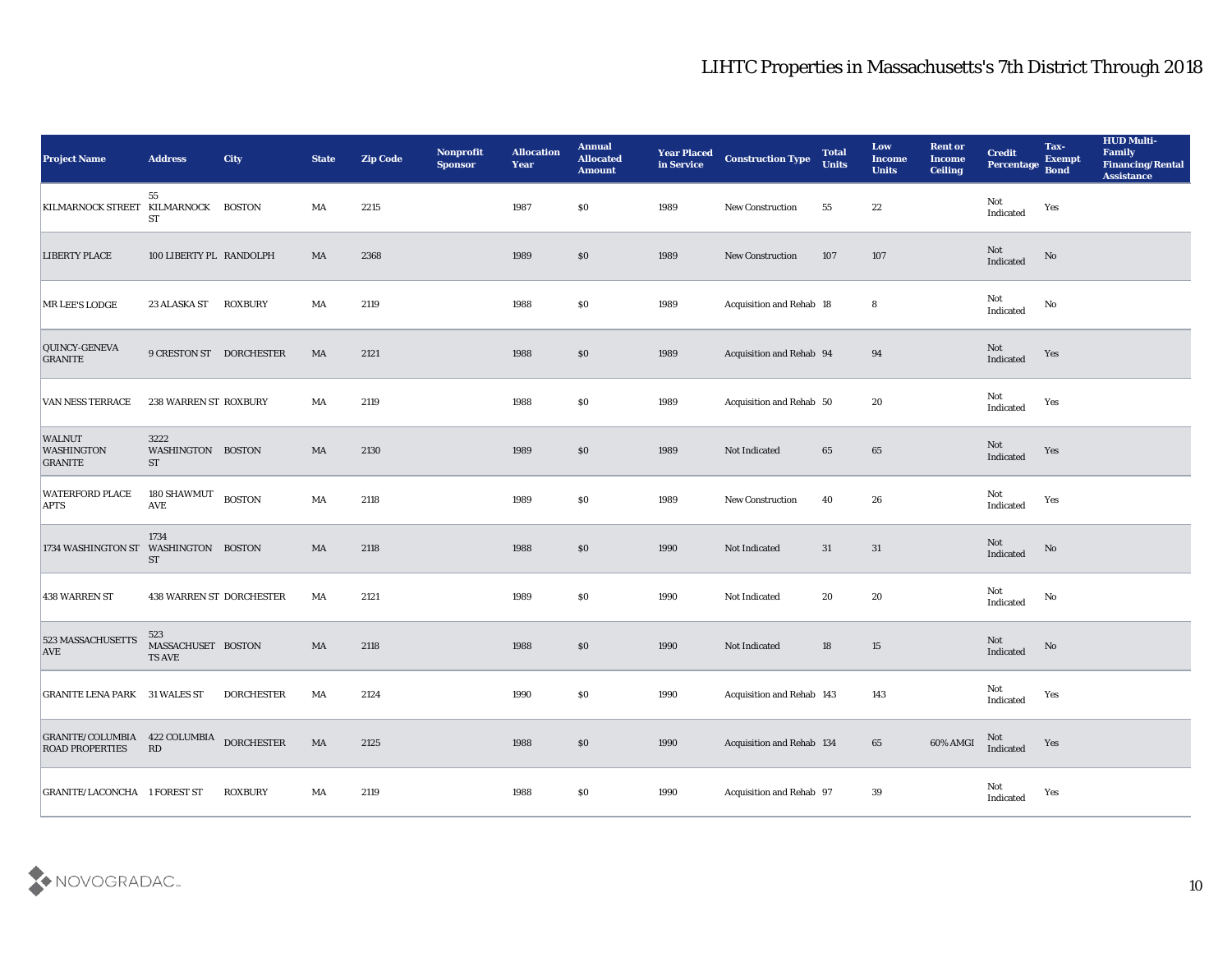| <b>Project Name</b>                                     | <b>Address</b>                         | <b>City</b>       | <b>State</b> | <b>Zip Code</b> | Nonprofit<br><b>Sponsor</b> | <b>Allocation</b><br>Year | <b>Annual</b><br><b>Allocated</b><br><b>Amount</b> | <b>Year Placed</b><br>in Service | <b>Construction Type</b>  | <b>Total</b><br><b>Units</b> | Low<br><b>Income</b><br><b>Units</b> | <b>Rent or</b><br><b>Income</b><br><b>Ceiling</b> | <b>Credit</b><br>Percentage                                 | Tax-<br><b>Exempt</b><br><b>Bond</b> | <b>HUD Multi-</b><br>Family<br><b>Financing/Rental</b><br><b>Assistance</b> |
|---------------------------------------------------------|----------------------------------------|-------------------|--------------|-----------------|-----------------------------|---------------------------|----------------------------------------------------|----------------------------------|---------------------------|------------------------------|--------------------------------------|---------------------------------------------------|-------------------------------------------------------------|--------------------------------------|-----------------------------------------------------------------------------|
| KILMARNOCK STREET KILMARNOCK BOSTON                     | 55<br>ST                               |                   | MA           | 2215            |                             | 1987                      | \$0                                                | 1989                             | <b>New Construction</b>   | 55                           | 22                                   |                                                   | Not<br>Indicated                                            | Yes                                  |                                                                             |
| <b>LIBERTY PLACE</b>                                    | 100 LIBERTY PL RANDOLPH                |                   | MA           | 2368            |                             | 1989                      | $\$0$                                              | 1989                             | <b>New Construction</b>   | 107                          | 107                                  |                                                   | $\operatorname{\bf Not}$<br>Indicated                       | No                                   |                                                                             |
| <b>MR LEE'S LODGE</b>                                   | 23 ALASKA ST                           | <b>ROXBURY</b>    | MA           | 2119            |                             | 1988                      | \$0                                                | 1989                             | Acquisition and Rehab 18  |                              | 8                                    |                                                   | Not<br>Indicated                                            | No                                   |                                                                             |
| QUINCY-GENEVA<br><b>GRANITE</b>                         | 9 CRESTON ST DORCHESTER                |                   | MA           | 2121            |                             | 1988                      | \$0                                                | 1989                             | Acquisition and Rehab 94  |                              | 94                                   |                                                   | Not<br>Indicated                                            | Yes                                  |                                                                             |
| <b>VAN NESS TERRACE</b>                                 | 238 WARREN ST ROXBURY                  |                   | MA           | 2119            |                             | 1988                      | \$0                                                | 1989                             | Acquisition and Rehab 50  |                              | 20                                   |                                                   | Not<br>Indicated                                            | Yes                                  |                                                                             |
| <b>WALNUT</b><br><b>WASHINGTON</b><br><b>GRANITE</b>    | 3222<br>WASHINGTON BOSTON<br><b>ST</b> |                   | MA           | 2130            |                             | 1989                      | $\$0$                                              | 1989                             | Not Indicated             | 65                           | 65                                   |                                                   | Not<br>Indicated                                            | Yes                                  |                                                                             |
| <b>WATERFORD PLACE</b><br><b>APTS</b>                   | 180 SHAWMUT<br>AVE                     | <b>BOSTON</b>     | MA           | 2118            |                             | 1989                      | \$0                                                | 1989                             | <b>New Construction</b>   | 40                           | 26                                   |                                                   | Not<br>Indicated                                            | Yes                                  |                                                                             |
| 1734 WASHINGTON ST                                      | 1734<br>WASHINGTON BOSTON<br>ST        |                   | MA           | 2118            |                             | 1988                      | \$0                                                | 1990                             | Not Indicated             | 31                           | 31                                   |                                                   | Not<br>Indicated                                            | No                                   |                                                                             |
| 438 WARREN ST                                           | <b>438 WARREN ST DORCHESTER</b>        |                   | MA           | 2121            |                             | 1989                      | \$0                                                | 1990                             | Not Indicated             | 20                           | 20                                   |                                                   | Not<br>Indicated                                            | No                                   |                                                                             |
| 523 MASSACHUSETTS<br><b>AVE</b>                         | 523<br>MASSACHUSET BOSTON<br>TS AVE    |                   | MA           | 2118            |                             | 1988                      | \$0                                                | 1990                             | Not Indicated             | 18                           | 15                                   |                                                   | Not<br>Indicated                                            | No                                   |                                                                             |
| <b>GRANITE LENA PARK 31 WALES ST</b>                    |                                        | <b>DORCHESTER</b> | MA           | 2124            |                             | 1990                      | \$0                                                | 1990                             | Acquisition and Rehab 143 |                              | 143                                  |                                                   | Not<br>Indicated                                            | Yes                                  |                                                                             |
| GRANITE/COLUMBIA 422 COLUMBIA<br><b>ROAD PROPERTIES</b> | $\mathbf{R}\mathbf{D}$                 | <b>DORCHESTER</b> | MA           | 2125            |                             | 1988                      | $\$0$                                              | 1990                             | Acquisition and Rehab 134 |                              | 65                                   | 60% AMGI                                          | Not<br>Indicated                                            | $\mathbf{Yes}$                       |                                                                             |
| GRANITE/LACONCHA 1 FOREST ST                            |                                        | <b>ROXBURY</b>    | MA           | 2119            |                             | 1988                      | $\$0$                                              | 1990                             | Acquisition and Rehab 97  |                              | $39\,$                               |                                                   | $\operatorname{\mathsf{Not}}$<br>$\operatorname{Indicated}$ | Yes                                  |                                                                             |

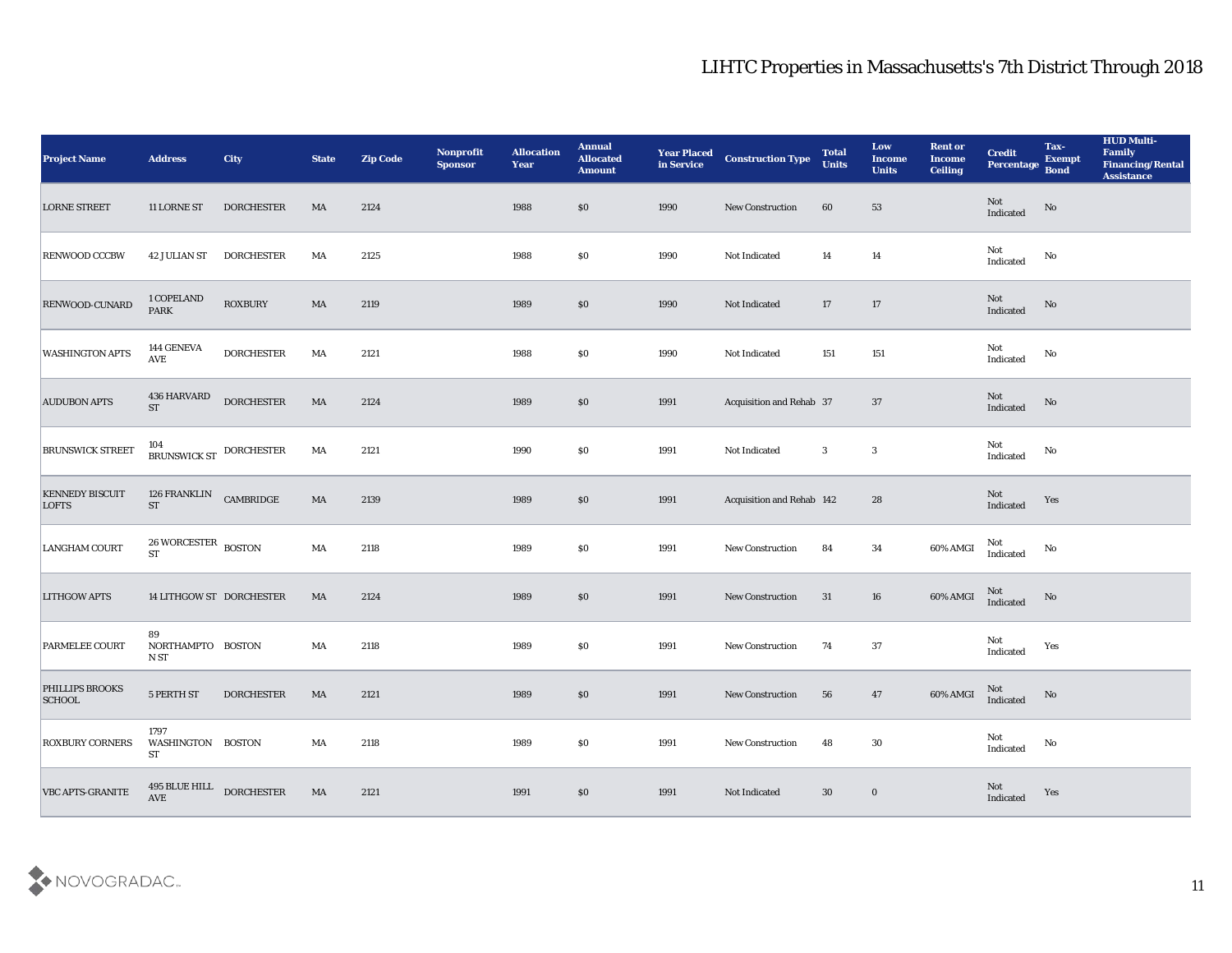| <b>Project Name</b>                     | <b>Address</b>                        | City                    | <b>State</b> | <b>Zip Code</b> | Nonprofit<br><b>Sponsor</b> | <b>Allocation</b><br>Year | <b>Annual</b><br><b>Allocated</b><br><b>Amount</b> | <b>Year Placed<br/>in Service</b> | <b>Construction Type</b>    | <b>Total</b><br><b>Units</b> | Low<br><b>Income</b><br><b>Units</b> | <b>Rent or</b><br><b>Income</b><br><b>Ceiling</b> | <b>Credit</b><br>Percentage                       | Tax-<br><b>Exempt</b><br><b>Bond</b> | <b>HUD Multi-</b><br>Family<br><b>Financing/Rental</b><br><b>Assistance</b> |
|-----------------------------------------|---------------------------------------|-------------------------|--------------|-----------------|-----------------------------|---------------------------|----------------------------------------------------|-----------------------------------|-----------------------------|------------------------------|--------------------------------------|---------------------------------------------------|---------------------------------------------------|--------------------------------------|-----------------------------------------------------------------------------|
| <b>LORNE STREET</b>                     | 11 LORNE ST                           | <b>DORCHESTER</b>       | MA           | 2124            |                             | 1988                      | $\$0$                                              | 1990                              | ${\hbox{New Construction}}$ | 60                           | 53                                   |                                                   | Not<br>Indicated                                  | No                                   |                                                                             |
| <b>RENWOOD CCCBW</b>                    | <b>42 JULIAN ST</b>                   | <b>DORCHESTER</b>       | MA           | 2125            |                             | 1988                      | \$0                                                | 1990                              | Not Indicated               | 14                           | 14                                   |                                                   | Not<br>$\operatorname{Indicated}$                 | No                                   |                                                                             |
| RENWOOD-CUNARD                          | 1 COPELAND<br><b>PARK</b>             | ROXBURY                 | MA           | 2119            |                             | 1989                      | \$0                                                | 1990                              | Not Indicated               | 17                           | 17                                   |                                                   | Not<br>Indicated                                  | No                                   |                                                                             |
| <b>WASHINGTON APTS</b>                  | 144 GENEVA<br>AVE                     | <b>DORCHESTER</b>       | MA           | 2121            |                             | 1988                      | \$0                                                | 1990                              | Not Indicated               | 151                          | 151                                  |                                                   | Not<br>$\operatorname{Indicated}$                 | No                                   |                                                                             |
| <b>AUDUBON APTS</b>                     | <b>436 HARVARD</b><br><b>ST</b>       | <b>DORCHESTER</b>       | MA           | 2124            |                             | 1989                      | $\$0$                                              | 1991                              | Acquisition and Rehab 37    |                              | 37                                   |                                                   | Not<br>Indicated                                  | No                                   |                                                                             |
| <b>BRUNSWICK STREET</b>                 | 104                                   | BRUNSWICK ST DORCHESTER | MA           | 2121            |                             | 1990                      | \$0                                                | 1991                              | Not Indicated               | 3                            | 3                                    |                                                   | Not<br>$\label{thm:indicated} \textbf{Indicated}$ | No                                   |                                                                             |
| <b>KENNEDY BISCUIT</b><br><b>LOFTS</b>  | 126 FRANKLIN CAMBRIDGE<br><b>ST</b>   |                         | MA           | 2139            |                             | 1989                      | \$0                                                | 1991                              | Acquisition and Rehab 142   |                              | 28                                   |                                                   | Not<br>Indicated                                  | Yes                                  |                                                                             |
| <b>LANGHAM COURT</b>                    | 26 WORCESTER BOSTON<br><b>ST</b>      |                         | MA           | 2118            |                             | 1989                      | \$0                                                | 1991                              | <b>New Construction</b>     | 84                           | 34                                   | 60% AMGI                                          | Not<br>Indicated                                  | No                                   |                                                                             |
| <b>LITHGOW APTS</b>                     | 14 LITHGOW ST DORCHESTER              |                         | MA           | 2124            |                             | 1989                      | \$0                                                | 1991                              | New Construction            | 31                           | 16                                   | 60% AMGI                                          | Not<br>Indicated                                  | No                                   |                                                                             |
| <b>PARMELEE COURT</b>                   | 89<br>NORTHAMPTO BOSTON<br>N ST       |                         | MA           | 2118            |                             | 1989                      | \$0                                                | 1991                              | New Construction            | 74                           | 37                                   |                                                   | Not<br>$\operatorname{Indicated}$                 | Yes                                  |                                                                             |
| <b>PHILLIPS BROOKS</b><br><b>SCHOOL</b> | 5 PERTH ST                            | <b>DORCHESTER</b>       | MA           | 2121            |                             | 1989                      | $\$0$                                              | 1991                              | <b>New Construction</b>     | 56                           | 47                                   | 60% AMGI                                          | Not<br>Indicated                                  | No                                   |                                                                             |
| <b>ROXBURY CORNERS</b>                  | 1797<br>WASHINGTON BOSTON<br>ST       |                         | MA           | 2118            |                             | 1989                      | $\$0$                                              | 1991                              | New Construction            | 48                           | $30\,$                               |                                                   | Not<br>Indicated                                  | $\mathbf{N}\mathbf{o}$               |                                                                             |
| <b>VBC APTS-GRANITE</b>                 | 495 BLUE HILL<br>$\operatorname{AVE}$ | <b>DORCHESTER</b>       | MA           | 2121            |                             | 1991                      | $\$0$                                              | 1991                              | Not Indicated               | 30                           | $\bf{0}$                             |                                                   | Not<br>Indicated                                  | Yes                                  |                                                                             |

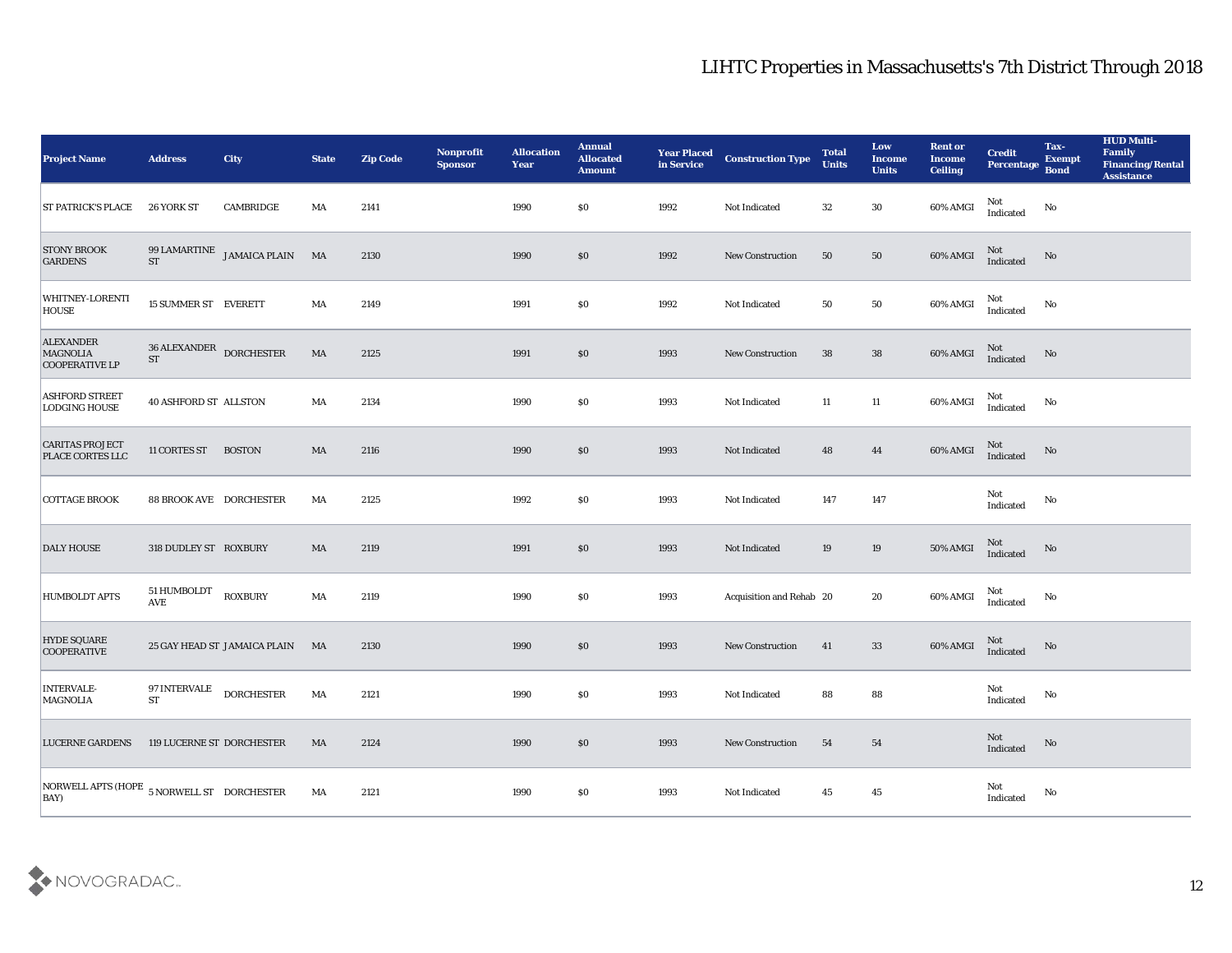| <b>Project Name</b>                                          | <b>Address</b>                                | <b>City</b>                   | <b>State</b> | <b>Zip Code</b> | Nonprofit<br><b>Sponsor</b> | <b>Allocation</b><br><b>Year</b> | <b>Annual</b><br><b>Allocated</b><br><b>Amount</b> | <b>Year Placed</b><br>in Service | <b>Construction Type</b> | <b>Total</b><br><b>Units</b> | Low<br><b>Income</b><br><b>Units</b> | <b>Rent or</b><br><b>Income</b><br><b>Ceiling</b> | <b>Credit</b><br>Percentage | Tax-<br><b>Exempt</b><br><b>Bond</b> | <b>HUD Multi-</b><br>Family<br><b>Financing/Rental</b><br><b>Assistance</b> |
|--------------------------------------------------------------|-----------------------------------------------|-------------------------------|--------------|-----------------|-----------------------------|----------------------------------|----------------------------------------------------|----------------------------------|--------------------------|------------------------------|--------------------------------------|---------------------------------------------------|-----------------------------|--------------------------------------|-----------------------------------------------------------------------------|
| <b>ST PATRICK'S PLACE</b>                                    | 26 YORK ST                                    | CAMBRIDGE                     | MA           | 2141            |                             | 1990                             | $\$0$                                              | 1992                             | Not Indicated            | 32                           | 30                                   | 60% AMGI                                          | Not<br>Indicated            | No                                   |                                                                             |
| <b>STONY BROOK</b><br><b>GARDENS</b>                         | <b>ST</b>                                     | 99 LAMARTINE JAMAICA PLAIN MA |              | 2130            |                             | 1990                             | $\$0$                                              | 1992                             | New Construction         | 50                           | 50                                   | 60% AMGI                                          | Not<br>Indicated            | No                                   |                                                                             |
| <b>WHITNEY-LORENTI</b><br><b>HOUSE</b>                       | 15 SUMMER ST EVERETT                          |                               | MA           | 2149            |                             | 1991                             | \$0                                                | 1992                             | Not Indicated            | 50                           | 50                                   | 60% AMGI                                          | Not<br>Indicated            | No                                   |                                                                             |
| <b>ALEXANDER</b><br><b>MAGNOLIA</b><br><b>COOPERATIVE LP</b> | 36 ALEXANDER DORCHESTER<br>${\cal S}{\cal T}$ |                               | MA           | 2125            |                             | 1991                             | \$0\$                                              | 1993                             | New Construction         | 38                           | 38                                   | 60% AMGI                                          | Not<br>Indicated            | No                                   |                                                                             |
| <b>ASHFORD STREET</b><br><b>LODGING HOUSE</b>                | 40 ASHFORD ST ALLSTON                         |                               | MA           | 2134            |                             | 1990                             | $\$0$                                              | 1993                             | Not Indicated            | 11                           | 11                                   | 60% AMGI                                          | Not<br>Indicated            | No                                   |                                                                             |
| <b>CARITAS PROJECT</b><br>PLACE CORTES LLC                   | 11 CORTES ST                                  | <b>BOSTON</b>                 | MA           | 2116            |                             | 1990                             | \$0\$                                              | 1993                             | Not Indicated            | 48                           | 44                                   | 60% AMGI                                          | Not<br>Indicated            | No                                   |                                                                             |
| <b>COTTAGE BROOK</b>                                         | <b>88 BROOK AVE DORCHESTER</b>                |                               | MA           | 2125            |                             | 1992                             | $\$0$                                              | 1993                             | Not Indicated            | 147                          | 147                                  |                                                   | Not<br>Indicated            | $\mathbf{No}$                        |                                                                             |
| <b>DALY HOUSE</b>                                            | 318 DUDLEY ST ROXBURY                         |                               | MA           | 2119            |                             | 1991                             | \$0\$                                              | 1993                             | Not Indicated            | 19                           | 19                                   | 50% AMGI                                          | Not<br>Indicated            | No                                   |                                                                             |
| <b>HUMBOLDT APTS</b>                                         | 51 HUMBOLDT<br>$\operatorname{AVE}$           | <b>ROXBURY</b>                | MA           | 2119            |                             | 1990                             | \$0                                                | 1993                             | Acquisition and Rehab 20 |                              | 20                                   | 60% AMGI                                          | Not<br>Indicated            | No                                   |                                                                             |
| <b>HYDE SQUARE</b><br><b>COOPERATIVE</b>                     |                                               | 25 GAY HEAD ST JAMAICA PLAIN  | MA           | 2130            |                             | 1990                             | \$0\$                                              | 1993                             | <b>New Construction</b>  | 41                           | 33                                   | 60% AMGI                                          | Not<br>Indicated            | No                                   |                                                                             |
| <b>INTERVALE-</b><br><b>MAGNOLIA</b>                         | <b>97 INTERVALE</b><br>${\rm ST}$             | <b>DORCHESTER</b>             | MA           | 2121            |                             | 1990                             | \$0                                                | 1993                             | Not Indicated            | 88                           | 88                                   |                                                   | Not<br>Indicated            | No                                   |                                                                             |
| LUCERNE GARDENS 119 LUCERNE ST DORCHESTER                    |                                               |                               | MA           | 2124            |                             | 1990                             | \$0                                                | 1993                             | <b>New Construction</b>  | 54                           | 54                                   |                                                   | Not<br>Indicated            | $\rm No$                             |                                                                             |
| NORWELL APTS (HOPE 5 NORWELL ST DORCHESTER<br><b>BAY</b> )   |                                               |                               | MA           | 2121            |                             | 1990                             | \$0                                                | 1993                             | Not Indicated            | 45                           | 45                                   |                                                   | Not<br>Indicated            | No                                   |                                                                             |

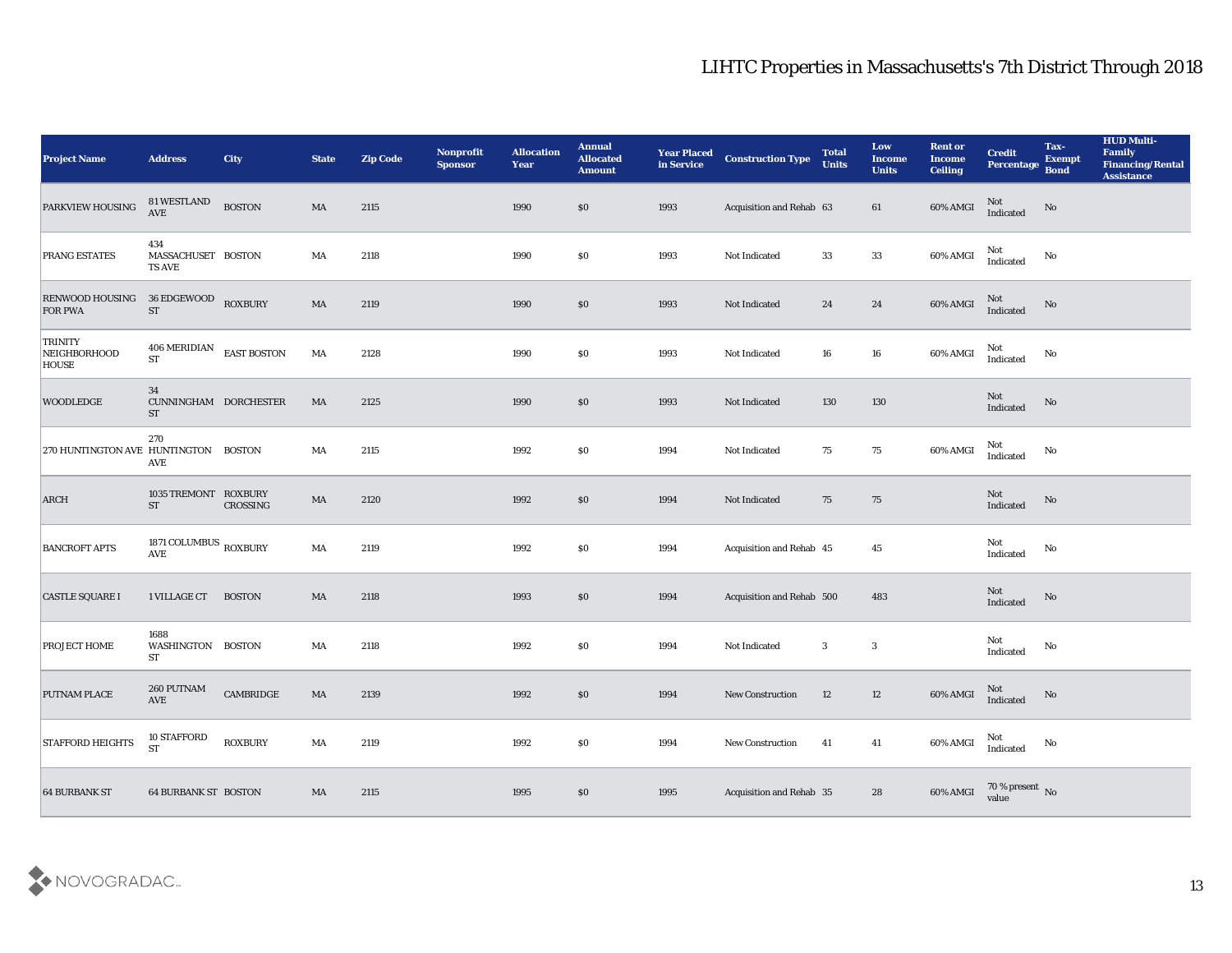| <b>Project Name</b>                           | <b>Address</b>                                | <b>City</b>           | <b>State</b>           | <b>Zip Code</b> | Nonprofit<br><b>Sponsor</b> | <b>Allocation</b><br><b>Year</b> | <b>Annual</b><br><b>Allocated</b><br><b>Amount</b> | <b>Year Placed</b><br>in Service | <b>Construction Type</b>  | <b>Total</b><br><b>Units</b> | Low<br><b>Income</b><br><b>Units</b> | <b>Rent or</b><br><b>Income</b><br><b>Ceiling</b> | <b>Credit</b><br><b>Percentage</b> | Tax-<br><b>Exempt</b><br><b>Bond</b> | <b>HUD Multi-</b><br>Family<br><b>Financing/Rental</b><br><b>Assistance</b> |
|-----------------------------------------------|-----------------------------------------------|-----------------------|------------------------|-----------------|-----------------------------|----------------------------------|----------------------------------------------------|----------------------------------|---------------------------|------------------------------|--------------------------------------|---------------------------------------------------|------------------------------------|--------------------------------------|-----------------------------------------------------------------------------|
| PARKVIEW HOUSING                              | 81 WESTLAND<br>$\operatorname{AVE}$           | <b>BOSTON</b>         | MA                     | 2115            |                             | 1990                             | $\$0$                                              | 1993                             | Acquisition and Rehab 63  |                              | 61                                   | 60% AMGI                                          | Not<br>Indicated                   | No                                   |                                                                             |
| <b>PRANG ESTATES</b>                          | 434<br>MASSACHUSET BOSTON<br>TS AVE           |                       | MA                     | 2118            |                             | 1990                             | \$0                                                | 1993                             | Not Indicated             | 33                           | 33                                   | 60% AMGI                                          | Not<br>Indicated                   | No                                   |                                                                             |
| RENWOOD HOUSING 36 EDGEWOOD<br><b>FOR PWA</b> | ${\cal S}{\cal T}$                            | <b>ROXBURY</b>        | MA                     | 2119            |                             | 1990                             | \$0                                                | 1993                             | Not Indicated             | 24                           | 24                                   | $60\%$ AMGI                                       | Not<br>Indicated                   | No                                   |                                                                             |
| <b>TRINITY</b><br>NEIGHBORHOOD<br>HOUSE       | <b>406 MERIDIAN</b><br><b>ST</b>              | <b>EAST BOSTON</b>    | $\mathbf{M}\mathbf{A}$ | 2128            |                             | 1990                             | \$0                                                | 1993                             | Not Indicated             | 16                           | 16                                   | 60% AMGI                                          | Not<br>Indicated                   | No                                   |                                                                             |
| <b>WOODLEDGE</b>                              | 34<br><b>ST</b>                               | CUNNINGHAM DORCHESTER | MA                     | 2125            |                             | 1990                             | \$0\$                                              | 1993                             | Not Indicated             | 130                          | 130                                  |                                                   | Not<br>Indicated                   | $\mathbf{N}\mathbf{o}$               |                                                                             |
| 270 HUNTINGTON AVE HUNTINGTON BOSTON          | 270<br>AVE                                    |                       | MA                     | 2115            |                             | 1992                             | \$0                                                | 1994                             | Not Indicated             | 75                           | 75                                   | 60% AMGI                                          | Not<br>Indicated                   | No                                   |                                                                             |
| ARCH                                          | 1035 TREMONT ROXBURY<br><b>ST</b>             | CROSSING              | MA                     | 2120            |                             | 1992                             | \$0                                                | 1994                             | Not Indicated             | 75                           | 75                                   |                                                   | Not<br>Indicated                   | No                                   |                                                                             |
| <b>BANCROFT APTS</b>                          | 1871 COLUMBUS $_{\rm{ROXBURY}}$<br><b>AVE</b> |                       | MA                     | 2119            |                             | 1992                             | \$0                                                | 1994                             | Acquisition and Rehab 45  |                              | 45                                   |                                                   | Not<br>Indicated                   | No                                   |                                                                             |
| <b>CASTLE SQUARE I</b>                        | 1 VILLAGE CT                                  | <b>BOSTON</b>         | MA                     | 2118            |                             | 1993                             | $\$0$                                              | 1994                             | Acquisition and Rehab 500 |                              | 483                                  |                                                   | Not<br>Indicated                   | No                                   |                                                                             |
| <b>PROJECT HOME</b>                           | 1688<br>WASHINGTON<br><b>ST</b>               | <b>BOSTON</b>         | MA                     | 2118            |                             | 1992                             | \$0\$                                              | 1994                             | Not Indicated             | 3                            | 3                                    |                                                   | Not<br>$\operatorname{Indicated}$  | No                                   |                                                                             |
| <b>PUTNAM PLACE</b>                           | 260 PUTNAM<br>$\operatorname{AVE}$            | <b>CAMBRIDGE</b>      | MA                     | 2139            |                             | 1992                             | \$0\$                                              | 1994                             | <b>New Construction</b>   | 12                           | 12                                   | 60% AMGI                                          | Not<br>Indicated                   | No                                   |                                                                             |
| <b>STAFFORD HEIGHTS</b>                       | $10$ STAFFORD<br><b>ST</b>                    | <b>ROXBURY</b>        | $\mathbf{M}\mathbf{A}$ | 2119            |                             | 1992                             | $\$0$                                              | 1994                             | New Construction          | 41                           | 41                                   | 60% AMGI                                          | Not<br>Indicated                   | $\mathbf {No}$                       |                                                                             |
| <b>64 BURBANK ST</b>                          | <b>64 BURBANK ST BOSTON</b>                   |                       | MA                     | 2115            |                             | 1995                             | $\$0$                                              | 1995                             | Acquisition and Rehab 35  |                              | ${\bf 28}$                           | 60% AMGI                                          | $70\,\%$ present $\,$ No value     |                                      |                                                                             |

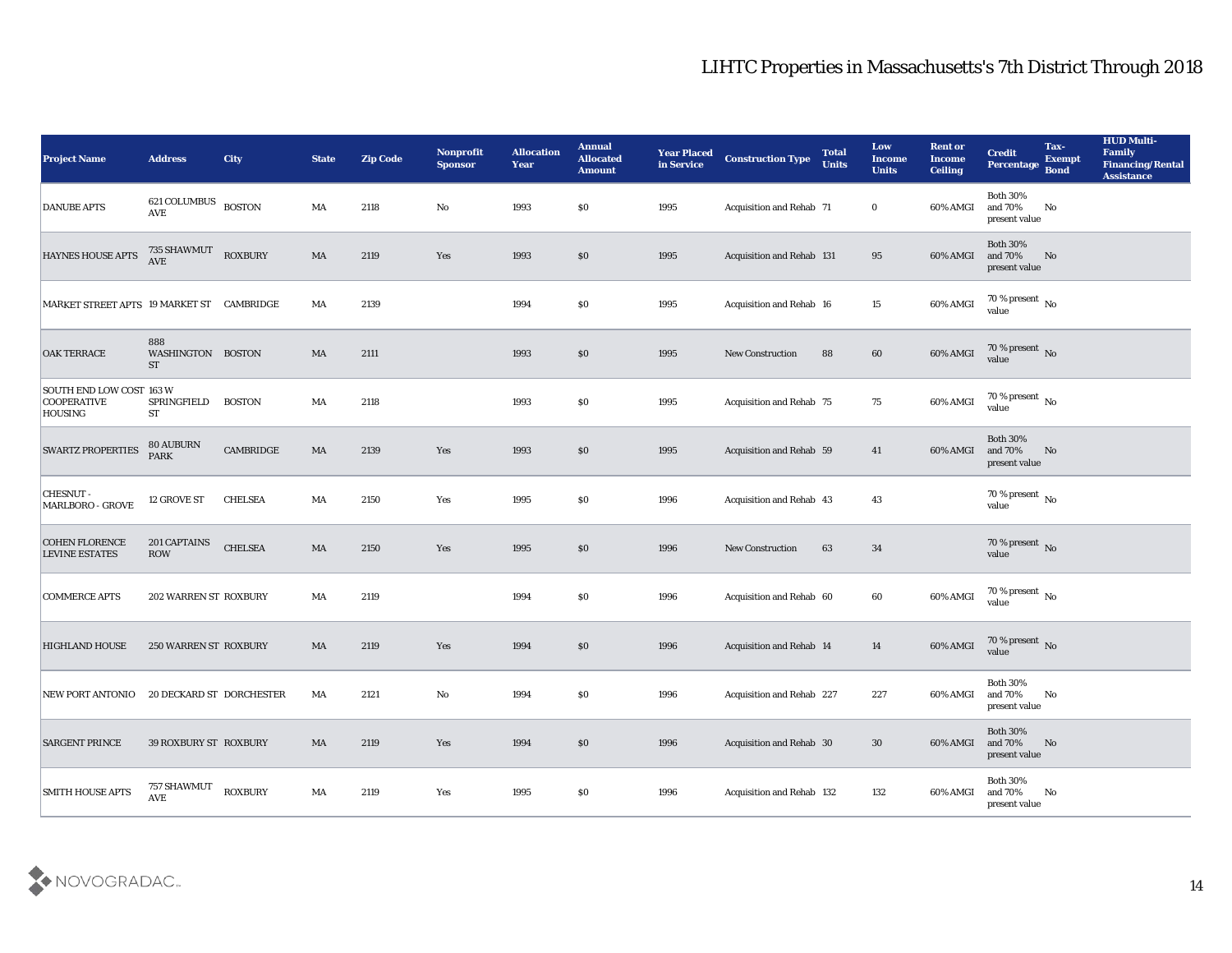| <b>Project Name</b>                                       | <b>Address</b>                               | <b>City</b>    | <b>State</b> | <b>Zip Code</b> | Nonprofit<br><b>Sponsor</b> | <b>Allocation</b><br><b>Year</b> | <b>Annual</b><br><b>Allocated</b><br><b>Amount</b> | <b>Year Placed</b><br>in Service | <b>Construction Type</b>  | <b>Total</b><br><b>Units</b> | Low<br><b>Income</b><br><b>Units</b> | <b>Rent or</b><br><b>Income</b><br><b>Ceiling</b> | <b>Credit</b><br>Percentage                          | Tax-<br><b>Exempt</b><br><b>Bond</b> | <b>HUD Multi-</b><br>Family<br><b>Financing/Rental</b><br><b>Assistance</b> |
|-----------------------------------------------------------|----------------------------------------------|----------------|--------------|-----------------|-----------------------------|----------------------------------|----------------------------------------------------|----------------------------------|---------------------------|------------------------------|--------------------------------------|---------------------------------------------------|------------------------------------------------------|--------------------------------------|-----------------------------------------------------------------------------|
| <b>DANUBE APTS</b>                                        | $621\,\mbox{COLUMBUS}$<br><b>AVE</b>         | <b>BOSTON</b>  | MA           | 2118            | No                          | 1993                             | $\$0$                                              | 1995                             | Acquisition and Rehab 71  |                              | $\bf{0}$                             | 60% AMGI                                          | <b>Both 30%</b><br>and 70%<br>present value          | No                                   |                                                                             |
| HAYNES HOUSE APTS                                         | 735 SHAWMUT<br><b>AVE</b>                    | <b>ROXBURY</b> | MA           | 2119            | Yes                         | 1993                             | $\$0$                                              | 1995                             | Acquisition and Rehab 131 |                              | 95                                   | 60% AMGI                                          | <b>Both 30%</b><br>and 70%<br>present value          | No                                   |                                                                             |
| MARKET STREET APTS 19 MARKET ST CAMBRIDGE                 |                                              |                | MA           | 2139            |                             | 1994                             | \$0\$                                              | 1995                             | Acquisition and Rehab 16  |                              | 15                                   | 60% AMGI                                          | 70 % present $\,$ No $\,$<br>value                   |                                      |                                                                             |
| <b>OAK TERRACE</b>                                        | 888<br>WASHINGTON BOSTON<br><b>ST</b>        |                | MA           | 2111            |                             | 1993                             | \$0\$                                              | 1995                             | <b>New Construction</b>   | 88                           | 60                                   | 60% AMGI                                          | $70\,\%$ present $\,$ No value                       |                                      |                                                                             |
| SOUTH END LOW COST 163 W<br><b>COOPERATIVE</b><br>HOUSING | SPRINGFIELD<br><b>ST</b>                     | <b>BOSTON</b>  | MA           | 2118            |                             | 1993                             | $\$0$                                              | 1995                             | Acquisition and Rehab 75  |                              | 75                                   | 60% AMGI                                          | 70 % present $\,$ No $\,$<br>value                   |                                      |                                                                             |
| <b>SWARTZ PROPERTIES</b>                                  | <b>80 AUBURN</b><br><b>PARK</b>              | CAMBRIDGE      | MA           | 2139            | Yes                         | 1993                             | $\$0$                                              | 1995                             | Acquisition and Rehab 59  |                              | 41                                   | 60% AMGI                                          | <b>Both 30%</b><br>and 70%<br>present value          | No                                   |                                                                             |
| CHESNUT -<br>MARLBORO - GROVE                             | 12 GROVE ST                                  | <b>CHELSEA</b> | MA           | 2150            | Yes                         | 1995                             | $\$0$                                              | 1996                             | Acquisition and Rehab 43  |                              | 43                                   |                                                   | 70 % present $\,$ No $\,$<br>value                   |                                      |                                                                             |
| <b>COHEN FLORENCE</b><br><b>LEVINE ESTATES</b>            | 201 CAPTAINS<br><b>ROW</b>                   | <b>CHELSEA</b> | MA           | 2150            | Yes                         | 1995                             | \$0\$                                              | 1996                             | <b>New Construction</b>   | 63                           | 34                                   |                                                   | 70 % present $\,$ No $\,$<br>value                   |                                      |                                                                             |
| <b>COMMERCE APTS</b>                                      | 202 WARREN ST ROXBURY                        |                | MA           | 2119            |                             | 1994                             | $\$0$                                              | 1996                             | Acquisition and Rehab 60  |                              | 60                                   | 60% AMGI                                          | 70 % present $\,$ No $\,$<br>value                   |                                      |                                                                             |
| <b>HIGHLAND HOUSE</b>                                     | <b>250 WARREN ST ROXBURY</b>                 |                | MA           | 2119            | Yes                         | 1994                             | $\$0$                                              | 1996                             | Acquisition and Rehab 14  |                              | 14                                   | 60% AMGI                                          | $70\,\%$ present $\,$ No value                       |                                      |                                                                             |
| NEW PORT ANTONIO 20 DECKARD ST DORCHESTER                 |                                              |                | MA           | 2121            | No                          | 1994                             | \$0                                                | 1996                             | Acquisition and Rehab 227 |                              | 227                                  | 60% AMGI and 70%                                  | <b>Both 30%</b><br>$\,$ present value                | No                                   |                                                                             |
| <b>SARGENT PRINCE</b>                                     | 39 ROXBURY ST ROXBURY                        |                | MA           | 2119            | $\mathbf{Yes}$              | 1994                             | $\$0$                                              | 1996                             | Acquisition and Rehab 30  |                              | 30                                   |                                                   | <b>Both 30%</b><br>60% AMGI and 70%<br>present value | N <sub>o</sub>                       |                                                                             |
| <b>SMITH HOUSE APTS</b>                                   | 757 SHAWMUT<br>$\operatorname{\mathbf{AVE}}$ | <b>ROXBURY</b> | MA           | 2119            | $\mathbf{Yes}$              | 1995                             | \$0                                                | 1996                             | Acquisition and Rehab 132 |                              | 132                                  | 60% AMGI                                          | Both $30\%$<br>and 70%<br>present value              | No                                   |                                                                             |

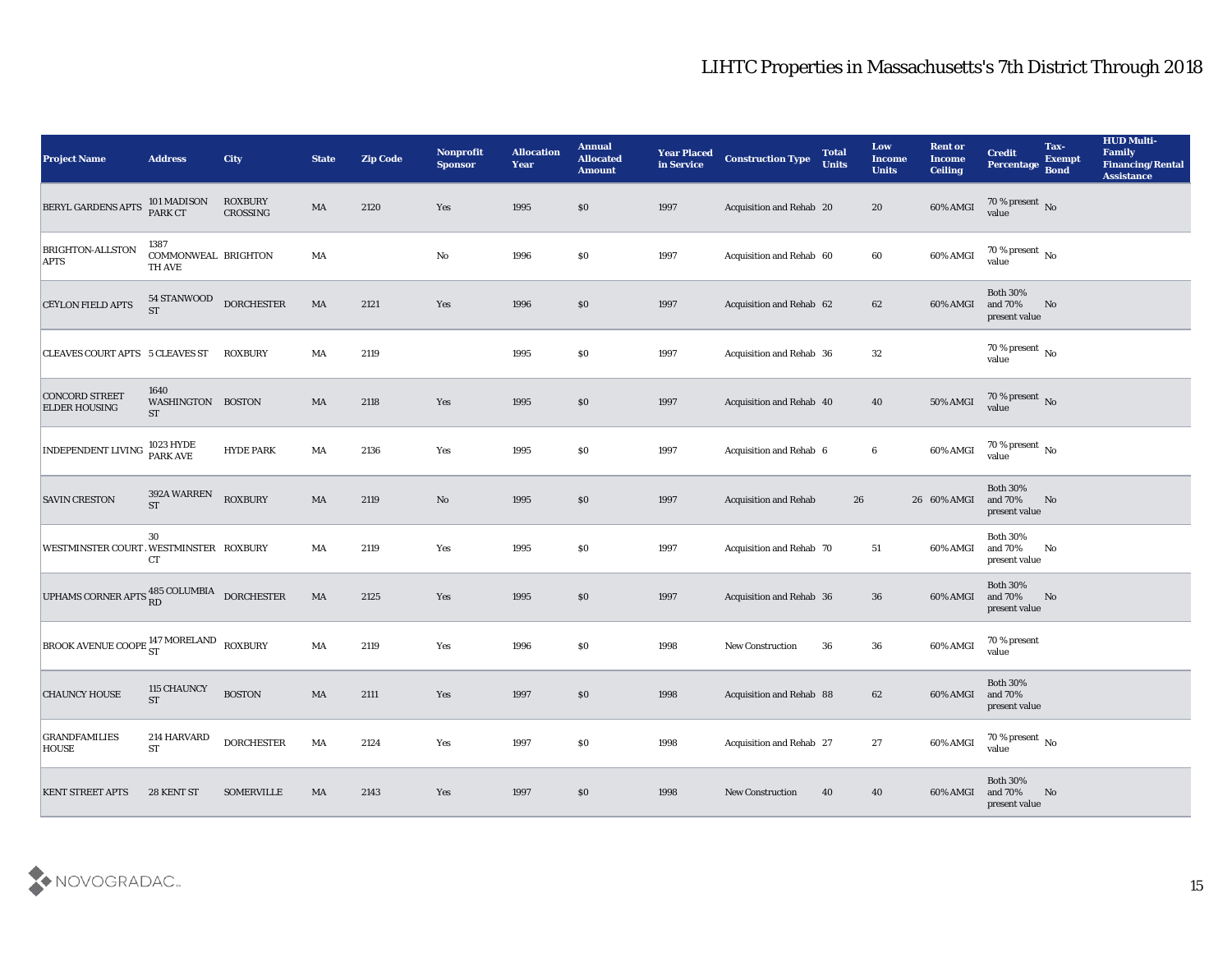| <b>Project Name</b>                                        | <b>Address</b>                         | <b>City</b>                | <b>State</b> | <b>Zip Code</b> | Nonprofit<br><b>Sponsor</b> | <b>Allocation</b><br><b>Year</b> | <b>Annual</b><br><b>Allocated</b><br><b>Amount</b> | <b>Year Placed</b><br>in Service | <b>Construction Type</b>     | <b>Total</b><br><b>Units</b> | Low<br><b>Income</b><br><b>Units</b> | <b>Rent or</b><br><b>Income</b><br><b>Ceiling</b> | <b>Credit</b><br><b>Percentage</b>          | Tax-<br><b>Exempt</b><br><b>Bond</b> | <b>HUD Multi-</b><br>Family<br><b>Financing/Rental</b><br><b>Assistance</b> |
|------------------------------------------------------------|----------------------------------------|----------------------------|--------------|-----------------|-----------------------------|----------------------------------|----------------------------------------------------|----------------------------------|------------------------------|------------------------------|--------------------------------------|---------------------------------------------------|---------------------------------------------|--------------------------------------|-----------------------------------------------------------------------------|
| <b>BERYL GARDENS APTS</b>                                  | 101 MADISON<br>PARK CT                 | <b>ROXBURY</b><br>CROSSING | MA           | 2120            | Yes                         | 1995                             | $\$0$                                              | 1997                             | Acquisition and Rehab 20     |                              | 20                                   | 60% AMGI                                          | $70\,\%$ present $\,$ No value              |                                      |                                                                             |
| <b>BRIGHTON-ALLSTON</b><br><b>APTS</b>                     | 1387<br>COMMONWEAL BRIGHTON<br>TH AVE  |                            | MA           |                 | No                          | 1996                             | $\$0$                                              | 1997                             | Acquisition and Rehab 60     |                              | 60                                   | 60% AMGI                                          | $70\,\%$ present $\,$ No value              |                                      |                                                                             |
| <b>CEYLON FIELD APTS</b>                                   | 54 STANWOOD<br><b>ST</b>               | <b>DORCHESTER</b>          | MA           | 2121            | Yes                         | 1996                             | \$0                                                | 1997                             | Acquisition and Rehab 62     |                              | 62                                   | 60% AMGI                                          | <b>Both 30%</b><br>and 70%<br>present value | No                                   |                                                                             |
| CLEAVES COURT APTS 5 CLEAVES ST                            |                                        | <b>ROXBURY</b>             | MA           | 2119            |                             | 1995                             | $\$0$                                              | 1997                             | Acquisition and Rehab 36     |                              | 32                                   |                                                   | $70\,\%$ present $\,$ No value              |                                      |                                                                             |
| CONCORD STREET<br><b>ELDER HOUSING</b>                     | 1640<br>WASHINGTON BOSTON<br><b>ST</b> |                            | MA           | 2118            | Yes                         | 1995                             | $\$0$                                              | 1997                             | Acquisition and Rehab 40     |                              | 40                                   | 50% AMGI                                          | $70\,\%$ present $\,$ No value              |                                      |                                                                             |
| <b>INDEPENDENT LIVING</b>                                  | 1023 HYDE<br>PARK AVE                  | <b>HYDE PARK</b>           | MA           | 2136            | Yes                         | 1995                             | \$0                                                | 1997                             | Acquisition and Rehab 6      |                              | 6                                    | 60% AMGI                                          | $70\,\%$ present $\,$ No value              |                                      |                                                                             |
| <b>SAVIN CRESTON</b>                                       | 392A WARREN<br><b>ST</b>               | <b>ROXBURY</b>             | MA           | 2119            | No                          | 1995                             | $\$0$                                              | 1997                             | <b>Acquisition and Rehab</b> | 26                           |                                      | 26 60% AMGI                                       | <b>Both 30%</b><br>and 70%<br>present value | No                                   |                                                                             |
| WESTMINSTER COURT WESTMINSTER ROXBURY                      | 30<br>CT                               |                            | MA           | 2119            | Yes                         | 1995                             | \$0                                                | 1997                             | Acquisition and Rehab 70     |                              | 51                                   | 60% AMGI                                          | <b>Both 30%</b><br>and 70%<br>present value | No                                   |                                                                             |
| UPHAMS CORNER APTS $^{485\,}_{\rm RD}$ COLUMBIA DORCHESTER |                                        |                            | MA           | 2125            | Yes                         | 1995                             | $\$0$                                              | 1997                             | Acquisition and Rehab 36     |                              | 36                                   | 60% AMGI                                          | <b>Both 30%</b><br>and 70%<br>present value | No                                   |                                                                             |
|                                                            |                                        |                            | MA           | 2119            | Yes                         | 1996                             | \$0                                                | 1998                             | <b>New Construction</b>      | 36                           | 36                                   | 60% AMGI                                          | 70 % present<br>value                       |                                      |                                                                             |
| <b>CHAUNCY HOUSE</b>                                       | 115 CHAUNCY<br><b>ST</b>               | <b>BOSTON</b>              | MA           | 2111            | Yes                         | 1997                             | \$0\$                                              | 1998                             | Acquisition and Rehab 88     |                              | 62                                   | 60% AMGI and 70%                                  | <b>Both 30%</b><br>present value            |                                      |                                                                             |
| <b>GRANDFAMILIES</b><br>HOUSE                              | 214 HARVARD<br><b>ST</b>               | <b>DORCHESTER</b>          | MA           | 2124            | Yes                         | 1997                             | \$0                                                | 1998                             | Acquisition and Rehab 27     |                              | 27                                   | 60% AMGI                                          | $70\,\%$ present $\,$ No value              |                                      |                                                                             |
| <b>KENT STREET APTS</b>                                    | 28 KENT ST                             | <b>SOMERVILLE</b>          | MA           | 2143            | Yes                         | 1997                             | \$0                                                | 1998                             | <b>New Construction</b>      | 40                           | 40                                   | 60% AMGI                                          | <b>Both 30%</b><br>and 70%<br>present value | No                                   |                                                                             |

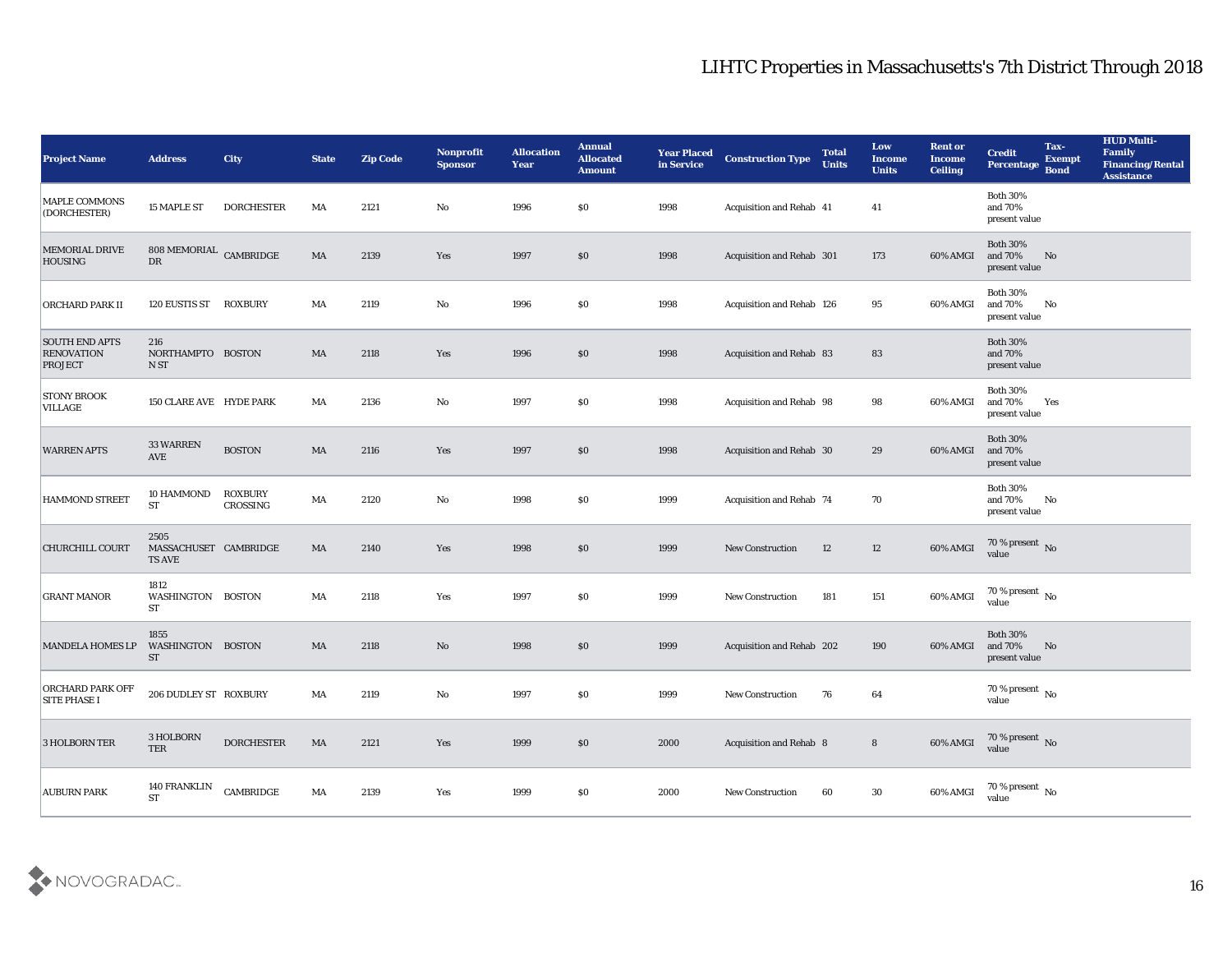| <b>Project Name</b>                                          | <b>Address</b>                                  | City                          | <b>State</b>           | <b>Zip Code</b> | Nonprofit<br><b>Sponsor</b> | <b>Allocation</b><br>Year | <b>Annual</b><br><b>Allocated</b><br><b>Amount</b> | <b>Year Placed</b><br>in Service | <b>Construction Type</b>  | <b>Total</b><br><b>Units</b> | Low<br><b>Income</b><br><b>Units</b> | <b>Rent or</b><br>Income<br><b>Ceiling</b> | Tax-<br><b>Credit</b><br><b>Exempt</b><br>Percentage<br><b>Bond</b> | <b>HUD Multi-</b><br>Family<br><b>Financing/Rental</b><br><b>Assistance</b> |
|--------------------------------------------------------------|-------------------------------------------------|-------------------------------|------------------------|-----------------|-----------------------------|---------------------------|----------------------------------------------------|----------------------------------|---------------------------|------------------------------|--------------------------------------|--------------------------------------------|---------------------------------------------------------------------|-----------------------------------------------------------------------------|
| MAPLE COMMONS<br>(DORCHESTER)                                | 15 MAPLE ST                                     | <b>DORCHESTER</b>             | MA                     | 2121            | No                          | 1996                      | $\$0$                                              | 1998                             | Acquisition and Rehab 41  |                              | 41                                   |                                            | <b>Both 30%</b><br>and 70%<br>present value                         |                                                                             |
| MEMORIAL DRIVE<br><b>HOUSING</b>                             | 808 MEMORIAL CAMBRIDGE<br>DR                    |                               | MA                     | 2139            | Yes                         | 1997                      | \$0                                                | 1998                             | Acquisition and Rehab 301 |                              | 173                                  | 60% AMGI                                   | <b>Both 30%</b><br>and 70%<br>No<br>present value                   |                                                                             |
| <b>ORCHARD PARK II</b>                                       | 120 EUSTIS ST                                   | <b>ROXBURY</b>                | MA                     | 2119            | No                          | 1996                      | $\$0$                                              | 1998                             | Acquisition and Rehab 126 |                              | 95                                   | 60% AMGI                                   | <b>Both 30%</b><br>and 70%<br>No<br>present value                   |                                                                             |
| <b>SOUTH END APTS</b><br><b>RENOVATION</b><br><b>PROJECT</b> | 216<br>NORTHAMPTO BOSTON<br>N ST                |                               | MA                     | 2118            | Yes                         | 1996                      | \$0                                                | 1998                             | Acquisition and Rehab 83  |                              | 83                                   |                                            | <b>Both 30%</b><br>and 70%<br>present value                         |                                                                             |
| <b>STONY BROOK</b><br><b>VILLAGE</b>                         | 150 CLARE AVE HYDE PARK                         |                               | MA                     | 2136            | No                          | 1997                      | $\$0$                                              | 1998                             | Acquisition and Rehab 98  |                              | 98                                   | 60% AMGI                                   | <b>Both 30%</b><br>and 70%<br>Yes<br>present value                  |                                                                             |
| <b>WARREN APTS</b>                                           | 33 WARREN<br><b>AVE</b>                         | <b>BOSTON</b>                 | MA                     | 2116            | Yes                         | 1997                      | \$0                                                | 1998                             | Acquisition and Rehab 30  |                              | 29                                   | 60% AMGI                                   | <b>Both 30%</b><br>and 70%<br>present value                         |                                                                             |
| <b>HAMMOND STREET</b>                                        | 10 HAMMOND<br><b>ST</b>                         | <b>ROXBURY</b><br>CROSSING    | MA                     | 2120            | No                          | 1998                      | $\$0$                                              | 1999                             | Acquisition and Rehab 74  |                              | 70                                   |                                            | <b>Both 30%</b><br>and 70%<br>No<br>present value                   |                                                                             |
| <b>CHURCHILL COURT</b>                                       | 2505<br>MASSACHUSET CAMBRIDGE<br>TS AVE         |                               | MA                     | 2140            | Yes                         | 1998                      | \$0                                                | 1999                             | <b>New Construction</b>   | 12                           | 12                                   | 60% AMGI                                   | 70 % present No<br>value                                            |                                                                             |
| <b>GRANT MANOR</b>                                           | 1812<br>WASHINGTON BOSTON<br><b>ST</b>          |                               | MA                     | 2118            | Yes                         | 1997                      | \$0\$                                              | 1999                             | <b>New Construction</b>   | 181                          | 151                                  | 60% AMGI                                   | 70 % present $\,$ No $\,$<br>value                                  |                                                                             |
| <b>MANDELA HOMES LP</b>                                      | 1855<br>WASHINGTON BOSTON<br>${\cal S}{\cal T}$ |                               | MA                     | 2118            | No                          | 1998                      | \$0                                                | 1999                             | Acquisition and Rehab 202 |                              | 190                                  | 60% AMGI                                   | <b>Both 30%</b><br>and 70%<br>No<br>present value                   |                                                                             |
| <b>ORCHARD PARK OFF</b><br><b>SITE PHASE I</b>               | 206 DUDLEY ST ROXBURY                           |                               | MA                     | 2119            | No                          | 1997                      | $\$0$                                              | 1999                             | <b>New Construction</b>   | 76                           | 64                                   |                                            | 70 % present $\overline{N_0}$<br>value                              |                                                                             |
| 3 HOLBORN TER                                                | $3\rm\,HOLBORN$<br>$\ensuremath{\mathsf{TER}}$  | <b>DORCHESTER</b>             | $\mathbf{M}\mathbf{A}$ | 2121            | $\mathbf{Yes}$              | 1999                      | $\$0$                                              | 2000                             | Acquisition and Rehab 8   |                              | ${\bf 8}$                            | 60% AMGI                                   | $70\,\%$ present $\,$ No value                                      |                                                                             |
| <b>AUBURN PARK</b>                                           | $140$ FRANKLIN<br><b>ST</b>                     | $\mathop{\mathtt{CAMBRIDGE}}$ | $\mathbf{M}\mathbf{A}$ | 2139            | $\mathbf{Yes}$              | 1999                      | $\$0$                                              | 2000                             | New Construction          | 60                           | $30\,$                               | 60% AMGI                                   | $70\,\%$ present $\,$ No value                                      |                                                                             |

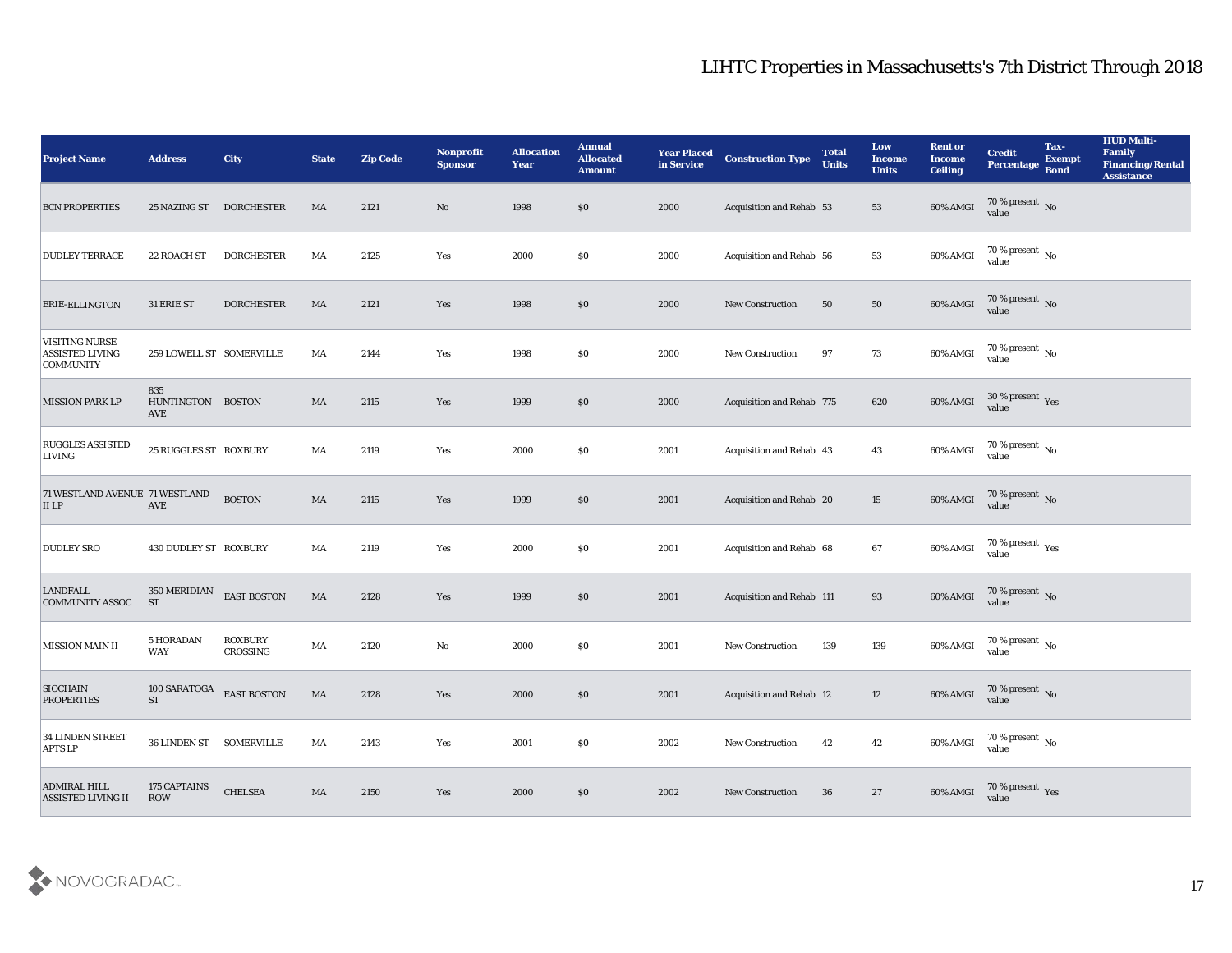| <b>Project Name</b>                                                 | <b>Address</b>                     | City                       | <b>State</b> | <b>Zip Code</b> | Nonprofit<br><b>Sponsor</b> | <b>Allocation</b><br><b>Year</b> | <b>Annual</b><br><b>Allocated</b><br><b>Amount</b> | <b>Year Placed</b><br>in Service | <b>Construction Type</b>        | <b>Total</b><br><b>Units</b> | Low<br><b>Income</b><br><b>Units</b> | <b>Rent or</b><br><b>Income</b><br><b>Ceiling</b> | <b>Credit</b><br>Percentage       | Tax-<br><b>Exempt</b><br><b>Bond</b> | <b>HUD Multi-</b><br>Family<br><b>Financing/Rental</b><br><b>Assistance</b> |
|---------------------------------------------------------------------|------------------------------------|----------------------------|--------------|-----------------|-----------------------------|----------------------------------|----------------------------------------------------|----------------------------------|---------------------------------|------------------------------|--------------------------------------|---------------------------------------------------|-----------------------------------|--------------------------------------|-----------------------------------------------------------------------------|
| <b>BCN PROPERTIES</b>                                               | 25 NAZING ST                       | <b>DORCHESTER</b>          | MA           | 2121            | No                          | 1998                             | \$0                                                | 2000                             | Acquisition and Rehab 53        |                              | 53                                   | 60% AMGI                                          | $70\,\%$ present $\,$ No value    |                                      |                                                                             |
| <b>DUDLEY TERRACE</b>                                               | 22 ROACH ST                        | <b>DORCHESTER</b>          | MA           | 2125            | Yes                         | 2000                             | $\$0$                                              | 2000                             | Acquisition and Rehab 56        |                              | 53                                   | 60% AMGI                                          | $70\,\%$ present $\,$ No value    |                                      |                                                                             |
| <b>ERIE-ELLINGTON</b>                                               | 31 ERIE ST                         | <b>DORCHESTER</b>          | MA           | 2121            | Yes                         | 1998                             | $\$0$                                              | 2000                             | <b>New Construction</b>         | 50                           | 50                                   | 60% AMGI                                          | $70\,\%$ present $\,$ No value    |                                      |                                                                             |
| <b>VISITING NURSE</b><br><b>ASSISTED LIVING</b><br><b>COMMUNITY</b> | 259 LOWELL ST SOMERVILLE           |                            | MA           | 2144            | Yes                         | 1998                             | $\$0$                                              | 2000                             | New Construction                | 97                           | 73                                   | 60% AMGI                                          | $70\,\%$ present $\,$ No value    |                                      |                                                                             |
| <b>MISSION PARK LP</b>                                              | 835<br>HUNTINGTON BOSTON<br>AVE    |                            | MA           | 2115            | Yes                         | 1999                             | \$0                                                | 2000                             | Acquisition and Rehab 775       |                              | 620                                  | 60% AMGI                                          | $30\,\%$ present $\,$ Yes value   |                                      |                                                                             |
| <b>RUGGLES ASSISTED</b><br>LIVING                                   | 25 RUGGLES ST ROXBURY              |                            | MA           | 2119            | Yes                         | 2000                             | \$0\$                                              | 2001                             | Acquisition and Rehab 43        |                              | 43                                   | 60% AMGI                                          | $70\,\%$ present $\,$ No value    |                                      |                                                                             |
| 71 WESTLAND AVENUE 71 WESTLAND<br>II LP                             | <b>AVE</b>                         | <b>BOSTON</b>              | MA           | 2115            | Yes                         | 1999                             | \$0                                                | 2001                             | Acquisition and Rehab 20        |                              | 15                                   | 60% AMGI                                          | $70$ % present $\,$ No $\,$ value |                                      |                                                                             |
| <b>DUDLEY SRO</b>                                                   | 430 DUDLEY ST ROXBURY              |                            | MA           | 2119            | Yes                         | 2000                             | $\$0$                                              | 2001                             | Acquisition and Rehab 68        |                              | 67                                   | 60% AMGI                                          | 70 % present $\rm\,Yes$<br>value  |                                      |                                                                             |
| <b>LANDFALL</b><br><b>COMMUNITY ASSOC</b>                           | 350 MERIDIAN<br>ST                 | <b>EAST BOSTON</b>         | MA           | 2128            | Yes                         | 1999                             | \$0                                                | 2001                             | Acquisition and Rehab 111       |                              | 93                                   | 60% AMGI                                          | $70\,\%$ present $\,$ No value    |                                      |                                                                             |
| <b>MISSION MAIN II</b>                                              | 5 HORADAN<br><b>WAY</b>            | <b>ROXBURY</b><br>CROSSING | MA           | 2120            | No                          | 2000                             | \$0\$                                              | 2001                             | <b>New Construction</b>         | 139                          | 139                                  | 60% AMGI                                          | $70\,\%$ present $\,$ No value    |                                      |                                                                             |
| <b>SIOCHAIN</b><br><b>PROPERTIES</b>                                | 100 SARATOGA<br>${\cal S}{\cal T}$ | <b>EAST BOSTON</b>         | MA           | 2128            | Yes                         | 2000                             | \$0                                                | 2001                             | <b>Acquisition and Rehab 12</b> |                              | 12                                   | 60% AMGI                                          | 70 % present No<br>value          |                                      |                                                                             |
| 34 LINDEN STREET<br><b>APTS LP</b>                                  | 36 LINDEN ST SOMERVILLE            |                            | MA           | 2143            | Yes                         | 2001                             | \$0                                                | 2002                             | New Construction                | 42                           | 42                                   | 60% AMGI                                          | $70\,\%$ present $\,$ No value    |                                      |                                                                             |
| <b>ADMIRAL HILL</b><br><b>ASSISTED LIVING II</b>                    | 175 CAPTAINS<br>$\rm{ROW}$         | CHELSEA                    | MA           | 2150            | Yes                         | 2000                             | $\$0$                                              | 2002                             | New Construction                | 36                           | 27                                   | 60% AMGI                                          | $70\,\%$ present $\,$ Yes value   |                                      |                                                                             |

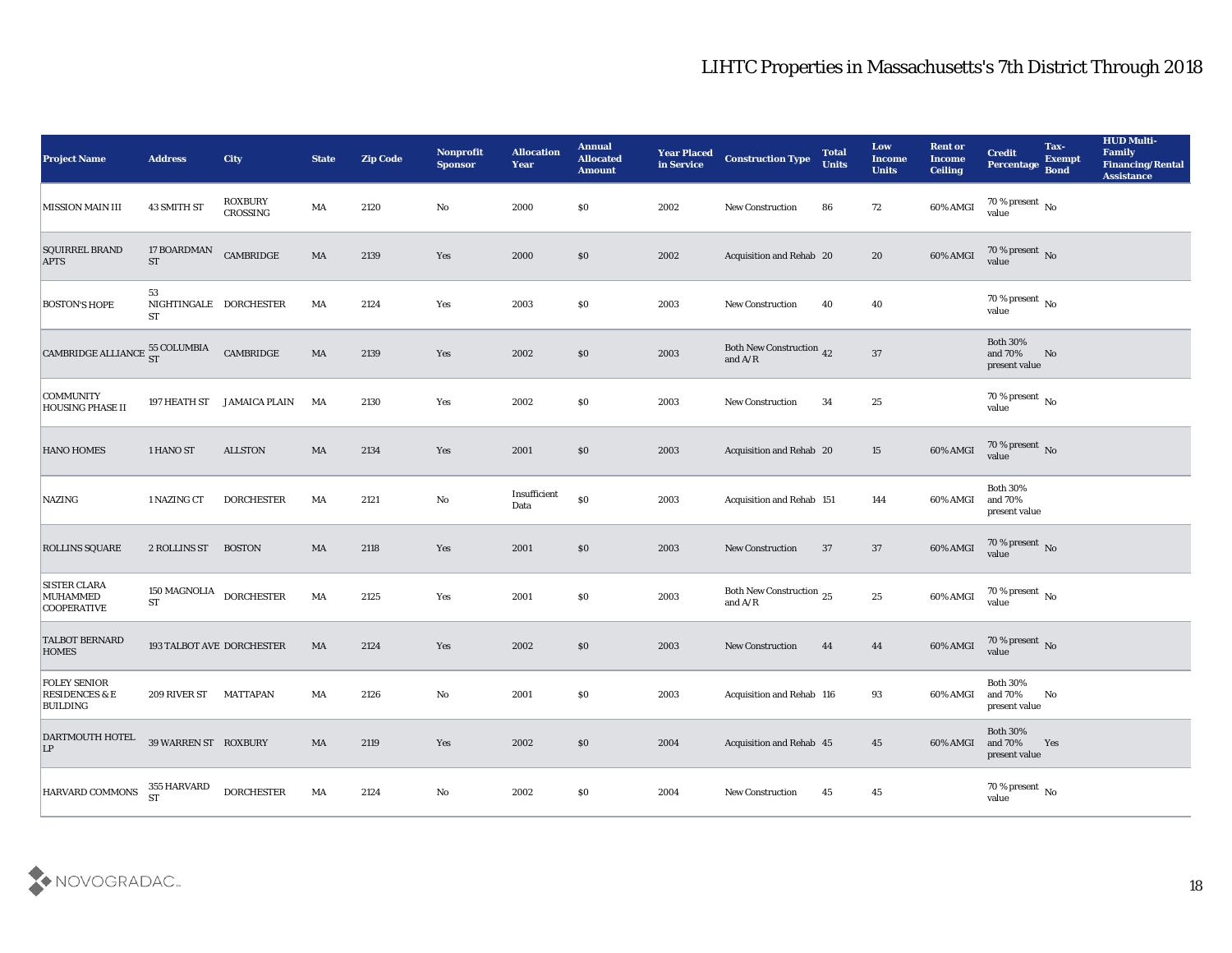| <b>Project Name</b>                                                 | <b>Address</b>                  | <b>City</b>                      | <b>State</b>           | <b>Zip Code</b> | Nonprofit<br><b>Sponsor</b> | <b>Allocation</b><br><b>Year</b> | <b>Annual</b><br><b>Allocated</b><br><b>Amount</b> | <b>Year Placed</b><br>in Service | <b>Construction Type</b>                                                          | <b>Total</b><br><b>Units</b> | Low<br><b>Income</b><br><b>Units</b> | <b>Rent or</b><br><b>Income</b><br><b>Ceiling</b> | <b>Credit</b><br>Percentage                              | Tax-<br><b>Exempt</b><br><b>Bond</b> | <b>HUD Multi-</b><br>Family<br><b>Financing/Rental</b><br><b>Assistance</b> |
|---------------------------------------------------------------------|---------------------------------|----------------------------------|------------------------|-----------------|-----------------------------|----------------------------------|----------------------------------------------------|----------------------------------|-----------------------------------------------------------------------------------|------------------------------|--------------------------------------|---------------------------------------------------|----------------------------------------------------------|--------------------------------------|-----------------------------------------------------------------------------|
| <b>MISSION MAIN III</b>                                             | 43 SMITH ST                     | <b>ROXBURY</b><br>CROSSING       | MA                     | 2120            | No                          | 2000                             | $\$0$                                              | 2002                             | <b>New Construction</b>                                                           | 86                           | 72                                   | 60% AMGI                                          | $70\,\%$ present $\,$ No value                           |                                      |                                                                             |
| <b>SQUIRREL BRAND</b><br><b>APTS</b>                                | <b>17 BOARDMAN</b><br><b>ST</b> | CAMBRIDGE                        | MA                     | 2139            | Yes                         | 2000                             | $\$0$                                              | 2002                             | Acquisition and Rehab 20                                                          |                              | 20                                   | 60% AMGI                                          | $70\,\%$ present $\,$ No value                           |                                      |                                                                             |
| <b>BOSTON'S HOPE</b>                                                | 53<br><b>ST</b>                 | NIGHTINGALE DORCHESTER           | MA                     | 2124            | Yes                         | 2003                             | \$0\$                                              | 2003                             | New Construction                                                                  | 40                           | 40                                   |                                                   | 70 % present $\,$ No $\,$<br>value                       |                                      |                                                                             |
| CAMBRIDGE ALLIANCE 55 COLUMBIA                                      |                                 | CAMBRIDGE                        | MA                     | 2139            | Yes                         | 2002                             | $\$0$                                              | 2003                             | Both New Construction 42<br>and $\ensuremath{\mathrm{A}}/\ensuremath{\mathrm{R}}$ |                              | 37                                   |                                                   | <b>Both 30%</b><br>and $70\%$<br>present value           | No                                   |                                                                             |
| <b>COMMUNITY</b><br><b>HOUSING PHASE II</b>                         |                                 | 197 HEATH ST JAMAICA PLAIN       | MA                     | 2130            | Yes                         | 2002                             | $\$0$                                              | 2003                             | <b>New Construction</b>                                                           | 34                           | 25                                   |                                                   | $70\,\%$ present $\,$ No value                           |                                      |                                                                             |
| <b>HANO HOMES</b>                                                   | 1 HANO ST                       | ALLSTON                          | MA                     | 2134            | Yes                         | 2001                             | $\$0$                                              | 2003                             | Acquisition and Rehab 20                                                          |                              | 15                                   | 60% AMGI                                          | $70\,\%$ present $\,$ No value                           |                                      |                                                                             |
| <b>NAZING</b>                                                       | 1 NAZING CT                     | <b>DORCHESTER</b>                | MA                     | 2121            | $\mathbf{N}\mathbf{o}$      | Insufficient<br>Data             | $\$0$                                              | 2003                             | Acquisition and Rehab 151                                                         |                              | 144                                  | 60% AMGI                                          | <b>Both 30%</b><br>and 70%<br>present value              |                                      |                                                                             |
| <b>ROLLINS SQUARE</b>                                               | 2 ROLLINS ST                    | <b>BOSTON</b>                    | MA                     | 2118            | Yes                         | 2001                             | \$0\$                                              | 2003                             | <b>New Construction</b>                                                           | 37                           | 37                                   | 60% AMGI                                          | $70\,\%$ present $\,$ No value                           |                                      |                                                                             |
| <b>SISTER CLARA</b><br><b>MUHAMMED</b><br><b>COOPERATIVE</b>        | 150 MAGNOLIA<br>${\rm ST}$      | <b>DORCHESTER</b>                | MA                     | 2125            | Yes                         | 2001                             | \$0\$                                              | 2003                             | Both New Construction 25<br>and $\ensuremath{\mathrm{A}}/\ensuremath{\mathrm{R}}$ |                              | 25                                   | 60% AMGI                                          | $70\,\%$ present $\,$ No value                           |                                      |                                                                             |
| <b>TALBOT BERNARD</b><br><b>HOMES</b>                               |                                 | <b>193 TALBOT AVE DORCHESTER</b> | MA                     | 2124            | Yes                         | 2002                             | \$0\$                                              | 2003                             | <b>New Construction</b>                                                           | 44                           | 44                                   | 60% AMGI                                          | $70\,\%$ present $\,$ No value                           |                                      |                                                                             |
| <b>FOLEY SENIOR</b><br><b>RESIDENCES &amp; E</b><br><b>BUILDING</b> | 209 RIVER ST                    | MATTAPAN                         | MA                     | 2126            | No                          | 2001                             | $\$0$                                              | 2003                             | Acquisition and Rehab 116                                                         |                              | 93                                   | 60% AMGI and 70%                                  | <b>Both 30%</b><br>present value                         | No                                   |                                                                             |
| DARTMOUTH HOTEL 39 WARREN ST ROXBURY<br> LP                         |                                 |                                  | $\mathbf{M}\mathbf{A}$ | 2119            | $\mathbf{Yes}$              | 2002                             | $\$0$                                              | 2004                             | Acquisition and Rehab 45                                                          |                              | 45                                   |                                                   | <b>Both 30%</b><br>60% AMGI and 70% Yes<br>present value |                                      |                                                                             |
| HARVARD COMMONS                                                     | 355 HARVARD<br><b>ST</b>        | <b>DORCHESTER</b>                | $\mathbf{M}\mathbf{A}$ | 2124            | ${\bf No}$                  | 2002                             | $\$0$                                              | 2004                             | New Construction                                                                  | 45                           | 45                                   |                                                   | $70\,\%$ present $\,$ No value                           |                                      |                                                                             |

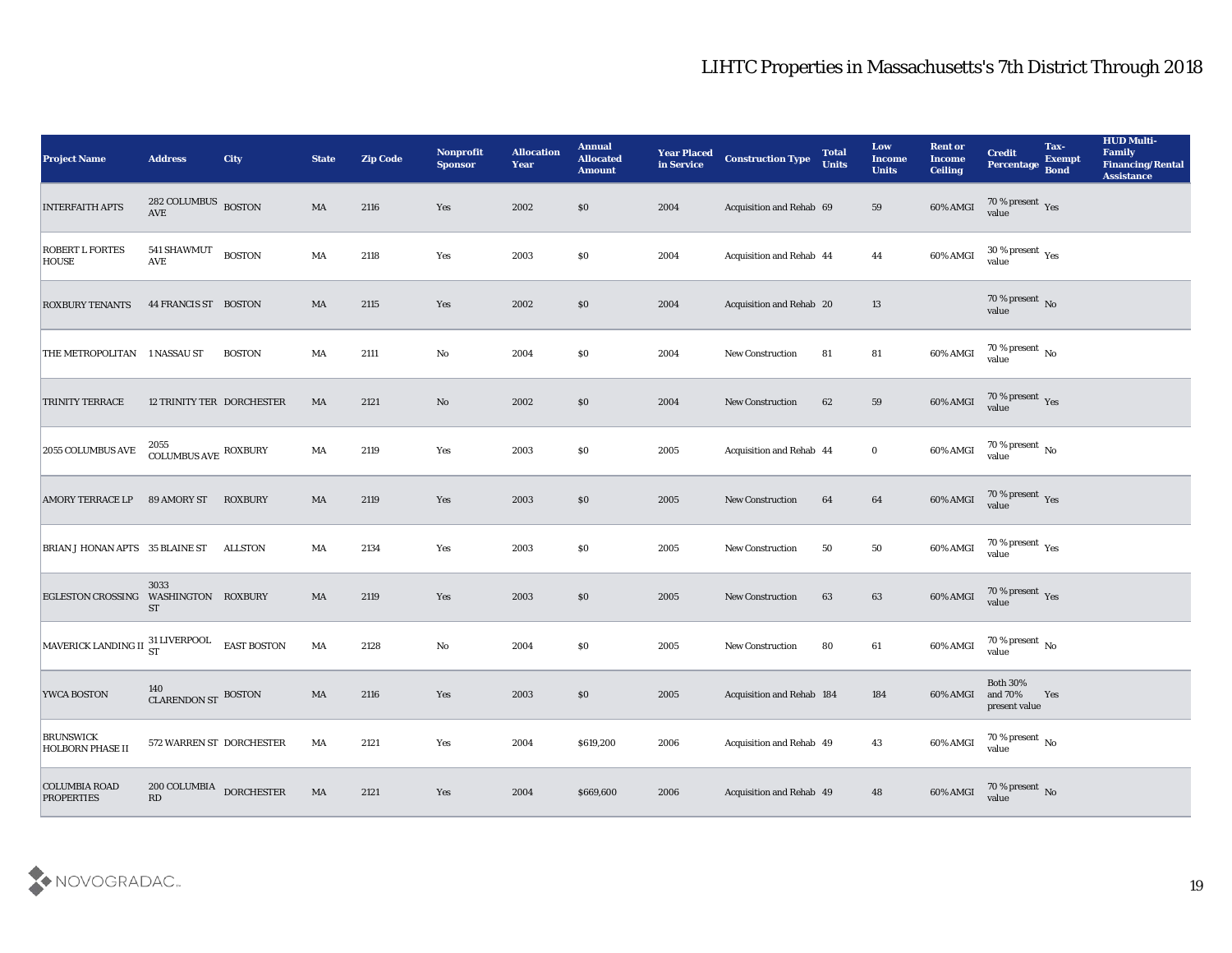| <b>Project Name</b>                                  | <b>Address</b>                              | <b>City</b>        | <b>State</b>           | <b>Zip Code</b> | Nonprofit<br><b>Sponsor</b> | <b>Allocation</b><br>Year | <b>Annual</b><br><b>Allocated</b><br><b>Amount</b> | <b>Year Placed<br/>in Service</b> | <b>Construction Type</b>  | <b>Total</b><br><b>Units</b> | Low<br><b>Income</b><br><b>Units</b> | <b>Rent or</b><br><b>Income</b><br><b>Ceiling</b> | <b>Credit</b><br>Percentage      | Tax-<br><b>Exempt</b><br>Bond | <b>HUD Multi-</b><br>Family<br><b>Financing/Rental</b><br><b>Assistance</b> |
|------------------------------------------------------|---------------------------------------------|--------------------|------------------------|-----------------|-----------------------------|---------------------------|----------------------------------------------------|-----------------------------------|---------------------------|------------------------------|--------------------------------------|---------------------------------------------------|----------------------------------|-------------------------------|-----------------------------------------------------------------------------|
| <b>INTERFAITH APTS</b>                               | 282 COLUMBUS BOSTON<br>$\operatorname{AVE}$ |                    | $\mathbf{M}\mathbf{A}$ | 2116            | Yes                         | 2002                      | \$0                                                | 2004                              | Acquisition and Rehab 69  |                              | 59                                   | 60% AMGI                                          | $70\,\%$ present $\,$ Yes value  |                               |                                                                             |
| <b>ROBERT L FORTES</b><br>HOUSE                      | 541 SHAWMUT<br><b>AVE</b>                   | <b>BOSTON</b>      | MA                     | 2118            | Yes                         | 2003                      | $\$0$                                              | 2004                              | Acquisition and Rehab 44  |                              | 44                                   | 60% AMGI                                          | $30\,\%$ present $\,$ Yes value  |                               |                                                                             |
| <b>ROXBURY TENANTS</b>                               | 44 FRANCIS ST BOSTON                        |                    | MA                     | 2115            | Yes                         | 2002                      | \$0                                                | 2004                              | Acquisition and Rehab 20  |                              | 13                                   |                                                   | 70 % present No<br>value         |                               |                                                                             |
| THE METROPOLITAN 1 NASSAU ST                         |                                             | <b>BOSTON</b>      | MA                     | 2111            | No                          | 2004                      | \$0\$                                              | 2004                              | New Construction          | 81                           | 81                                   | 60% AMGI                                          | $70\,\%$ present $\,$ No value   |                               |                                                                             |
| <b>TRINITY TERRACE</b>                               | 12 TRINITY TER DORCHESTER                   |                    | MA                     | 2121            | No                          | 2002                      | \$0                                                | 2004                              | <b>New Construction</b>   | 62                           | 59                                   | 60% AMGI                                          | $70\,\%$ present $\,$ Yes value  |                               |                                                                             |
| 2055 COLUMBUS AVE                                    | 2055<br>COLUMBUS AVE $\,$ ROXBURY           |                    | MA                     | 2119            | Yes                         | 2003                      | \$0                                                | 2005                              | Acquisition and Rehab 44  |                              | $\bf{0}$                             | 60% AMGI                                          | $70\,\%$ present $\,$ No value   |                               |                                                                             |
| <b>AMORY TERRACE LP</b>                              | 89 AMORY ST                                 | <b>ROXBURY</b>     | MA                     | 2119            | Yes                         | 2003                      | \$0                                                | 2005                              | New Construction          | 64                           | 64                                   | 60% AMGI                                          | $\frac{70\%}{9}$ present Yes     |                               |                                                                             |
| BRIAN J HONAN APTS 35 BLAINE ST                      |                                             | ALLSTON            | MA                     | 2134            | Yes                         | 2003                      | $\$0$                                              | 2005                              | <b>New Construction</b>   | 50                           | 50                                   | 60% AMGI                                          | $70\,\%$ present $\,$ Yes value  |                               |                                                                             |
| <b>EGLESTON CROSSING</b>                             | 3033<br>WASHINGTON ROXBURY<br>${\rm ST}$    |                    | MA                     | 2119            | Yes                         | 2003                      | \$0                                                | 2005                              | New Construction          | 63                           | 63                                   | $60\%$ AMGI                                       | $70\,\%$ present $\,$ Yes value  |                               |                                                                             |
| MAVERICK LANDING II $_{\rm ST}^{31\,\rm{LIVERPOOL}}$ |                                             | <b>EAST BOSTON</b> | MA                     | 2128            | No                          | 2004                      | \$0\$                                              | 2005                              | New Construction          | 80                           | 61                                   | 60% AMGI                                          | $70\,\%$ present $\,$ No value   |                               |                                                                             |
| <b>YWCA BOSTON</b>                                   | 140<br>CLARENDON ST BOSTON                  |                    | MA                     | 2116            | Yes                         | 2003                      | \$0\$                                              | 2005                              | Acquisition and Rehab 184 |                              | 184                                  | 60% AMGI and 70%                                  | <b>Both 30%</b><br>present value | Yes                           |                                                                             |
| <b>BRUNSWICK</b><br><b>HOLBORN PHASE II</b>          | 572 WARREN ST DORCHESTER                    |                    | MA                     | 2121            | Yes                         | 2004                      | \$619,200                                          | 2006                              | Acquisition and Rehab 49  |                              | 43                                   | 60% AMGI                                          | $70\,\%$ present $\,$ No value   |                               |                                                                             |
| <b>COLUMBIA ROAD</b><br><b>PROPERTIES</b>            | 200 COLUMBIA<br>$\mathbf{R}\mathbf{D}$      | <b>DORCHESTER</b>  | $\mathbf{M}\mathbf{A}$ | 2121            | Yes                         | 2004                      | \$669,600                                          | 2006                              | Acquisition and Rehab 49  |                              | 48                                   | 60% AMGI                                          | $70\,\%$ present $\,$ No value   |                               |                                                                             |

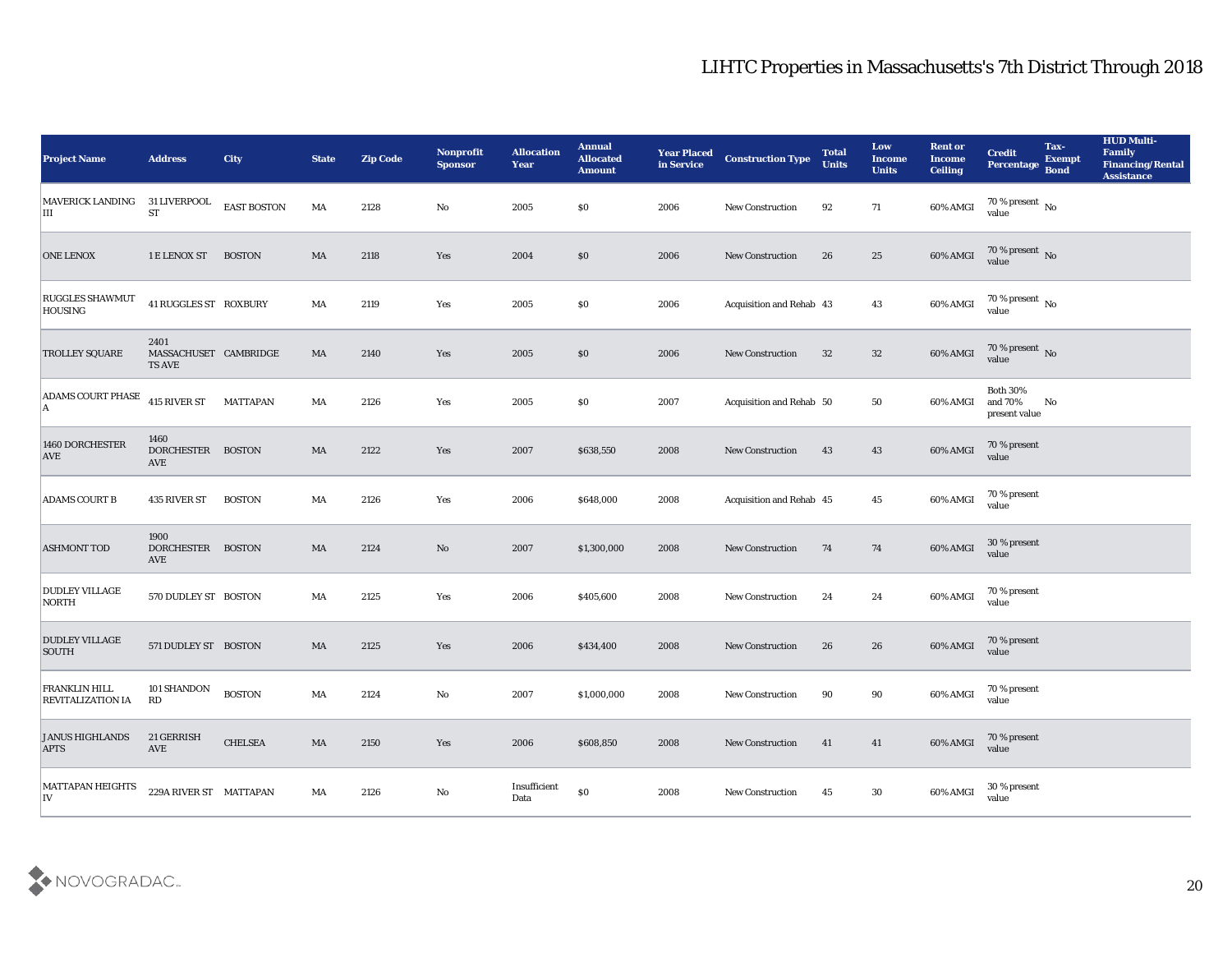| <b>Project Name</b>                              | <b>Address</b>                                 | City               | <b>State</b> | <b>Zip Code</b> | Nonprofit<br><b>Sponsor</b> | <b>Allocation</b><br><b>Year</b> | <b>Annual</b><br><b>Allocated</b><br><b>Amount</b> | <b>Year Placed</b><br>in Service | <b>Construction Type</b> | <b>Total</b><br><b>Units</b> | Low<br><b>Income</b><br><b>Units</b> | <b>Rent or</b><br><b>Income</b><br><b>Ceiling</b> | <b>Credit</b><br>Percentage                 | Tax-<br><b>Exempt</b><br><b>Bond</b> | <b>HUD Multi-</b><br>Family<br><b>Financing/Rental</b><br><b>Assistance</b> |
|--------------------------------------------------|------------------------------------------------|--------------------|--------------|-----------------|-----------------------------|----------------------------------|----------------------------------------------------|----------------------------------|--------------------------|------------------------------|--------------------------------------|---------------------------------------------------|---------------------------------------------|--------------------------------------|-----------------------------------------------------------------------------|
| <b>MAVERICK LANDING</b><br>Ш                     | 31 LIVERPOOL<br><b>ST</b>                      | <b>EAST BOSTON</b> | MA           | 2128            | No                          | 2005                             | $\$0$                                              | 2006                             | <b>New Construction</b>  | 92                           | 71                                   | 60% AMGI                                          | 70 % present $\,$ No $\,$<br>value          |                                      |                                                                             |
| <b>ONE LENOX</b>                                 | 1 E LENOX ST                                   | <b>BOSTON</b>      | MA           | 2118            | Yes                         | 2004                             | $\$0$                                              | 2006                             | <b>New Construction</b>  | 26                           | 25                                   | 60% AMGI                                          | $70\,\%$ present $\,$ No value              |                                      |                                                                             |
| <b>RUGGLES SHAWMUT</b><br><b>HOUSING</b>         | 41 RUGGLES ST ROXBURY                          |                    | MA           | 2119            | Yes                         | 2005                             | $\$0$                                              | 2006                             | Acquisition and Rehab 43 |                              | 43                                   | 60% AMGI                                          | 70 % present No<br>value                    |                                      |                                                                             |
| <b>TROLLEY SQUARE</b>                            | 2401<br>MASSACHUSET CAMBRIDGE<br><b>TS AVE</b> |                    | MA           | 2140            | Yes                         | 2005                             | \$0\$                                              | 2006                             | <b>New Construction</b>  | 32                           | 32                                   | 60% AMGI                                          | $70\,\%$ present $\,$ No value              |                                      |                                                                             |
| <b>ADAMS COURT PHASE</b><br>A.                   | 415 RIVER ST                                   | MATTAPAN           | MA           | 2126            | Yes                         | 2005                             | $\$0$                                              | 2007                             | Acquisition and Rehab 50 |                              | 50                                   | 60% AMGI                                          | <b>Both 30%</b><br>and 70%<br>present value | No                                   |                                                                             |
| 1460 DORCHESTER<br><b>AVE</b>                    | 1460<br>DORCHESTER BOSTON<br>AVE               |                    | MA           | 2122            | Yes                         | 2007                             | \$638,550                                          | 2008                             | New Construction         | 43                           | 43                                   | 60% AMGI                                          | 70 % present<br>value                       |                                      |                                                                             |
| <b>ADAMS COURT B</b>                             | <b>435 RIVER ST</b>                            | <b>BOSTON</b>      | MA           | 2126            | Yes                         | 2006                             | \$648,000                                          | 2008                             | Acquisition and Rehab 45 |                              | 45                                   | 60% AMGI                                          | 70 % present<br>value                       |                                      |                                                                             |
| <b>ASHMONT TOD</b>                               | 1900<br>DORCHESTER<br>AVE                      | <b>BOSTON</b>      | MA           | 2124            | $\mathbf{N}\mathbf{o}$      | 2007                             | \$1,300,000                                        | 2008                             | <b>New Construction</b>  | 74                           | 74                                   | 60% AMGI                                          | 30 % present<br>value                       |                                      |                                                                             |
| <b>DUDLEY VILLAGE</b><br>NORTH                   | 570 DUDLEY ST BOSTON                           |                    | MA           | 2125            | Yes                         | 2006                             | \$405,600                                          | 2008                             | <b>New Construction</b>  | 24                           | 24                                   | 60% AMGI                                          | 70 % present<br>value                       |                                      |                                                                             |
| <b>DUDLEY VILLAGE</b><br>SOUTH                   | 571 DUDLEY ST BOSTON                           |                    | MA           | 2125            | Yes                         | 2006                             | \$434,400                                          | 2008                             | <b>New Construction</b>  | 26                           | 26                                   | 60% AMGI                                          | 70 % present<br>value                       |                                      |                                                                             |
| <b>FRANKLIN HILL</b><br><b>REVITALIZATION IA</b> | 101 SHANDON<br>RD                              | <b>BOSTON</b>      | MA           | 2124            | No                          | 2007                             | \$1,000,000                                        | 2008                             | <b>New Construction</b>  | 90                           | 90                                   | 60% AMGI                                          | 70 % present<br>value                       |                                      |                                                                             |
| <b>JANUS HIGHLANDS</b><br><b>APTS</b>            | 21 GERRISH<br>AVE                              | <b>CHELSEA</b>     | MA           | 2150            | Yes                         | 2006                             | \$608,850                                          | 2008                             | <b>New Construction</b>  | 41                           | 41                                   | 60% AMGI                                          | 70 % present<br>value                       |                                      |                                                                             |
| <b>MATTAPAN HEIGHTS</b><br>IV                    | 229A RIVER ST MATTAPAN                         |                    | MA           | 2126            | $\mathbf {No}$              | Insufficient<br>$\mathbf{Data}$  | $\$0$                                              | 2008                             | New Construction         | 45                           | 30                                   | 60% AMGI                                          | 30 % present<br>value                       |                                      |                                                                             |

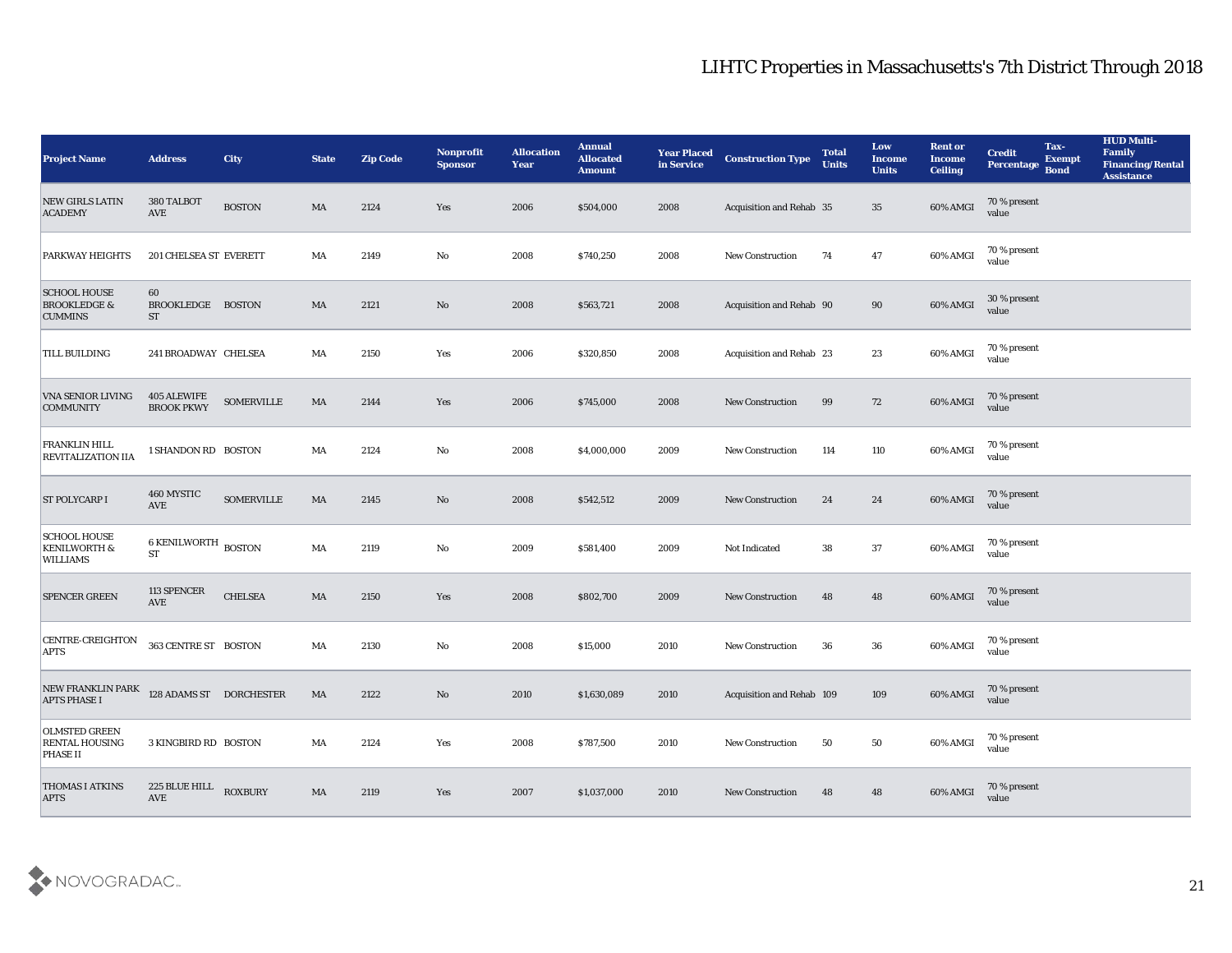| <b>Project Name</b>                                               | <b>Address</b>                              | City              | <b>State</b> | <b>Zip Code</b> | Nonprofit<br><b>Sponsor</b> | <b>Allocation</b><br>Year | <b>Annual</b><br><b>Allocated</b><br><b>Amount</b> | <b>Year Placed</b><br>in Service | <b>Construction Type</b>  | <b>Total</b><br><b>Units</b> | Low<br><b>Income</b><br><b>Units</b> | <b>Rent or</b><br><b>Income</b><br><b>Ceiling</b> | <b>Credit</b><br>Percentage | Tax-<br><b>Exempt</b><br><b>Bond</b> | <b>HUD Multi-</b><br>Family<br><b>Financing/Rental</b><br><b>Assistance</b> |
|-------------------------------------------------------------------|---------------------------------------------|-------------------|--------------|-----------------|-----------------------------|---------------------------|----------------------------------------------------|----------------------------------|---------------------------|------------------------------|--------------------------------------|---------------------------------------------------|-----------------------------|--------------------------------------|-----------------------------------------------------------------------------|
| <b>NEW GIRLS LATIN</b><br><b>ACADEMY</b>                          | 380 TALBOT<br>AVE                           | <b>BOSTON</b>     | MA           | 2124            | Yes                         | 2006                      | \$504,000                                          | 2008                             | Acquisition and Rehab 35  |                              | 35                                   | 60% AMGI                                          | 70 % present<br>value       |                                      |                                                                             |
| <b>PARKWAY HEIGHTS</b>                                            | 201 CHELSEA ST EVERETT                      |                   | MA           | 2149            | No                          | 2008                      | \$740,250                                          | 2008                             | <b>New Construction</b>   | 74                           | 47                                   | 60% AMGI                                          | 70 % present<br>value       |                                      |                                                                             |
| <b>SCHOOL HOUSE</b><br><b>BROOKLEDGE &amp;</b><br><b>CUMMINS</b>  | 60<br>BROOKLEDGE BOSTON<br><b>ST</b>        |                   | MA           | 2121            | No                          | 2008                      | \$563,721                                          | 2008                             | Acquisition and Rehab 90  |                              | 90                                   | 60% AMGI                                          | 30 % present<br>value       |                                      |                                                                             |
| <b>TILL BUILDING</b>                                              | 241 BROADWAY CHELSEA                        |                   | MA           | 2150            | Yes                         | 2006                      | \$320,850                                          | 2008                             | Acquisition and Rehab 23  |                              | 23                                   | 60% AMGI                                          | 70 % present<br>value       |                                      |                                                                             |
| <b>VNA SENIOR LIVING</b><br><b>COMMUNITY</b>                      | <b>405 ALEWIFE</b><br><b>BROOK PKWY</b>     | <b>SOMERVILLE</b> | MA           | 2144            | Yes                         | 2006                      | \$745,000                                          | 2008                             | <b>New Construction</b>   | 99                           | 72                                   | 60% AMGI                                          | 70 % present<br>value       |                                      |                                                                             |
| <b>FRANKLIN HILL</b><br><b>REVITALIZATION IIA</b>                 | 1 SHANDON RD BOSTON                         |                   | MA           | 2124            | No                          | 2008                      | \$4,000,000                                        | 2009                             | New Construction          | 114                          | 110                                  | 60% AMGI                                          | 70 % present<br>value       |                                      |                                                                             |
| <b>ST POLYCARP I</b>                                              | 460 MYSTIC<br>$\operatorname{AVE}$          | SOMERVILLE        | MA           | 2145            | No                          | 2008                      | \$542,512                                          | 2009                             | <b>New Construction</b>   | 24                           | 24                                   | 60% AMGI                                          | 70 % present<br>value       |                                      |                                                                             |
| <b>SCHOOL HOUSE</b><br><b>KENILWORTH &amp;</b><br><b>WILLIAMS</b> | $6$ KENILWORTH $_{\rm BOSTON}$<br><b>ST</b> |                   | MA           | 2119            | No                          | 2009                      | \$581,400                                          | 2009                             | Not Indicated             | 38                           | 37                                   | 60% AMGI                                          | 70 % present<br>value       |                                      |                                                                             |
| <b>SPENCER GREEN</b>                                              | 113 SPENCER<br><b>AVE</b>                   | <b>CHELSEA</b>    | MA           | 2150            | Yes                         | 2008                      | \$802,700                                          | 2009                             | New Construction          | 48                           | 48                                   | 60% AMGI                                          | 70 % present<br>value       |                                      |                                                                             |
| CENTRE-CREIGHTON<br><b>APTS</b>                                   | 363 CENTRE ST BOSTON                        |                   | MA           | 2130            | No                          | 2008                      | \$15,000                                           | 2010                             | <b>New Construction</b>   | 36                           | 36                                   | 60% AMGI                                          | 70 % present<br>value       |                                      |                                                                             |
| NEW FRANKLIN PARK 128 ADAMS ST DORCHESTER<br><b>APTS PHASE I</b>  |                                             |                   | MA           | 2122            | No                          | 2010                      | \$1,630,089                                        | 2010                             | Acquisition and Rehab 109 |                              | 109                                  | 60% AMGI                                          | 70 % present<br>value       |                                      |                                                                             |
| <b>OLMSTED GREEN</b><br><b>RENTAL HOUSING</b><br><b>PHASE II</b>  | 3 KINGBIRD RD BOSTON                        |                   | MA           | 2124            | Yes                         | 2008                      | \$787,500                                          | 2010                             | <b>New Construction</b>   | 50                           | 50                                   | 60% AMGI                                          | 70 % present<br>value       |                                      |                                                                             |
| <b>THOMAS I ATKINS</b><br><b>APTS</b>                             | 225 BLUE HILL<br>$\operatorname{AVE}$       | <b>ROXBURY</b>    | MA           | 2119            | $\mathbf{Yes}$              | 2007                      | \$1,037,000                                        | 2010                             | <b>New Construction</b>   | 48                           | 48                                   | 60% AMGI                                          | 70 % present<br>value       |                                      |                                                                             |

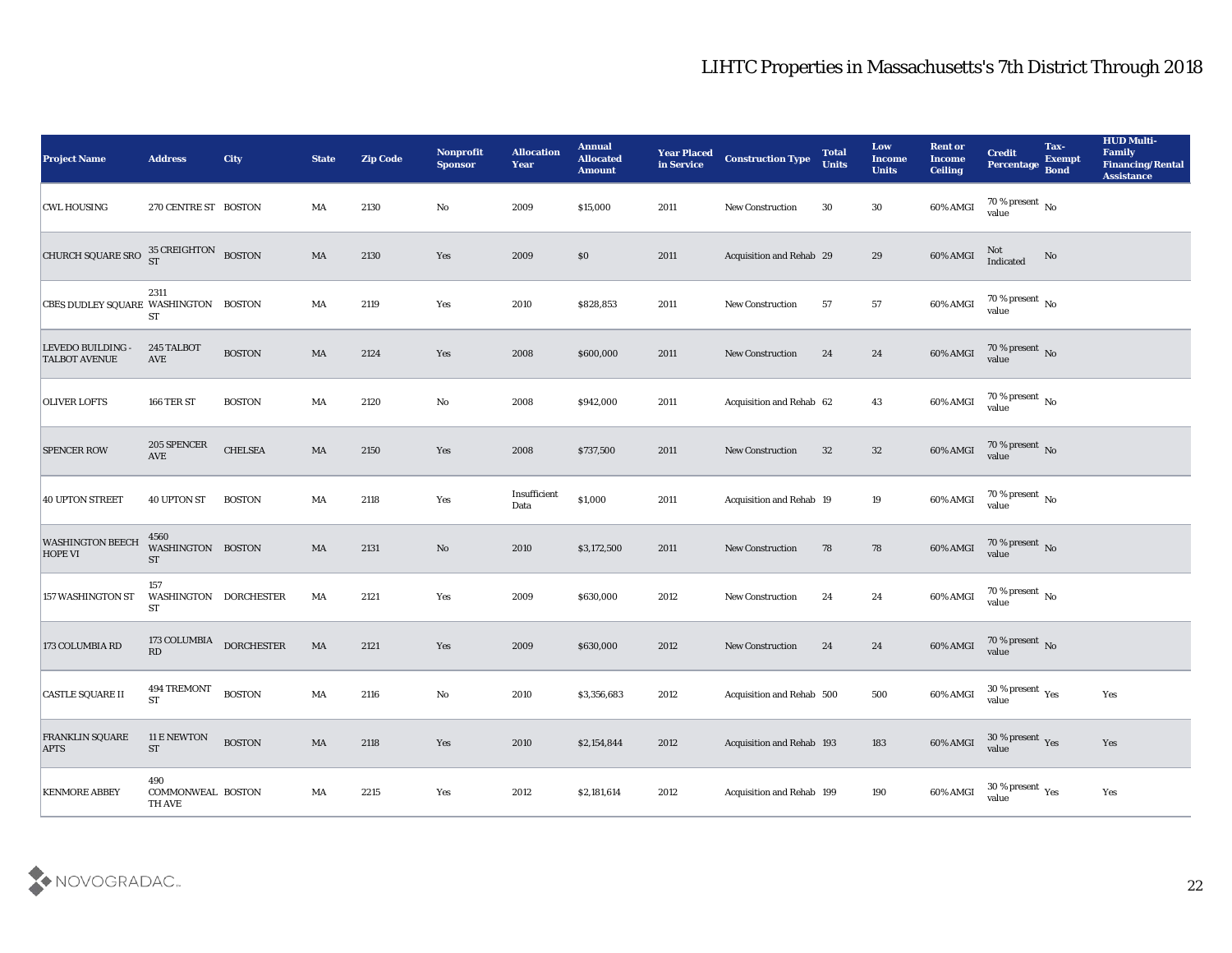| <b>Project Name</b>                       | <b>Address</b>                         | <b>City</b>           | <b>State</b>           | <b>Zip Code</b> | Nonprofit<br><b>Sponsor</b>                                                           | <b>Allocation</b><br><b>Year</b> | <b>Annual</b><br><b>Allocated</b><br><b>Amount</b> | <b>Year Placed</b><br>in Service | <b>Construction Type</b>  | <b>Total</b><br><b>Units</b> | Low<br><b>Income</b><br><b>Units</b> | <b>Rent or</b><br><b>Income</b><br><b>Ceiling</b> | <b>Credit</b><br>Percentage                   | Tax-<br><b>Exempt</b><br><b>Bond</b> | <b>HUD Multi-</b><br>Family<br>Financing/Rental<br><b>Assistance</b> |
|-------------------------------------------|----------------------------------------|-----------------------|------------------------|-----------------|---------------------------------------------------------------------------------------|----------------------------------|----------------------------------------------------|----------------------------------|---------------------------|------------------------------|--------------------------------------|---------------------------------------------------|-----------------------------------------------|--------------------------------------|----------------------------------------------------------------------|
| <b>CWL HOUSING</b>                        | 270 CENTRE ST BOSTON                   |                       | MA                     | 2130            | No                                                                                    | 2009                             | \$15,000                                           | 2011                             | <b>New Construction</b>   | 30                           | $30\,$                               | 60% AMGI                                          | 70 % present $\,$ No $\,$<br>value            |                                      |                                                                      |
| CHURCH SQUARE SRO $^{35}_{ST}$ CREIGHTON  |                                        | <b>BOSTON</b>         | MA                     | 2130            | Yes                                                                                   | 2009                             | $\$0$                                              | 2011                             | Acquisition and Rehab 29  |                              | 29                                   | 60% AMGI                                          | Not<br>Indicated                              | No                                   |                                                                      |
| CBES DUDLEY SQUARE WASHINGTON             | 2311<br><b>ST</b>                      | <b>BOSTON</b>         | MA                     | 2119            | Yes                                                                                   | 2010                             | \$828,853                                          | 2011                             | <b>New Construction</b>   | 57                           | 57                                   | 60% AMGI                                          | $70\,\%$ present $\,$ No value                |                                      |                                                                      |
| LEVEDO BUILDING -<br><b>TALBOT AVENUE</b> | 245 TALBOT<br><b>AVE</b>               | <b>BOSTON</b>         | $\mathbf{M}\mathbf{A}$ | 2124            | Yes                                                                                   | 2008                             | \$600,000                                          | 2011                             | <b>New Construction</b>   | 24                           | 24                                   | 60% AMGI                                          | $70\,\%$ present $\,$ No value                |                                      |                                                                      |
| <b>OLIVER LOFTS</b>                       | <b>166 TER ST</b>                      | <b>BOSTON</b>         | MA                     | 2120            | $\mathbf{No}$                                                                         | 2008                             | \$942,000                                          | 2011                             | Acquisition and Rehab 62  |                              | 43                                   | 60% AMGI                                          | $70\,\%$ present $\,$ No value                |                                      |                                                                      |
| <b>SPENCER ROW</b>                        | 205 SPENCER<br>$\operatorname{AVE}$    | <b>CHELSEA</b>        | MA                     | 2150            | Yes                                                                                   | 2008                             | \$737,500                                          | 2011                             | <b>New Construction</b>   | 32                           | 32                                   | 60% AMGI                                          | $70\,\%$ present $\,$ No value                |                                      |                                                                      |
| <b>40 UPTON STREET</b>                    | <b>40 UPTON ST</b>                     | <b>BOSTON</b>         | MA                     | 2118            | Yes                                                                                   | Insufficient<br>Data             | \$1,000                                            | 2011                             | Acquisition and Rehab 19  |                              | 19                                   | 60% AMGI                                          | $70$ % present $\,$ No $\,$ value             |                                      |                                                                      |
| <b>WASHINGTON BEECH</b><br><b>HOPE VI</b> | 4560<br>WASHINGTON BOSTON<br><b>ST</b> |                       | MA                     | 2131            | No                                                                                    | 2010                             | \$3,172,500                                        | 2011                             | <b>New Construction</b>   | 78                           | 78                                   | 60% AMGI                                          | $70\,\%$ present $\,$ No value                |                                      |                                                                      |
| <b>157 WASHINGTON ST</b>                  | 157<br><b>ST</b>                       | WASHINGTON DORCHESTER | MA                     | 2121            | Yes                                                                                   | 2009                             | \$630,000                                          | 2012                             | <b>New Construction</b>   | 24                           | 24                                   | 60% AMGI                                          | $70\,\%$ present $\,$ No value                |                                      |                                                                      |
| 173 COLUMBIA RD                           | 173 COLUMBIA<br>RD                     | <b>DORCHESTER</b>     | MA                     | 2121            | Yes                                                                                   | 2009                             | \$630,000                                          | 2012                             | <b>New Construction</b>   | 24                           | 24                                   | 60% AMGI                                          | $70\,\%$ present $\,$ No value                |                                      |                                                                      |
| <b>CASTLE SQUARE II</b>                   | 494 TREMONT<br><b>ST</b>               | <b>BOSTON</b>         | MA                     | 2116            | No                                                                                    | 2010                             | \$3,356,683                                        | 2012                             | Acquisition and Rehab 500 |                              | 500                                  | 60% AMGI                                          | 30 % present $\,\rm \gamma_{\rm es}$<br>value |                                      | Yes                                                                  |
| <b>FRANKLIN SQUARE</b><br><b>APTS</b>     | 11 E NEWTON<br><b>ST</b>               | <b>BOSTON</b>         | $\mathbf{M}\mathbf{A}$ | 2118            | $\mathbf{Yes}$                                                                        | 2010                             | \$2,154,844                                        | 2012                             | Acquisition and Rehab 193 |                              | 183                                  | 60% AMGI                                          | $30\,\%$ present $\,$ Yes value               |                                      | Yes                                                                  |
| <b>KENMORE ABBEY</b>                      | 490<br>COMMONWEAL BOSTON<br>TH AVE     |                       | $\mathbf{M}\mathbf{A}$ | 2215            | $\operatorname*{Yes}% \left( X\right) \equiv\operatorname*{Yes}(\mathbb{R}^{3}\left)$ | 2012                             | \$2,181,614                                        | 2012                             | Acquisition and Rehab 199 |                              | 190                                  | 60% AMGI                                          | $30$ % present $\,$ $\rm Yes$<br>value        |                                      | Yes                                                                  |

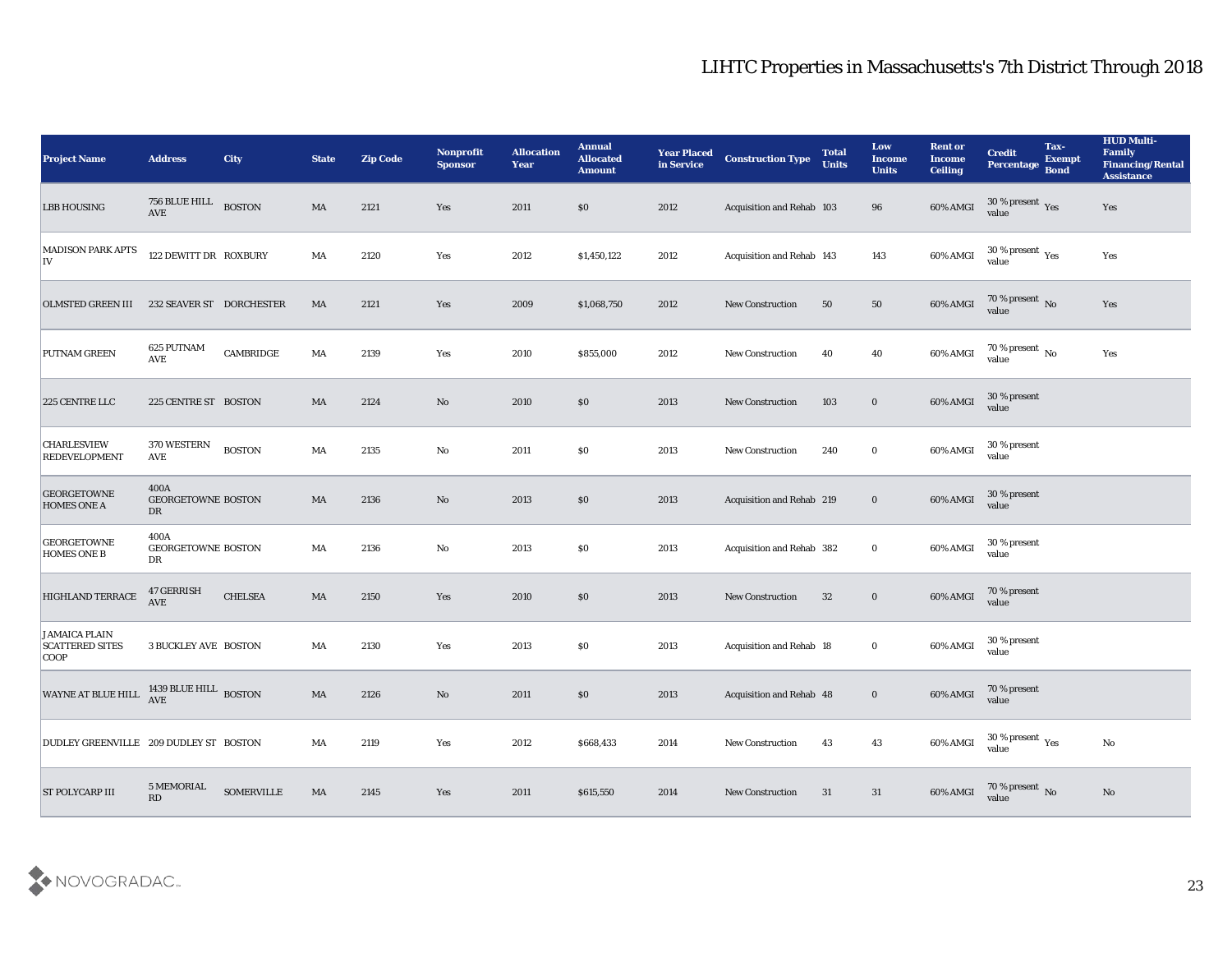| <b>Project Name</b>                                           | <b>Address</b>                          | <b>City</b>       | <b>State</b> | <b>Zip Code</b> | Nonprofit<br><b>Sponsor</b> | <b>Allocation</b><br><b>Year</b> | <b>Annual</b><br><b>Allocated</b><br><b>Amount</b> | <b>Year Placed<br/>in Service</b> | <b>Construction Type</b>  | <b>Total</b><br><b>Units</b> | Low<br><b>Income</b><br><b>Units</b> | <b>Rent or</b><br><b>Income</b><br><b>Ceiling</b> | <b>Credit</b><br><b>Percentage</b>       | Tax-<br><b>Exempt</b><br><b>Bond</b> | <b>HUD Multi-</b><br>Family<br><b>Financing/Rental</b><br><b>Assistance</b> |
|---------------------------------------------------------------|-----------------------------------------|-------------------|--------------|-----------------|-----------------------------|----------------------------------|----------------------------------------------------|-----------------------------------|---------------------------|------------------------------|--------------------------------------|---------------------------------------------------|------------------------------------------|--------------------------------------|-----------------------------------------------------------------------------|
| <b>LBB HOUSING</b>                                            | 756 BLUE HILL<br>AVE                    | <b>BOSTON</b>     | MA           | 2121            | Yes                         | 2011                             | \$0                                                | 2012                              | Acquisition and Rehab 103 |                              | 96                                   | 60% AMGI                                          | $30\,\%$ present $\,$ Yes value          |                                      | Yes                                                                         |
| <b>MADISON PARK APTS</b><br> IV                               | 122 DEWITT DR ROXBURY                   |                   | MA           | 2120            | Yes                         | 2012                             | \$1,450,122                                        | 2012                              | Acquisition and Rehab 143 |                              | 143                                  | 60% AMGI                                          | 30 % present $\gamma_{\rm e s}$<br>value |                                      | Yes                                                                         |
| <b>OLMSTED GREEN III</b>                                      | 232 SEAVER ST DORCHESTER                |                   | MA           | 2121            | Yes                         | 2009                             | \$1,068,750                                        | 2012                              | <b>New Construction</b>   | 50                           | 50                                   | 60% AMGI                                          | $70\,\%$ present $\,$ No value           |                                      | Yes                                                                         |
| PUTNAM GREEN                                                  | $625$ ${\rm PUTNAM}$<br>AVE             | CAMBRIDGE         | MA           | 2139            | Yes                         | 2010                             | \$855,000                                          | 2012                              | <b>New Construction</b>   | 40                           | 40                                   | 60% AMGI                                          | $70\,\%$ present $\,$ No value           |                                      | Yes                                                                         |
| 225 CENTRE LLC                                                | 225 CENTRE ST BOSTON                    |                   | MA           | 2124            | No                          | 2010                             | \$0                                                | 2013                              | New Construction          | 103                          | $\bf{0}$                             | 60% AMGI                                          | $30\,\%$ present value                   |                                      |                                                                             |
| <b>CHARLESVIEW</b><br><b>REDEVELOPMENT</b>                    | 370 WESTERN<br>AVE                      | <b>BOSTON</b>     | MA           | 2135            | No                          | 2011                             | \$0                                                | 2013                              | <b>New Construction</b>   | 240                          | $\bf{0}$                             | 60% AMGI                                          | 30 % present<br>value                    |                                      |                                                                             |
| <b>GEORGETOWNE</b><br><b>HOMES ONE A</b>                      | 400A<br><b>GEORGETOWNE BOSTON</b><br>DR |                   | MA           | 2136            | $\mathbf{N}\mathbf{o}$      | 2013                             | \$0                                                | 2013                              | Acquisition and Rehab 219 |                              | $\bf{0}$                             | 60% AMGI                                          | 30 % present<br>value                    |                                      |                                                                             |
| <b>GEORGETOWNE</b><br><b>HOMES ONE B</b>                      | 400A<br><b>GEORGETOWNE BOSTON</b><br>DR |                   | MA           | 2136            | $\mathbf{No}$               | 2013                             | \$0                                                | 2013                              | Acquisition and Rehab 382 |                              | $\bf{0}$                             | 60% AMGI                                          | 30 % present<br>value                    |                                      |                                                                             |
| <b>HIGHLAND TERRACE</b>                                       | 47 GERRISH<br>AVE                       | <b>CHELSEA</b>    | MA           | 2150            | Yes                         | 2010                             | \$0                                                | 2013                              | New Construction          | 32                           | $\bf{0}$                             | 60% AMGI                                          | 70 % present<br>value                    |                                      |                                                                             |
| <b>JAMAICA PLAIN</b><br><b>SCATTERED SITES</b><br><b>COOP</b> | <b>3 BUCKLEY AVE BOSTON</b>             |                   | MA           | 2130            | Yes                         | 2013                             | $\$0$                                              | 2013                              | Acquisition and Rehab 18  |                              | $\bf{0}$                             | 60% AMGI                                          | 30 % present<br>value                    |                                      |                                                                             |
| WAYNE AT BLUE HILL                                            | 1439 BLUE HILL BOSTON<br>AVE            |                   | MA           | 2126            | No                          | 2011                             | \$0                                                | 2013                              | Acquisition and Rehab 48  |                              | $\bf{0}$                             | 60% AMGI                                          | 70 % present<br>value                    |                                      |                                                                             |
| DUDLEY GREENVILLE 209 DUDLEY ST BOSTON                        |                                         |                   | MA           | 2119            | $\mathbf{Yes}$              | 2012                             | \$668,433                                          | 2014                              | New Construction          | 43                           | 43                                   | 60% AMGI                                          | $30\,\%$ present $\,$ Yes value          |                                      | $\mathbf {No}$                                                              |
| <b>ST POLYCARP III</b>                                        | 5 MEMORIAL<br>RD                        | <b>SOMERVILLE</b> | MA           | 2145            | Yes                         | 2011                             | \$615,550                                          | 2014                              | <b>New Construction</b>   | 31                           | 31                                   | 60% AMGI                                          | $70\,\%$ present $\,$ No value           |                                      | $\mathbf {No}$                                                              |

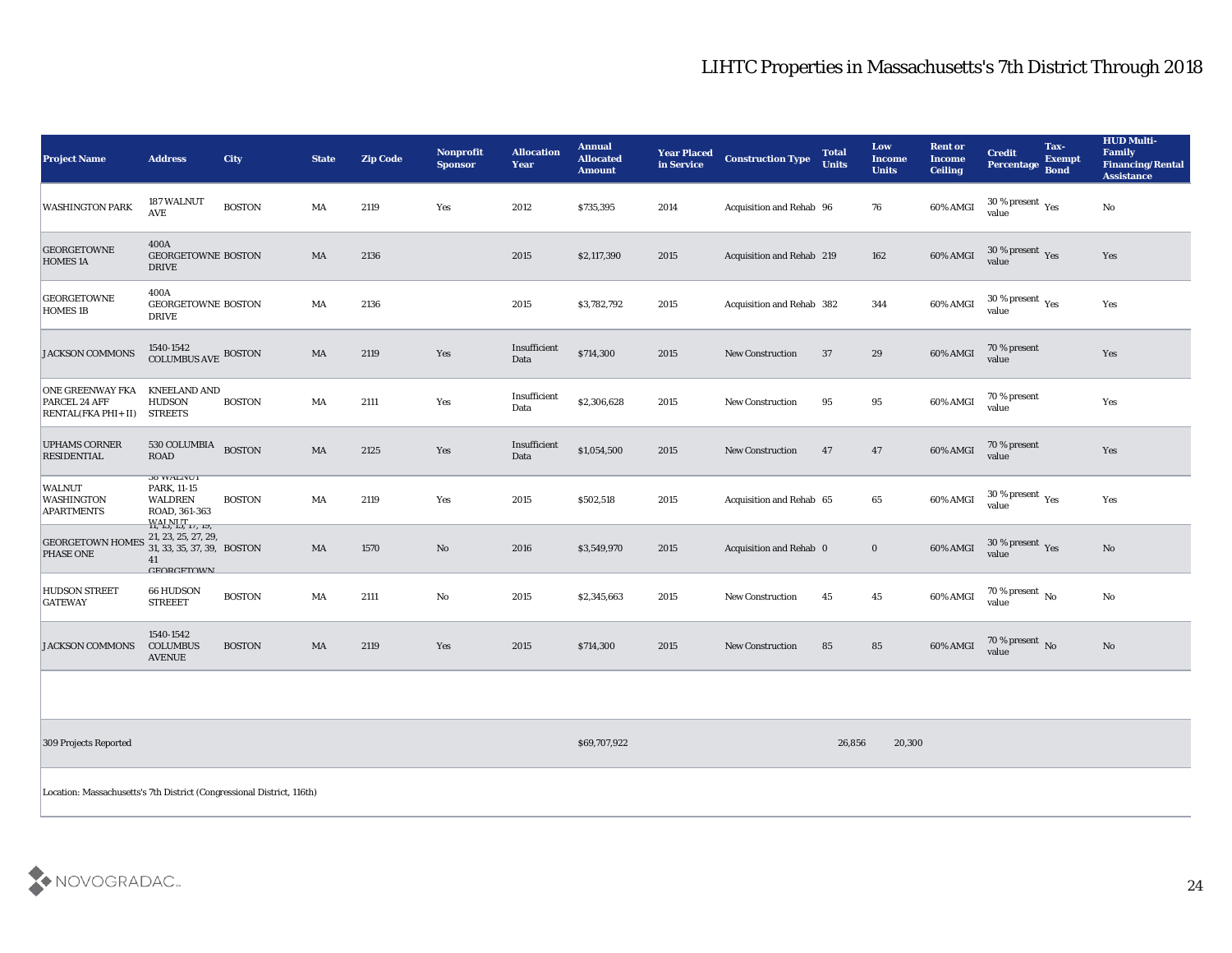| <b>Project Name</b>                                              | <b>Address</b>                                                                                                         | City          | <b>State</b> | <b>Zip Code</b> | <b>Nonprofit</b><br><b>Sponsor</b> | <b>Allocation</b><br>Year | <b>Annual</b><br><b>Allocated</b><br><b>Amount</b> | <b>Year Placed</b><br>in Service | <b>Construction Type</b>  | <b>Total</b><br><b>Units</b> | Low<br><b>Income</b><br><b>Units</b> | <b>Rent or</b><br><b>Income</b><br><b>Ceiling</b> | <b>Credit</b><br>Percentage Bond         | Tax-<br><b>Exempt</b> | <b>HUD Multi-</b><br>Family<br><b>Financing/Rental</b><br><b>Assistance</b> |
|------------------------------------------------------------------|------------------------------------------------------------------------------------------------------------------------|---------------|--------------|-----------------|------------------------------------|---------------------------|----------------------------------------------------|----------------------------------|---------------------------|------------------------------|--------------------------------------|---------------------------------------------------|------------------------------------------|-----------------------|-----------------------------------------------------------------------------|
| <b>WASHINGTON PARK</b>                                           | 187 WALNUT<br><b>AVE</b>                                                                                               | <b>BOSTON</b> | MA           | 2119            | Yes                                | 2012                      | \$735,395                                          | 2014                             | Acquisition and Rehab 96  |                              | 76                                   | 60% AMGI                                          | $30\,\%$ present $\,$ Yes value          |                       | $\mathbf {No}$                                                              |
| <b>GEORGETOWNE</b><br><b>HOMES 1A</b>                            | 400A<br><b>GEORGETOWNE BOSTON</b><br><b>DRIVE</b>                                                                      |               | MA           | 2136            |                                    | 2015                      | \$2,117,390                                        | 2015                             | Acquisition and Rehab 219 |                              | 162                                  | 60% AMGI                                          | $30\,\%$ present $\,\mathrm{Yes}$ value  |                       | Yes                                                                         |
| <b>GEORGETOWNE</b><br><b>HOMES 1B</b>                            | 400A<br><b>GEORGETOWNE BOSTON</b><br><b>DRIVE</b>                                                                      |               | MA           | 2136            |                                    | 2015                      | \$3,782,792                                        | 2015                             | Acquisition and Rehab 382 |                              | 344                                  | 60% AMGI                                          | 30 % present $\gamma_{\rm e s}$<br>value |                       | Yes                                                                         |
| <b>JACKSON COMMONS</b>                                           | 1540-1542<br><b>COLUMBUS AVE BOSTON</b>                                                                                |               | MA           | 2119            | Yes                                | Insufficient<br>Data      | \$714,300                                          | 2015                             | <b>New Construction</b>   | 37                           | 29                                   | 60% AMGI                                          | 70 % present<br>value                    |                       | Yes                                                                         |
| ONE GREENWAY FKA<br>PARCEL 24 AFF<br>RENTAL(FKA PHI+ II) STREETS | <b>KNEELAND AND</b><br><b>HUDSON</b>                                                                                   | <b>BOSTON</b> | MA           | 2111            | Yes                                | Insufficient<br>Data      | \$2,306,628                                        | 2015                             | New Construction          | 95                           | 95                                   | 60% AMGI                                          | 70 % present<br>value                    |                       | Yes                                                                         |
| <b>UPHAMS CORNER</b><br><b>RESIDENTIAL</b>                       | 530 COLUMBIA BOSTON<br><b>ROAD</b>                                                                                     |               | MA           | 2125            | Yes                                | Insufficient<br>Data      | \$1,054,500                                        | 2015                             | <b>New Construction</b>   | 47                           | $\bf 47$                             | 60% AMGI                                          | 70 % present<br>value                    |                       | Yes                                                                         |
| <b>WALNUT</b><br><b>WASHINGTON</b><br><b>APARTMENTS</b>          | <b>30 WALIVUI</b><br>PARK, 11-15<br><b>WALDREN</b><br>ROAD, 361-363                                                    | <b>BOSTON</b> | MA           | 2119            | Yes                                | 2015                      | \$502,518                                          | 2015                             | Acquisition and Rehab 65  |                              | 65                                   | 60% AMGI                                          | 30 % present $\gamma_{\rm e s}$<br>value |                       | Yes                                                                         |
| <b>GEORGETOWN HOMES</b><br>PHASE ONE                             | <u>WAI NITT</u><br>11, 15, 15, 17, 19,<br>21, 23, 25, 27, 29,<br>31, 33, 35, 37, 39, BOSTON<br>41<br><b>CEOPCETOWN</b> |               | MA           | 1570            | No                                 | 2016                      | \$3,549,970                                        | 2015                             | Acquisition and Rehab 0   |                              | $\boldsymbol{0}$                     | 60% AMGI                                          | $30\,\%$ present $\,$ Yes value          |                       | $\mathbf{N}\mathbf{o}$                                                      |
| <b>HUDSON STREET</b><br><b>GATEWAY</b>                           | 66 HUDSON<br><b>STREEET</b>                                                                                            | <b>BOSTON</b> | MA           | 2111            | No                                 | 2015                      | \$2,345,663                                        | 2015                             | <b>New Construction</b>   | 45                           | 45                                   | 60% AMGI                                          | 70 % present $\,$ No $\,$<br>value       |                       | $\mathbf{No}$                                                               |
| <b>JACKSON COMMONS</b>                                           | 1540-1542<br><b>COLUMBUS</b><br><b>AVENUE</b>                                                                          | <b>BOSTON</b> | MA           | 2119            | Yes                                | 2015                      | \$714,300                                          | 2015                             | <b>New Construction</b>   | 85                           | 85                                   | 60% AMGI                                          | $70\,\%$ present $\,$ No value           |                       | ${\bf No}$                                                                  |
|                                                                  |                                                                                                                        |               |              |                 |                                    |                           |                                                    |                                  |                           |                              |                                      |                                                   |                                          |                       |                                                                             |
| 309 Projects Reported                                            |                                                                                                                        |               |              |                 |                                    |                           | \$69,707,922                                       |                                  |                           | 26,856                       | 20,300                               |                                                   |                                          |                       |                                                                             |

Location: Massachusetts's 7th District (Congressional District, 116th)